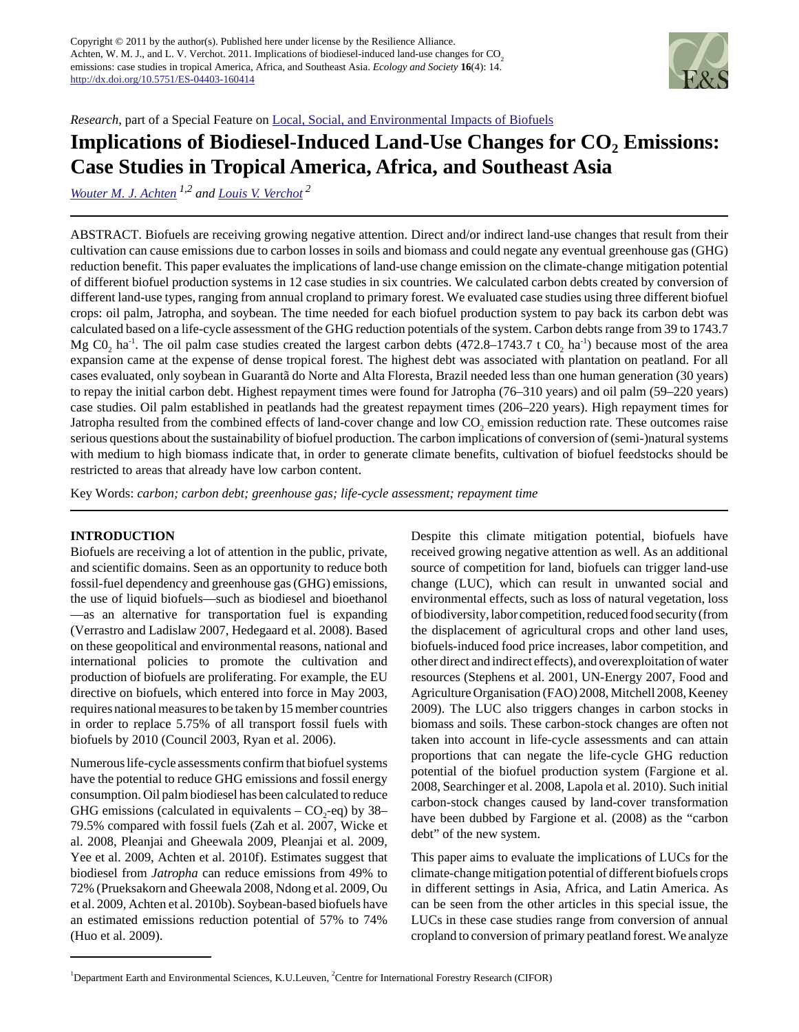

*Research*, part of a Special Feature on [Local, Social, and Environmental Impacts of Biofuels](http://www.ecologyandsociety.org/viewissue.php?sf=68)

# **Implications of Biodiesel-Induced Land-Use Changes for CO<sup>2</sup> Emissions: Case Studies in Tropical America, Africa, and Southeast Asia**

*[Wouter M. J. Achten](mailto:wouter.achten@ees.kuleuven.be) 1,2 and [Louis V. Verchot](mailto:l.verchot@cgiar.org)<sup>2</sup>*

ABSTRACT. Biofuels are receiving growing negative attention. Direct and/or indirect land-use changes that result from their cultivation can cause emissions due to carbon losses in soils and biomass and could negate any eventual greenhouse gas (GHG) reduction benefit. This paper evaluates the implications of land-use change emission on the climate-change mitigation potential of different biofuel production systems in 12 case studies in six countries. We calculated carbon debts created by conversion of different land-use types, ranging from annual cropland to primary forest. We evaluated case studies using three different biofuel crops: oil palm, Jatropha, and soybean. The time needed for each biofuel production system to pay back its carbon debt was calculated based on a life-cycle assessment of the GHG reduction potentials of the system. Carbon debts range from 39 to 1743.7 Mg CO<sub>2</sub> ha<sup>-1</sup>. The oil palm case studies created the largest carbon debts (472.8–1743.7 t CO<sub>2</sub> ha<sup>-1</sup>) because most of the area expansion came at the expense of dense tropical forest. The highest debt was associated with plantation on peatland. For all cases evaluated, only soybean in Guarantã do Norte and Alta Floresta, Brazil needed less than one human generation (30 years) to repay the initial carbon debt. Highest repayment times were found for Jatropha (76–310 years) and oil palm (59–220 years) case studies. Oil palm established in peatlands had the greatest repayment times (206–220 years). High repayment times for Jatropha resulted from the combined effects of land-cover change and low  $\mathrm{CO}_2$  emission reduction rate. These outcomes raise serious questions about the sustainability of biofuel production. The carbon implications of conversion of (semi-)natural systems with medium to high biomass indicate that, in order to generate climate benefits, cultivation of biofuel feedstocks should be restricted to areas that already have low carbon content.

Key Words: *carbon; carbon debt; greenhouse gas; life-cycle assessment; repayment time*

#### **INTRODUCTION**

Biofuels are receiving a lot of attention in the public, private, and scientific domains. Seen as an opportunity to reduce both fossil-fuel dependency and greenhouse gas (GHG) emissions, the use of liquid biofuels—such as biodiesel and bioethanol —as an alternative for transportation fuel is expanding (Verrastro and Ladislaw 2007, Hedegaard et al. 2008). Based on these geopolitical and environmental reasons, national and international policies to promote the cultivation and production of biofuels are proliferating. For example, the EU directive on biofuels, which entered into force in May 2003, requires national measures to be taken by 15 member countries in order to replace 5.75% of all transport fossil fuels with biofuels by 2010 (Council 2003, Ryan et al. 2006).

Numerous life-cycle assessments confirm that biofuel systems have the potential to reduce GHG emissions and fossil energy consumption. Oil palm biodiesel has been calculated to reduce GHG emissions (calculated in equivalents  $-$  CO<sub>2</sub>-eq) by 38– 79.5% compared with fossil fuels (Zah et al. 2007, Wicke et al. 2008, Pleanjai and Gheewala 2009, Pleanjai et al. 2009, Yee et al. 2009, Achten et al. 2010f). Estimates suggest that biodiesel from *Jatropha* can reduce emissions from 49% to 72% (Prueksakorn and Gheewala 2008, Ndong et al. 2009, Ou et al. 2009, Achten et al. 2010b). Soybean-based biofuels have an estimated emissions reduction potential of 57% to 74% (Huo et al. 2009).

Despite this climate mitigation potential, biofuels have received growing negative attention as well. As an additional source of competition for land, biofuels can trigger land-use change (LUC), which can result in unwanted social and environmental effects, such as loss of natural vegetation, loss of biodiversity, labor competition, reduced food security (from the displacement of agricultural crops and other land uses, biofuels-induced food price increases, labor competition, and other direct and indirect effects), and overexploitation of water resources (Stephens et al. 2001, UN-Energy 2007, Food and Agriculture Organisation (FAO) 2008, Mitchell 2008, Keeney 2009). The LUC also triggers changes in carbon stocks in biomass and soils. These carbon-stock changes are often not taken into account in life-cycle assessments and can attain proportions that can negate the life-cycle GHG reduction potential of the biofuel production system (Fargione et al. 2008, Searchinger et al. 2008, Lapola et al. 2010). Such initial carbon-stock changes caused by land-cover transformation have been dubbed by Fargione et al. (2008) as the "carbon debt" of the new system.

This paper aims to evaluate the implications of LUCs for the climate-change mitigation potential of different biofuels crops in different settings in Asia, Africa, and Latin America. As can be seen from the other articles in this special issue, the LUCs in these case studies range from conversion of annual cropland to conversion of primary peatland forest. We analyze

<sup>&</sup>lt;sup>1</sup>Department Earth and Environmental Sciences, K.U.Leuven, <sup>2</sup>Centre for International Forestry Research (CIFOR)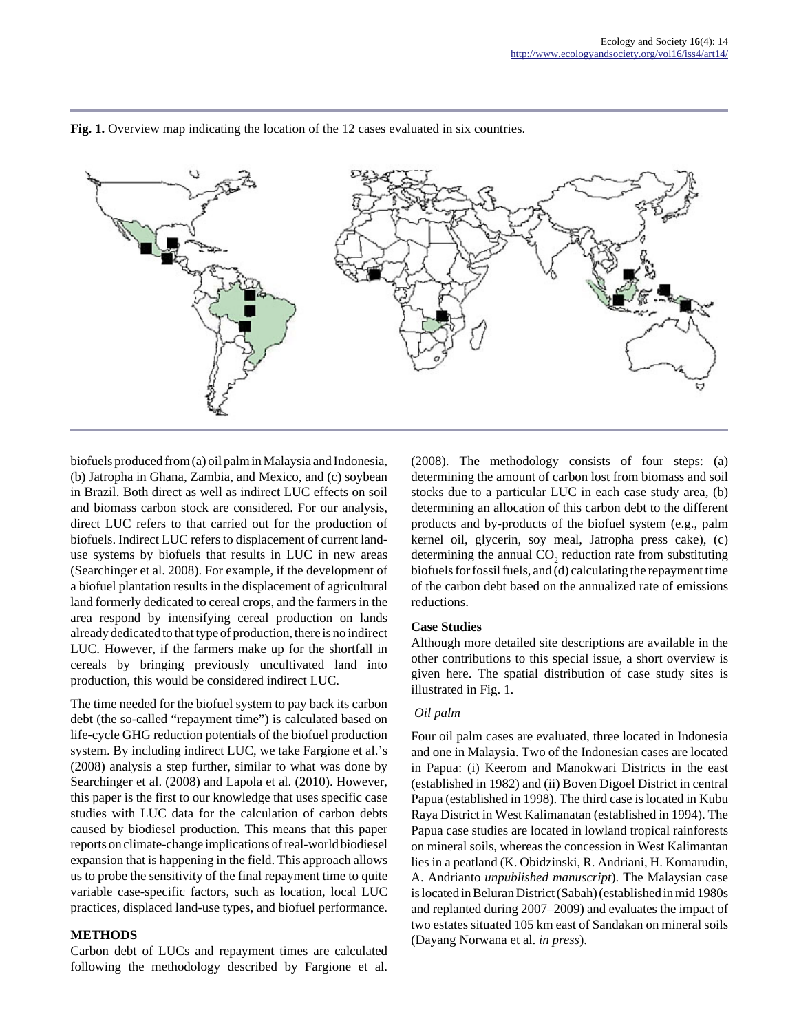

**Fig. 1.** Overview map indicating the location of the 12 cases evaluated in six countries.

biofuels produced from (a) oil palm in Malaysia and Indonesia, (b) Jatropha in Ghana, Zambia, and Mexico, and (c) soybean in Brazil. Both direct as well as indirect LUC effects on soil and biomass carbon stock are considered. For our analysis, direct LUC refers to that carried out for the production of biofuels. Indirect LUC refers to displacement of current landuse systems by biofuels that results in LUC in new areas (Searchinger et al. 2008). For example, if the development of a biofuel plantation results in the displacement of agricultural land formerly dedicated to cereal crops, and the farmers in the area respond by intensifying cereal production on lands already dedicated to that type of production, there is no indirect LUC. However, if the farmers make up for the shortfall in cereals by bringing previously uncultivated land into production, this would be considered indirect LUC.

The time needed for the biofuel system to pay back its carbon debt (the so-called "repayment time") is calculated based on life-cycle GHG reduction potentials of the biofuel production system. By including indirect LUC, we take Fargione et al.'s (2008) analysis a step further, similar to what was done by Searchinger et al. (2008) and Lapola et al. (2010). However, this paper is the first to our knowledge that uses specific case studies with LUC data for the calculation of carbon debts caused by biodiesel production. This means that this paper reports on climate-change implications of real-world biodiesel expansion that is happening in the field. This approach allows us to probe the sensitivity of the final repayment time to quite variable case-specific factors, such as location, local LUC practices, displaced land-use types, and biofuel performance.

#### **METHODS**

Carbon debt of LUCs and repayment times are calculated following the methodology described by Fargione et al. (2008). The methodology consists of four steps: (a) determining the amount of carbon lost from biomass and soil stocks due to a particular LUC in each case study area, (b) determining an allocation of this carbon debt to the different products and by-products of the biofuel system (e.g., palm kernel oil, glycerin, soy meal, Jatropha press cake), (c) determining the annual  $CO_2$  reduction rate from substituting biofuels for fossil fuels, and (d) calculating the repayment time of the carbon debt based on the annualized rate of emissions reductions.

#### **Case Studies**

Although more detailed site descriptions are available in the other contributions to this special issue, a short overview is given here. The spatial distribution of case study sites is illustrated in Fig. 1.

#### *Oil palm*

Four oil palm cases are evaluated, three located in Indonesia and one in Malaysia. Two of the Indonesian cases are located in Papua: (i) Keerom and Manokwari Districts in the east (established in 1982) and (ii) Boven Digoel District in central Papua (established in 1998). The third case is located in Kubu Raya District in West Kalimanatan (established in 1994). The Papua case studies are located in lowland tropical rainforests on mineral soils, whereas the concession in West Kalimantan lies in a peatland (K. Obidzinski, R. Andriani, H. Komarudin, A. Andrianto *unpublished manuscript*). The Malaysian case is located in Beluran District (Sabah) (established in mid 1980s and replanted during 2007–2009) and evaluates the impact of two estates situated 105 km east of Sandakan on mineral soils (Dayang Norwana et al. *in press*).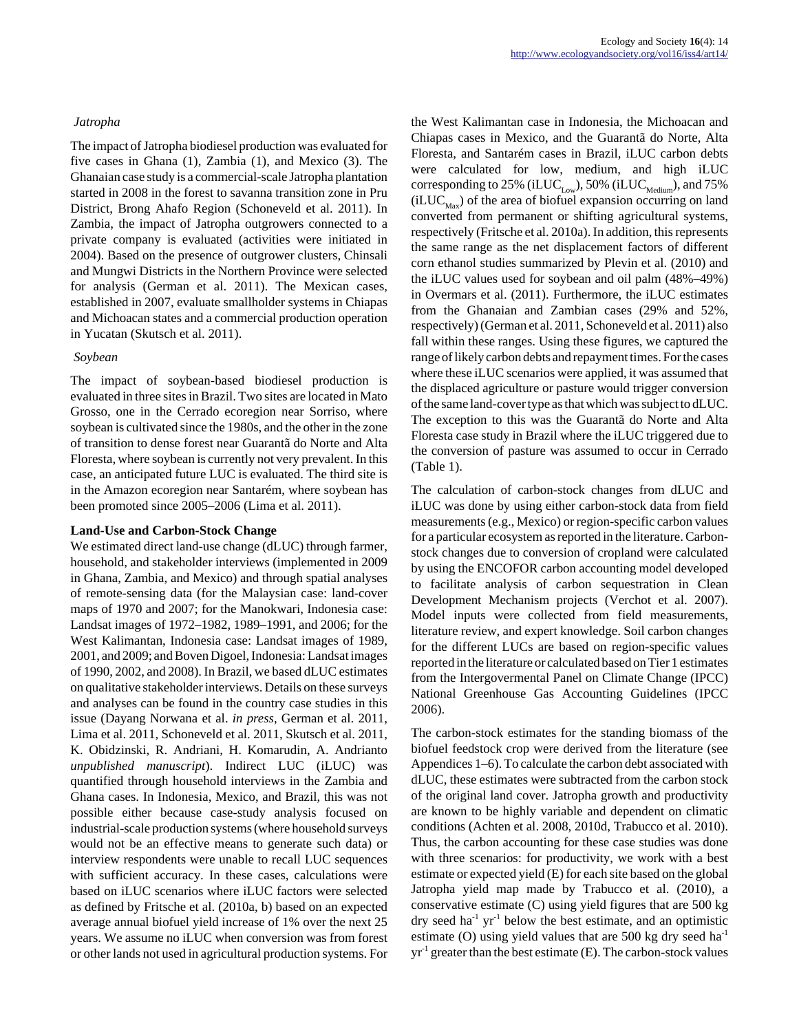The impact of Jatropha biodiesel production was evaluated for five cases in Ghana (1), Zambia (1), and Mexico (3). The Ghanaian case study is a commercial-scale Jatropha plantation started in 2008 in the forest to savanna transition zone in Pru District, Brong Ahafo Region (Schoneveld et al. 2011). In Zambia, the impact of Jatropha outgrowers connected to a private company is evaluated (activities were initiated in 2004). Based on the presence of outgrower clusters, Chinsali and Mungwi Districts in the Northern Province were selected for analysis (German et al. 2011). The Mexican cases, established in 2007, evaluate smallholder systems in Chiapas and Michoacan states and a commercial production operation in Yucatan (Skutsch et al. 2011).

#### *Soybean*

The impact of soybean-based biodiesel production is evaluated in three sites in Brazil. Two sites are located in Mato Grosso, one in the Cerrado ecoregion near Sorriso, where soybean is cultivated since the 1980s, and the other in the zone of transition to dense forest near Guarantã do Norte and Alta Floresta, where soybean is currently not very prevalent. In this case, an anticipated future LUC is evaluated. The third site is in the Amazon ecoregion near Santarém, where soybean has been promoted since 2005–2006 (Lima et al. 2011).

#### **Land-Use and Carbon-Stock Change**

We estimated direct land-use change (dLUC) through farmer, household, and stakeholder interviews (implemented in 2009 in Ghana, Zambia, and Mexico) and through spatial analyses of remote-sensing data (for the Malaysian case: land-cover maps of 1970 and 2007; for the Manokwari, Indonesia case: Landsat images of 1972–1982, 1989–1991, and 2006; for the West Kalimantan, Indonesia case: Landsat images of 1989, 2001, and 2009; and Boven Digoel, Indonesia: Landsat images of 1990, 2002, and 2008). In Brazil, we based dLUC estimates on qualitative stakeholder interviews. Details on these surveys and analyses can be found in the country case studies in this issue (Dayang Norwana et al. *in press*, German et al. 2011, Lima et al. 2011, Schoneveld et al. 2011, Skutsch et al. 2011, K. Obidzinski, R. Andriani, H. Komarudin, A. Andrianto *unpublished manuscript*). Indirect LUC (iLUC) was quantified through household interviews in the Zambia and Ghana cases. In Indonesia, Mexico, and Brazil, this was not possible either because case-study analysis focused on industrial-scale production systems (where household surveys would not be an effective means to generate such data) or interview respondents were unable to recall LUC sequences with sufficient accuracy. In these cases, calculations were based on iLUC scenarios where iLUC factors were selected as defined by Fritsche et al. (2010a, b) based on an expected average annual biofuel yield increase of 1% over the next 25 years. We assume no iLUC when conversion was from forest or other lands not used in agricultural production systems. For

the West Kalimantan case in Indonesia, the Michoacan and Chiapas cases in Mexico, and the Guarantã do Norte, Alta Floresta, and Santarém cases in Brazil, iLUC carbon debts were calculated for low, medium, and high iLUC corresponding to 25% (iLUC<sub>Low</sub>), 50% (iLUC<sub>Medium</sub>), and 75%  $(iLUC_{M_{\text{max}}})$  of the area of biofuel expansion occurring on land converted from permanent or shifting agricultural systems, respectively (Fritsche et al. 2010a). In addition, this represents the same range as the net displacement factors of different corn ethanol studies summarized by Plevin et al. (2010) and the iLUC values used for soybean and oil palm (48%–49%) in Overmars et al. (2011). Furthermore, the iLUC estimates from the Ghanaian and Zambian cases (29% and 52%, respectively) (German et al. 2011, Schoneveld et al. 2011) also fall within these ranges. Using these figures, we captured the range of likely carbon debts and repayment times. For the cases where these iLUC scenarios were applied, it was assumed that the displaced agriculture or pasture would trigger conversion of the same land-cover type as that which was subject to dLUC. The exception to this was the Guarantã do Norte and Alta Floresta case study in Brazil where the iLUC triggered due to the conversion of pasture was assumed to occur in Cerrado (Table 1).

The calculation of carbon-stock changes from dLUC and iLUC was done by using either carbon-stock data from field measurements (e.g., Mexico) or region-specific carbon values for a particular ecosystem as reported in the literature. Carbonstock changes due to conversion of cropland were calculated by using the ENCOFOR carbon accounting model developed to facilitate analysis of carbon sequestration in Clean Development Mechanism projects (Verchot et al. 2007). Model inputs were collected from field measurements, literature review, and expert knowledge. Soil carbon changes for the different LUCs are based on region-specific values reported in the literature or calculated based on Tier 1 estimates from the Intergovermental Panel on Climate Change (IPCC) National Greenhouse Gas Accounting Guidelines (IPCC 2006).

The carbon-stock estimates for the standing biomass of the biofuel feedstock crop were derived from the literature (see Appendices 1–6). To calculate the carbon debt associated with dLUC, these estimates were subtracted from the carbon stock of the original land cover. Jatropha growth and productivity are known to be highly variable and dependent on climatic conditions (Achten et al. 2008, 2010d, Trabucco et al. 2010). Thus, the carbon accounting for these case studies was done with three scenarios: for productivity, we work with a best estimate or expected yield (E) for each site based on the global Jatropha yield map made by Trabucco et al. (2010), a conservative estimate (C) using yield figures that are 500 kg dry seed ha<sup>-1</sup> yr<sup>-1</sup> below the best estimate, and an optimistic estimate (O) using yield values that are  $500 \text{ kg}$  dry seed ha<sup>-1</sup>  $yr<sup>-1</sup>$  greater than the best estimate (E). The carbon-stock values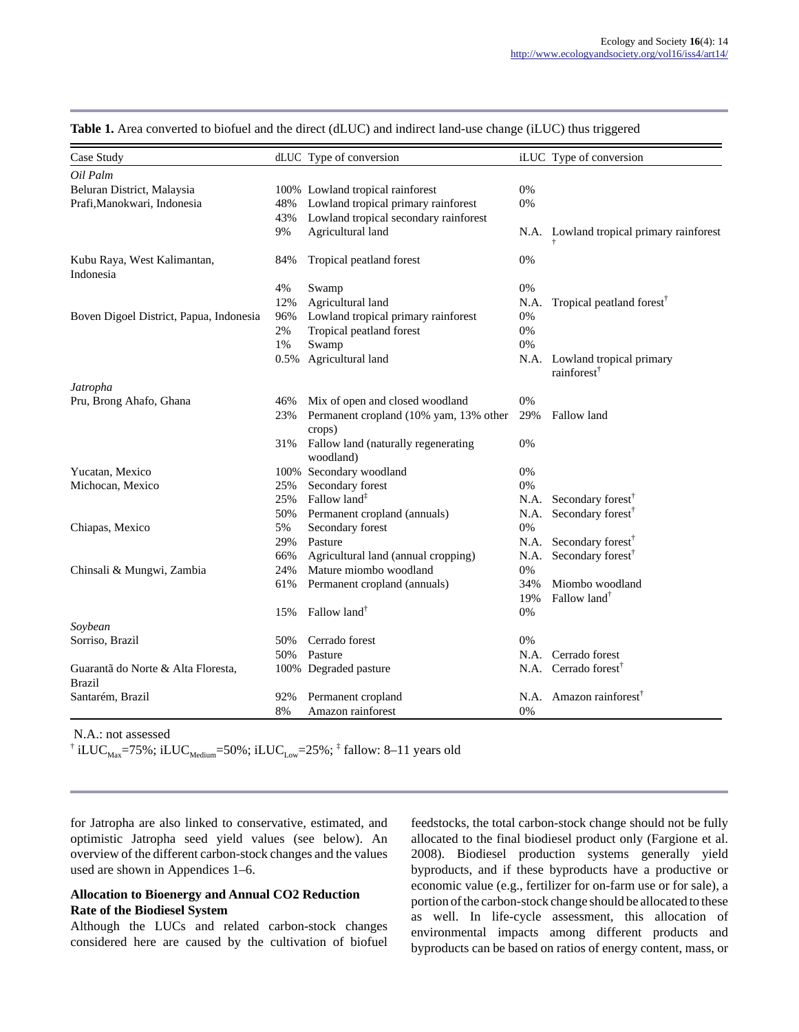| Case Study                                          |      | dLUC Type of conversion                          |       | iLUC Type of conversion                                  |
|-----------------------------------------------------|------|--------------------------------------------------|-------|----------------------------------------------------------|
| Oil Palm                                            |      |                                                  |       |                                                          |
| Beluran District, Malaysia                          |      | 100% Lowland tropical rainforest                 | $0\%$ |                                                          |
| Prafi, Manokwari, Indonesia                         | 48%  | Lowland tropical primary rainforest              | $0\%$ |                                                          |
|                                                     | 43%  | Lowland tropical secondary rainforest            |       |                                                          |
|                                                     | 9%   | Agricultural land                                |       | N.A. Lowland tropical primary rainforest                 |
| Kubu Raya, West Kalimantan,<br>Indonesia            | 84%  | Tropical peatland forest                         | 0%    |                                                          |
|                                                     | 4%   | Swamp                                            | 0%    |                                                          |
|                                                     | 12%  | Agricultural land                                | N.A.  | Tropical peatland forest <sup>†</sup>                    |
| Boven Digoel District, Papua, Indonesia             | 96%  | Lowland tropical primary rainforest              | 0%    |                                                          |
|                                                     | 2%   | Tropical peatland forest                         | $0\%$ |                                                          |
|                                                     | 1%   | Swamp                                            | $0\%$ |                                                          |
|                                                     | 0.5% | Agricultural land                                |       | N.A. Lowland tropical primary<br>rainforest <sup>†</sup> |
| Jatropha                                            |      |                                                  |       |                                                          |
| Pru, Brong Ahafo, Ghana                             | 46%  | Mix of open and closed woodland                  | 0%    |                                                          |
|                                                     | 23%  | Permanent cropland (10% yam, 13% other<br>crops) | 29%   | Fallow land                                              |
|                                                     | 31%  | Fallow land (naturally regenerating<br>woodland) | 0%    |                                                          |
| Yucatan, Mexico                                     |      | 100% Secondary woodland                          | 0%    |                                                          |
| Michocan, Mexico                                    | 25%  | Secondary forest                                 | $0\%$ |                                                          |
|                                                     | 25%  | Fallow land <sup>‡</sup>                         | N.A.  | Secondary forest <sup>†</sup>                            |
|                                                     | 50%  | Permanent cropland (annuals)                     | N.A.  | Secondary forest <sup>†</sup>                            |
| Chiapas, Mexico                                     | 5%   | Secondary forest                                 | 0%    |                                                          |
|                                                     | 29%  | Pasture                                          |       | N.A. Secondary forest <sup>†</sup>                       |
|                                                     | 66%  | Agricultural land (annual cropping)              | N.A.  | Secondary forest <sup>†</sup>                            |
| Chinsali & Mungwi, Zambia                           | 24%  | Mature miombo woodland                           | $0\%$ |                                                          |
|                                                     | 61%  | Permanent cropland (annuals)                     | 34%   | Miombo woodland                                          |
|                                                     |      |                                                  | 19%   | Fallow land <sup>†</sup>                                 |
|                                                     | 15%  | Fallow land <sup><math>\dagger</math></sup>      | 0%    |                                                          |
| Soybean                                             |      |                                                  |       |                                                          |
| Sorriso, Brazil                                     | 50%  | Cerrado forest                                   | 0%    |                                                          |
|                                                     | 50%  | Pasture                                          | N.A.  | Cerrado forest                                           |
| Guarantã do Norte & Alta Floresta,<br><b>Brazil</b> |      | 100% Degraded pasture                            |       | N.A. Cerrado forest <sup>†</sup>                         |
| Santarém, Brazil                                    | 92%  | Permanent cropland                               |       | N.A. Amazon rainforest <sup>†</sup>                      |
|                                                     | 8%   | Amazon rainforest                                | 0%    |                                                          |

### **Table 1.** Area converted to biofuel and the direct (dLUC) and indirect land-use change (iLUC) thus triggered

N.A.: not assessed

† iLUC $_{\text{Max}}$ =75%; iLUC $_{\text{Median}}$ =50%; iLUC $_{\text{Low}}$ =25%;  $^{\ddagger}$  fallow: 8–11 years old

for Jatropha are also linked to conservative, estimated, and optimistic Jatropha seed yield values (see below). An overview of the different carbon-stock changes and the values used are shown in Appendices 1–6.

### **Allocation to Bioenergy and Annual CO2 Reduction Rate of the Biodiesel System**

Although the LUCs and related carbon-stock changes considered here are caused by the cultivation of biofuel feedstocks, the total carbon-stock change should not be fully allocated to the final biodiesel product only (Fargione et al. 2008). Biodiesel production systems generally yield byproducts, and if these byproducts have a productive or economic value (e.g., fertilizer for on-farm use or for sale), a portion of the carbon-stock change should be allocated to these as well. In life-cycle assessment, this allocation of environmental impacts among different products and byproducts can be based on ratios of energy content, mass, or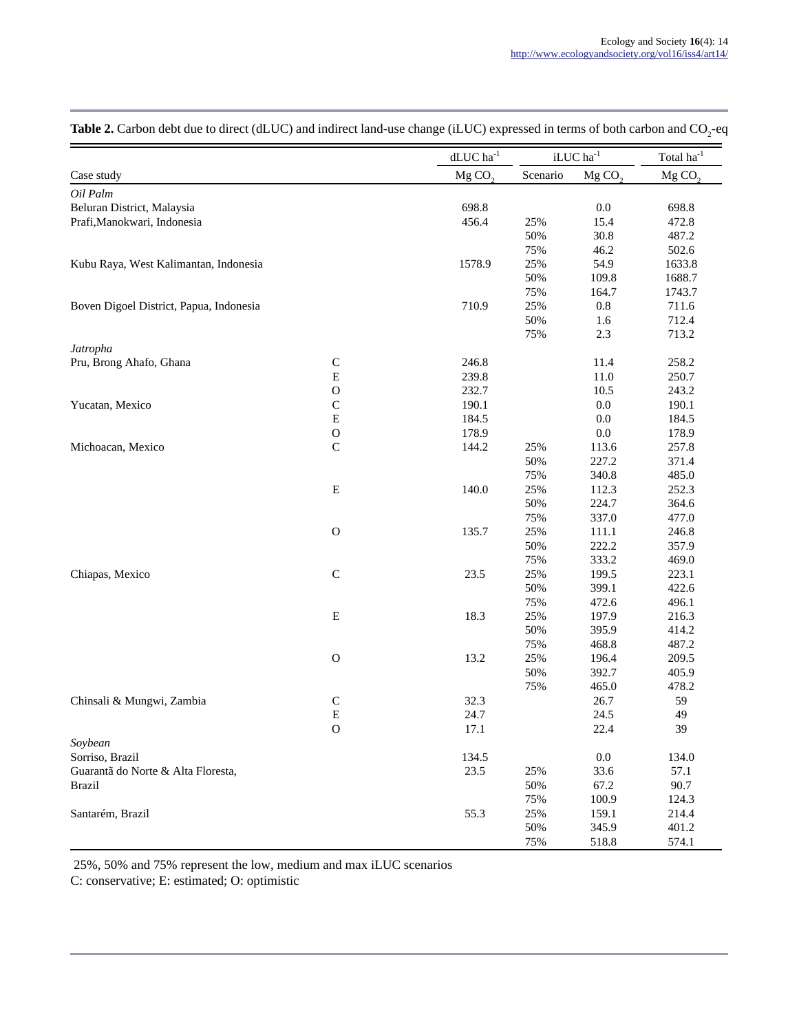| Scenario<br>Mg CO <sub>2</sub><br>Mg CO <sub>2</sub><br>Mg CO <sub>2</sub><br>Case study<br>Oil Palm<br>Beluran District, Malaysia<br>698.8<br>$0.0\,$<br>698.8<br>Prafi, Manokwari, Indonesia<br>456.4<br>472.8<br>25%<br>15.4<br>487.2<br>50%<br>30.8<br>502.6<br>75%<br>46.2<br>1578.9<br>1633.8<br>Kubu Raya, West Kalimantan, Indonesia<br>25%<br>54.9<br>50%<br>109.8<br>1688.7<br>75%<br>164.7<br>1743.7<br>Boven Digoel District, Papua, Indonesia<br>710.9<br>$0.8\,$<br>25%<br>711.6<br>712.4<br>50%<br>1.6<br>713.2<br>75%<br>2.3<br>Jatropha<br>$\mathsf{C}$<br>Pru, Brong Ahafo, Ghana<br>246.8<br>258.2<br>11.4<br>${\bf E}$<br>239.8<br>250.7<br>11.0<br>$\mathbf O$<br>232.7<br>243.2<br>10.5<br>$\mathsf{C}$<br>190.1<br>190.1<br>Yucatan, Mexico<br>0.0<br>$\mathbf E$<br>184.5<br>$0.0\,$<br>184.5<br>178.9<br>178.9<br>$\mathbf 0$<br>$0.0\,$<br>$\mathsf{C}$<br>Michoacan, Mexico<br>144.2<br>257.8<br>25%<br>113.6<br>227.2<br>371.4<br>50%<br>485.0<br>75%<br>340.8<br>$\mathbf E$<br>252.3<br>140.0<br>25%<br>112.3<br>364.6<br>50%<br>224.7<br>477.0<br>75%<br>337.0<br>$\mathcal{O}$<br>135.7<br>25%<br>111.1<br>246.8<br>222.2<br>357.9<br>50%<br>469.0<br>333.2<br>75%<br>$\mathsf{C}$<br>23.5<br>223.1<br>Chiapas, Mexico<br>25%<br>199.5<br>399.1<br>422.6<br>50%<br>496.1<br>75%<br>472.6<br>${\bf E}$<br>18.3<br>216.3<br>25%<br>197.9<br>414.2<br>50%<br>395.9<br>487.2<br>75%<br>468.8<br>$\mathbf{O}$<br>13.2<br>25%<br>209.5<br>196.4<br>405.9<br>50%<br>392.7<br>478.2<br>465.0<br>75%<br>$\mathbf C$<br>59<br>Chinsali & Mungwi, Zambia<br>32.3<br>26.7<br>$\mathbf E$<br>24.7<br>24.5<br>49<br>22.4<br>39<br>${\bf O}$<br>17.1<br>Soybean<br>Sorriso, Brazil<br>134.5<br>$0.0\,$<br>134.0<br>57.1<br>Guarantã do Norte & Alta Floresta,<br>23.5<br>33.6<br>25%<br>67.2<br>90.7<br><b>Brazil</b><br>50%<br>100.9<br>124.3<br>75%<br>214.4<br>Santarém, Brazil<br>55.3<br>25%<br>159.1 |  |  | $iLUC$ $\mathrm{ha}^{\text{-}1}$ | $\mbox{Total ha}^{-1}$ |  |
|-----------------------------------------------------------------------------------------------------------------------------------------------------------------------------------------------------------------------------------------------------------------------------------------------------------------------------------------------------------------------------------------------------------------------------------------------------------------------------------------------------------------------------------------------------------------------------------------------------------------------------------------------------------------------------------------------------------------------------------------------------------------------------------------------------------------------------------------------------------------------------------------------------------------------------------------------------------------------------------------------------------------------------------------------------------------------------------------------------------------------------------------------------------------------------------------------------------------------------------------------------------------------------------------------------------------------------------------------------------------------------------------------------------------------------------------------------------------------------------------------------------------------------------------------------------------------------------------------------------------------------------------------------------------------------------------------------------------------------------------------------------------------------------------------------------------------------------------------------------------------------------------------------------------------------|--|--|----------------------------------|------------------------|--|
|                                                                                                                                                                                                                                                                                                                                                                                                                                                                                                                                                                                                                                                                                                                                                                                                                                                                                                                                                                                                                                                                                                                                                                                                                                                                                                                                                                                                                                                                                                                                                                                                                                                                                                                                                                                                                                                                                                                             |  |  |                                  |                        |  |
|                                                                                                                                                                                                                                                                                                                                                                                                                                                                                                                                                                                                                                                                                                                                                                                                                                                                                                                                                                                                                                                                                                                                                                                                                                                                                                                                                                                                                                                                                                                                                                                                                                                                                                                                                                                                                                                                                                                             |  |  |                                  |                        |  |
|                                                                                                                                                                                                                                                                                                                                                                                                                                                                                                                                                                                                                                                                                                                                                                                                                                                                                                                                                                                                                                                                                                                                                                                                                                                                                                                                                                                                                                                                                                                                                                                                                                                                                                                                                                                                                                                                                                                             |  |  |                                  |                        |  |
|                                                                                                                                                                                                                                                                                                                                                                                                                                                                                                                                                                                                                                                                                                                                                                                                                                                                                                                                                                                                                                                                                                                                                                                                                                                                                                                                                                                                                                                                                                                                                                                                                                                                                                                                                                                                                                                                                                                             |  |  |                                  |                        |  |
|                                                                                                                                                                                                                                                                                                                                                                                                                                                                                                                                                                                                                                                                                                                                                                                                                                                                                                                                                                                                                                                                                                                                                                                                                                                                                                                                                                                                                                                                                                                                                                                                                                                                                                                                                                                                                                                                                                                             |  |  |                                  |                        |  |
|                                                                                                                                                                                                                                                                                                                                                                                                                                                                                                                                                                                                                                                                                                                                                                                                                                                                                                                                                                                                                                                                                                                                                                                                                                                                                                                                                                                                                                                                                                                                                                                                                                                                                                                                                                                                                                                                                                                             |  |  |                                  |                        |  |
|                                                                                                                                                                                                                                                                                                                                                                                                                                                                                                                                                                                                                                                                                                                                                                                                                                                                                                                                                                                                                                                                                                                                                                                                                                                                                                                                                                                                                                                                                                                                                                                                                                                                                                                                                                                                                                                                                                                             |  |  |                                  |                        |  |
|                                                                                                                                                                                                                                                                                                                                                                                                                                                                                                                                                                                                                                                                                                                                                                                                                                                                                                                                                                                                                                                                                                                                                                                                                                                                                                                                                                                                                                                                                                                                                                                                                                                                                                                                                                                                                                                                                                                             |  |  |                                  |                        |  |
|                                                                                                                                                                                                                                                                                                                                                                                                                                                                                                                                                                                                                                                                                                                                                                                                                                                                                                                                                                                                                                                                                                                                                                                                                                                                                                                                                                                                                                                                                                                                                                                                                                                                                                                                                                                                                                                                                                                             |  |  |                                  |                        |  |
|                                                                                                                                                                                                                                                                                                                                                                                                                                                                                                                                                                                                                                                                                                                                                                                                                                                                                                                                                                                                                                                                                                                                                                                                                                                                                                                                                                                                                                                                                                                                                                                                                                                                                                                                                                                                                                                                                                                             |  |  |                                  |                        |  |
|                                                                                                                                                                                                                                                                                                                                                                                                                                                                                                                                                                                                                                                                                                                                                                                                                                                                                                                                                                                                                                                                                                                                                                                                                                                                                                                                                                                                                                                                                                                                                                                                                                                                                                                                                                                                                                                                                                                             |  |  |                                  |                        |  |
|                                                                                                                                                                                                                                                                                                                                                                                                                                                                                                                                                                                                                                                                                                                                                                                                                                                                                                                                                                                                                                                                                                                                                                                                                                                                                                                                                                                                                                                                                                                                                                                                                                                                                                                                                                                                                                                                                                                             |  |  |                                  |                        |  |
|                                                                                                                                                                                                                                                                                                                                                                                                                                                                                                                                                                                                                                                                                                                                                                                                                                                                                                                                                                                                                                                                                                                                                                                                                                                                                                                                                                                                                                                                                                                                                                                                                                                                                                                                                                                                                                                                                                                             |  |  |                                  |                        |  |
|                                                                                                                                                                                                                                                                                                                                                                                                                                                                                                                                                                                                                                                                                                                                                                                                                                                                                                                                                                                                                                                                                                                                                                                                                                                                                                                                                                                                                                                                                                                                                                                                                                                                                                                                                                                                                                                                                                                             |  |  |                                  |                        |  |
|                                                                                                                                                                                                                                                                                                                                                                                                                                                                                                                                                                                                                                                                                                                                                                                                                                                                                                                                                                                                                                                                                                                                                                                                                                                                                                                                                                                                                                                                                                                                                                                                                                                                                                                                                                                                                                                                                                                             |  |  |                                  |                        |  |
|                                                                                                                                                                                                                                                                                                                                                                                                                                                                                                                                                                                                                                                                                                                                                                                                                                                                                                                                                                                                                                                                                                                                                                                                                                                                                                                                                                                                                                                                                                                                                                                                                                                                                                                                                                                                                                                                                                                             |  |  |                                  |                        |  |
|                                                                                                                                                                                                                                                                                                                                                                                                                                                                                                                                                                                                                                                                                                                                                                                                                                                                                                                                                                                                                                                                                                                                                                                                                                                                                                                                                                                                                                                                                                                                                                                                                                                                                                                                                                                                                                                                                                                             |  |  |                                  |                        |  |
|                                                                                                                                                                                                                                                                                                                                                                                                                                                                                                                                                                                                                                                                                                                                                                                                                                                                                                                                                                                                                                                                                                                                                                                                                                                                                                                                                                                                                                                                                                                                                                                                                                                                                                                                                                                                                                                                                                                             |  |  |                                  |                        |  |
|                                                                                                                                                                                                                                                                                                                                                                                                                                                                                                                                                                                                                                                                                                                                                                                                                                                                                                                                                                                                                                                                                                                                                                                                                                                                                                                                                                                                                                                                                                                                                                                                                                                                                                                                                                                                                                                                                                                             |  |  |                                  |                        |  |
|                                                                                                                                                                                                                                                                                                                                                                                                                                                                                                                                                                                                                                                                                                                                                                                                                                                                                                                                                                                                                                                                                                                                                                                                                                                                                                                                                                                                                                                                                                                                                                                                                                                                                                                                                                                                                                                                                                                             |  |  |                                  |                        |  |
|                                                                                                                                                                                                                                                                                                                                                                                                                                                                                                                                                                                                                                                                                                                                                                                                                                                                                                                                                                                                                                                                                                                                                                                                                                                                                                                                                                                                                                                                                                                                                                                                                                                                                                                                                                                                                                                                                                                             |  |  |                                  |                        |  |
|                                                                                                                                                                                                                                                                                                                                                                                                                                                                                                                                                                                                                                                                                                                                                                                                                                                                                                                                                                                                                                                                                                                                                                                                                                                                                                                                                                                                                                                                                                                                                                                                                                                                                                                                                                                                                                                                                                                             |  |  |                                  |                        |  |
|                                                                                                                                                                                                                                                                                                                                                                                                                                                                                                                                                                                                                                                                                                                                                                                                                                                                                                                                                                                                                                                                                                                                                                                                                                                                                                                                                                                                                                                                                                                                                                                                                                                                                                                                                                                                                                                                                                                             |  |  |                                  |                        |  |
|                                                                                                                                                                                                                                                                                                                                                                                                                                                                                                                                                                                                                                                                                                                                                                                                                                                                                                                                                                                                                                                                                                                                                                                                                                                                                                                                                                                                                                                                                                                                                                                                                                                                                                                                                                                                                                                                                                                             |  |  |                                  |                        |  |
|                                                                                                                                                                                                                                                                                                                                                                                                                                                                                                                                                                                                                                                                                                                                                                                                                                                                                                                                                                                                                                                                                                                                                                                                                                                                                                                                                                                                                                                                                                                                                                                                                                                                                                                                                                                                                                                                                                                             |  |  |                                  |                        |  |
|                                                                                                                                                                                                                                                                                                                                                                                                                                                                                                                                                                                                                                                                                                                                                                                                                                                                                                                                                                                                                                                                                                                                                                                                                                                                                                                                                                                                                                                                                                                                                                                                                                                                                                                                                                                                                                                                                                                             |  |  |                                  |                        |  |
|                                                                                                                                                                                                                                                                                                                                                                                                                                                                                                                                                                                                                                                                                                                                                                                                                                                                                                                                                                                                                                                                                                                                                                                                                                                                                                                                                                                                                                                                                                                                                                                                                                                                                                                                                                                                                                                                                                                             |  |  |                                  |                        |  |
|                                                                                                                                                                                                                                                                                                                                                                                                                                                                                                                                                                                                                                                                                                                                                                                                                                                                                                                                                                                                                                                                                                                                                                                                                                                                                                                                                                                                                                                                                                                                                                                                                                                                                                                                                                                                                                                                                                                             |  |  |                                  |                        |  |
|                                                                                                                                                                                                                                                                                                                                                                                                                                                                                                                                                                                                                                                                                                                                                                                                                                                                                                                                                                                                                                                                                                                                                                                                                                                                                                                                                                                                                                                                                                                                                                                                                                                                                                                                                                                                                                                                                                                             |  |  |                                  |                        |  |
|                                                                                                                                                                                                                                                                                                                                                                                                                                                                                                                                                                                                                                                                                                                                                                                                                                                                                                                                                                                                                                                                                                                                                                                                                                                                                                                                                                                                                                                                                                                                                                                                                                                                                                                                                                                                                                                                                                                             |  |  |                                  |                        |  |
|                                                                                                                                                                                                                                                                                                                                                                                                                                                                                                                                                                                                                                                                                                                                                                                                                                                                                                                                                                                                                                                                                                                                                                                                                                                                                                                                                                                                                                                                                                                                                                                                                                                                                                                                                                                                                                                                                                                             |  |  |                                  |                        |  |
|                                                                                                                                                                                                                                                                                                                                                                                                                                                                                                                                                                                                                                                                                                                                                                                                                                                                                                                                                                                                                                                                                                                                                                                                                                                                                                                                                                                                                                                                                                                                                                                                                                                                                                                                                                                                                                                                                                                             |  |  |                                  |                        |  |
|                                                                                                                                                                                                                                                                                                                                                                                                                                                                                                                                                                                                                                                                                                                                                                                                                                                                                                                                                                                                                                                                                                                                                                                                                                                                                                                                                                                                                                                                                                                                                                                                                                                                                                                                                                                                                                                                                                                             |  |  |                                  |                        |  |
|                                                                                                                                                                                                                                                                                                                                                                                                                                                                                                                                                                                                                                                                                                                                                                                                                                                                                                                                                                                                                                                                                                                                                                                                                                                                                                                                                                                                                                                                                                                                                                                                                                                                                                                                                                                                                                                                                                                             |  |  |                                  |                        |  |
|                                                                                                                                                                                                                                                                                                                                                                                                                                                                                                                                                                                                                                                                                                                                                                                                                                                                                                                                                                                                                                                                                                                                                                                                                                                                                                                                                                                                                                                                                                                                                                                                                                                                                                                                                                                                                                                                                                                             |  |  |                                  |                        |  |
|                                                                                                                                                                                                                                                                                                                                                                                                                                                                                                                                                                                                                                                                                                                                                                                                                                                                                                                                                                                                                                                                                                                                                                                                                                                                                                                                                                                                                                                                                                                                                                                                                                                                                                                                                                                                                                                                                                                             |  |  |                                  |                        |  |
|                                                                                                                                                                                                                                                                                                                                                                                                                                                                                                                                                                                                                                                                                                                                                                                                                                                                                                                                                                                                                                                                                                                                                                                                                                                                                                                                                                                                                                                                                                                                                                                                                                                                                                                                                                                                                                                                                                                             |  |  |                                  |                        |  |
|                                                                                                                                                                                                                                                                                                                                                                                                                                                                                                                                                                                                                                                                                                                                                                                                                                                                                                                                                                                                                                                                                                                                                                                                                                                                                                                                                                                                                                                                                                                                                                                                                                                                                                                                                                                                                                                                                                                             |  |  |                                  |                        |  |
|                                                                                                                                                                                                                                                                                                                                                                                                                                                                                                                                                                                                                                                                                                                                                                                                                                                                                                                                                                                                                                                                                                                                                                                                                                                                                                                                                                                                                                                                                                                                                                                                                                                                                                                                                                                                                                                                                                                             |  |  |                                  |                        |  |
|                                                                                                                                                                                                                                                                                                                                                                                                                                                                                                                                                                                                                                                                                                                                                                                                                                                                                                                                                                                                                                                                                                                                                                                                                                                                                                                                                                                                                                                                                                                                                                                                                                                                                                                                                                                                                                                                                                                             |  |  |                                  |                        |  |
|                                                                                                                                                                                                                                                                                                                                                                                                                                                                                                                                                                                                                                                                                                                                                                                                                                                                                                                                                                                                                                                                                                                                                                                                                                                                                                                                                                                                                                                                                                                                                                                                                                                                                                                                                                                                                                                                                                                             |  |  |                                  |                        |  |
|                                                                                                                                                                                                                                                                                                                                                                                                                                                                                                                                                                                                                                                                                                                                                                                                                                                                                                                                                                                                                                                                                                                                                                                                                                                                                                                                                                                                                                                                                                                                                                                                                                                                                                                                                                                                                                                                                                                             |  |  |                                  |                        |  |
|                                                                                                                                                                                                                                                                                                                                                                                                                                                                                                                                                                                                                                                                                                                                                                                                                                                                                                                                                                                                                                                                                                                                                                                                                                                                                                                                                                                                                                                                                                                                                                                                                                                                                                                                                                                                                                                                                                                             |  |  |                                  |                        |  |
|                                                                                                                                                                                                                                                                                                                                                                                                                                                                                                                                                                                                                                                                                                                                                                                                                                                                                                                                                                                                                                                                                                                                                                                                                                                                                                                                                                                                                                                                                                                                                                                                                                                                                                                                                                                                                                                                                                                             |  |  |                                  |                        |  |
|                                                                                                                                                                                                                                                                                                                                                                                                                                                                                                                                                                                                                                                                                                                                                                                                                                                                                                                                                                                                                                                                                                                                                                                                                                                                                                                                                                                                                                                                                                                                                                                                                                                                                                                                                                                                                                                                                                                             |  |  |                                  |                        |  |
|                                                                                                                                                                                                                                                                                                                                                                                                                                                                                                                                                                                                                                                                                                                                                                                                                                                                                                                                                                                                                                                                                                                                                                                                                                                                                                                                                                                                                                                                                                                                                                                                                                                                                                                                                                                                                                                                                                                             |  |  |                                  |                        |  |
| 345.9<br>401.2<br>50%                                                                                                                                                                                                                                                                                                                                                                                                                                                                                                                                                                                                                                                                                                                                                                                                                                                                                                                                                                                                                                                                                                                                                                                                                                                                                                                                                                                                                                                                                                                                                                                                                                                                                                                                                                                                                                                                                                       |  |  |                                  |                        |  |
| 518.8<br>574.1<br>75%                                                                                                                                                                                                                                                                                                                                                                                                                                                                                                                                                                                                                                                                                                                                                                                                                                                                                                                                                                                                                                                                                                                                                                                                                                                                                                                                                                                                                                                                                                                                                                                                                                                                                                                                                                                                                                                                                                       |  |  |                                  |                        |  |

**Table 2.** Carbon debt due to direct (dLUC) and indirect land-use change (iLUC) expressed in terms of both carbon and  $CO_2$ -eq

25%, 50% and 75% represent the low, medium and max iLUC scenarios

C: conservative; E: estimated; O: optimistic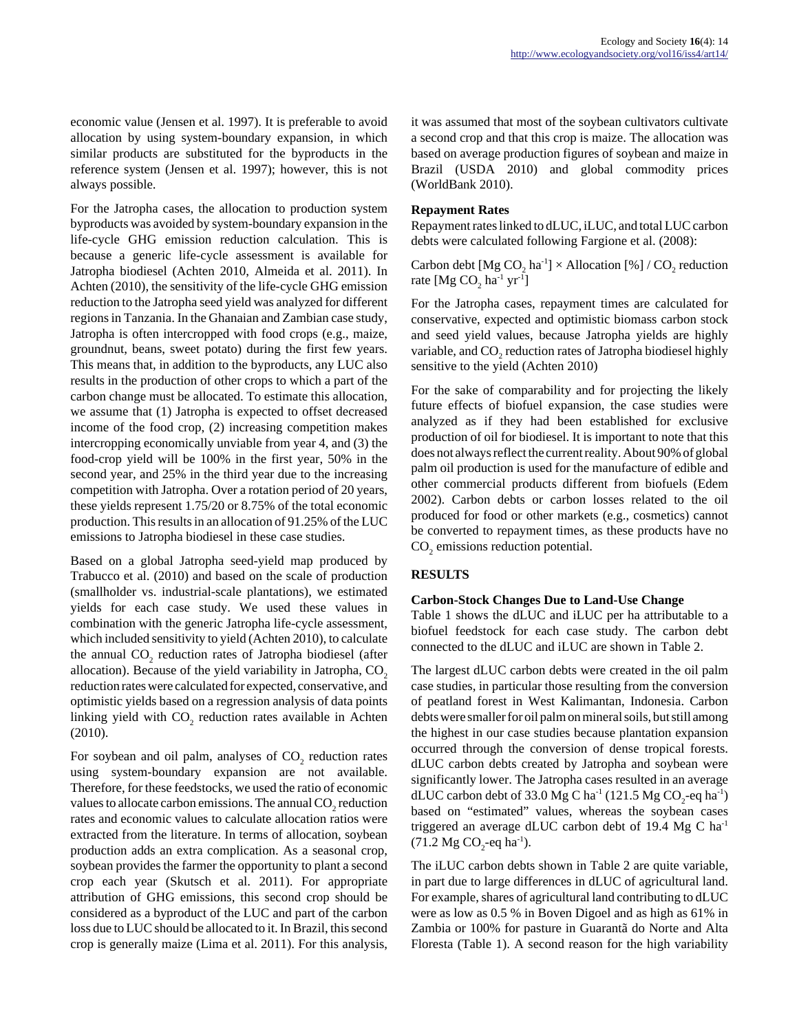economic value (Jensen et al. 1997). It is preferable to avoid allocation by using system-boundary expansion, in which similar products are substituted for the byproducts in the reference system (Jensen et al. 1997); however, this is not always possible.

For the Jatropha cases, the allocation to production system byproducts was avoided by system-boundary expansion in the life-cycle GHG emission reduction calculation. This is because a generic life-cycle assessment is available for Jatropha biodiesel (Achten 2010, Almeida et al. 2011). In Achten (2010), the sensitivity of the life-cycle GHG emission reduction to the Jatropha seed yield was analyzed for different regions in Tanzania. In the Ghanaian and Zambian case study, Jatropha is often intercropped with food crops (e.g., maize, groundnut, beans, sweet potato) during the first few years. This means that, in addition to the byproducts, any LUC also results in the production of other crops to which a part of the carbon change must be allocated. To estimate this allocation, we assume that (1) Jatropha is expected to offset decreased income of the food crop, (2) increasing competition makes intercropping economically unviable from year 4, and (3) the food-crop yield will be 100% in the first year, 50% in the second year, and 25% in the third year due to the increasing competition with Jatropha. Over a rotation period of 20 years, these yields represent 1.75/20 or 8.75% of the total economic production. This results in an allocation of 91.25% of the LUC emissions to Jatropha biodiesel in these case studies.

Based on a global Jatropha seed-yield map produced by Trabucco et al. (2010) and based on the scale of production (smallholder vs. industrial-scale plantations), we estimated yields for each case study. We used these values in combination with the generic Jatropha life-cycle assessment, which included sensitivity to yield (Achten 2010), to calculate the annual  $CO_2$  reduction rates of Jatropha biodiesel (after allocation). Because of the yield variability in Jatropha,  $CO<sub>2</sub>$ reduction rates were calculated for expected, conservative, and optimistic yields based on a regression analysis of data points linking yield with  $CO_2$  reduction rates available in Achten (2010).

For soybean and oil palm, analyses of  $CO_2$  reduction rates using system-boundary expansion are not available. Therefore, for these feedstocks, we used the ratio of economic values to allocate carbon emissions. The annual  $\mathrm{CO}_2$  reduction rates and economic values to calculate allocation ratios were extracted from the literature. In terms of allocation, soybean production adds an extra complication. As a seasonal crop, soybean provides the farmer the opportunity to plant a second crop each year (Skutsch et al. 2011). For appropriate attribution of GHG emissions, this second crop should be considered as a byproduct of the LUC and part of the carbon loss due to LUC should be allocated to it. In Brazil, this second crop is generally maize (Lima et al. 2011). For this analysis, it was assumed that most of the soybean cultivators cultivate a second crop and that this crop is maize. The allocation was based on average production figures of soybean and maize in Brazil (USDA 2010) and global commodity prices (WorldBank 2010).

### **Repayment Rates**

Repayment rates linked to dLUC, iLUC, and total LUC carbon debts were calculated following Fargione et al. (2008):

Carbon debt [Mg  $CO_2$  ha<sup>-1</sup>]  $\times$  Allocation [%] /  $CO_2$  reduction rate [Mg  $CO<sub>2</sub>$  ha<sup>-1</sup> yr<sup>-1</sup>]

For the Jatropha cases, repayment times are calculated for conservative, expected and optimistic biomass carbon stock and seed yield values, because Jatropha yields are highly variable, and  $CO_2$  reduction rates of Jatropha biodiesel highly sensitive to the yield (Achten 2010)

For the sake of comparability and for projecting the likely future effects of biofuel expansion, the case studies were analyzed as if they had been established for exclusive production of oil for biodiesel. It is important to note that this does not always reflect the current reality. About 90% of global palm oil production is used for the manufacture of edible and other commercial products different from biofuels (Edem 2002). Carbon debts or carbon losses related to the oil produced for food or other markets (e.g., cosmetics) cannot be converted to repayment times, as these products have no  $CO<sub>2</sub>$  emissions reduction potential.

### **RESULTS**

#### **Carbon-Stock Changes Due to Land-Use Change**

Table 1 shows the dLUC and iLUC per ha attributable to a biofuel feedstock for each case study. The carbon debt connected to the dLUC and iLUC are shown in Table 2.

The largest dLUC carbon debts were created in the oil palm case studies, in particular those resulting from the conversion of peatland forest in West Kalimantan, Indonesia. Carbon debts were smaller for oil palm on mineral soils, but still among the highest in our case studies because plantation expansion occurred through the conversion of dense tropical forests. dLUC carbon debts created by Jatropha and soybean were significantly lower. The Jatropha cases resulted in an average dLUC carbon debt of 33.0 Mg C ha<sup>-1</sup> (121.5 Mg CO<sub>2</sub>-eq ha<sup>-1</sup>) based on "estimated" values, whereas the soybean cases triggered an average dLUC carbon debt of 19.4 Mg C ha-1  $(71.2 \text{ Mg CO}_2\text{-eq ha}^{-1}).$ 

The iLUC carbon debts shown in Table 2 are quite variable, in part due to large differences in dLUC of agricultural land. For example, shares of agricultural land contributing to dLUC were as low as 0.5 % in Boven Digoel and as high as 61% in Zambia or 100% for pasture in Guarantã do Norte and Alta Floresta (Table 1). A second reason for the high variability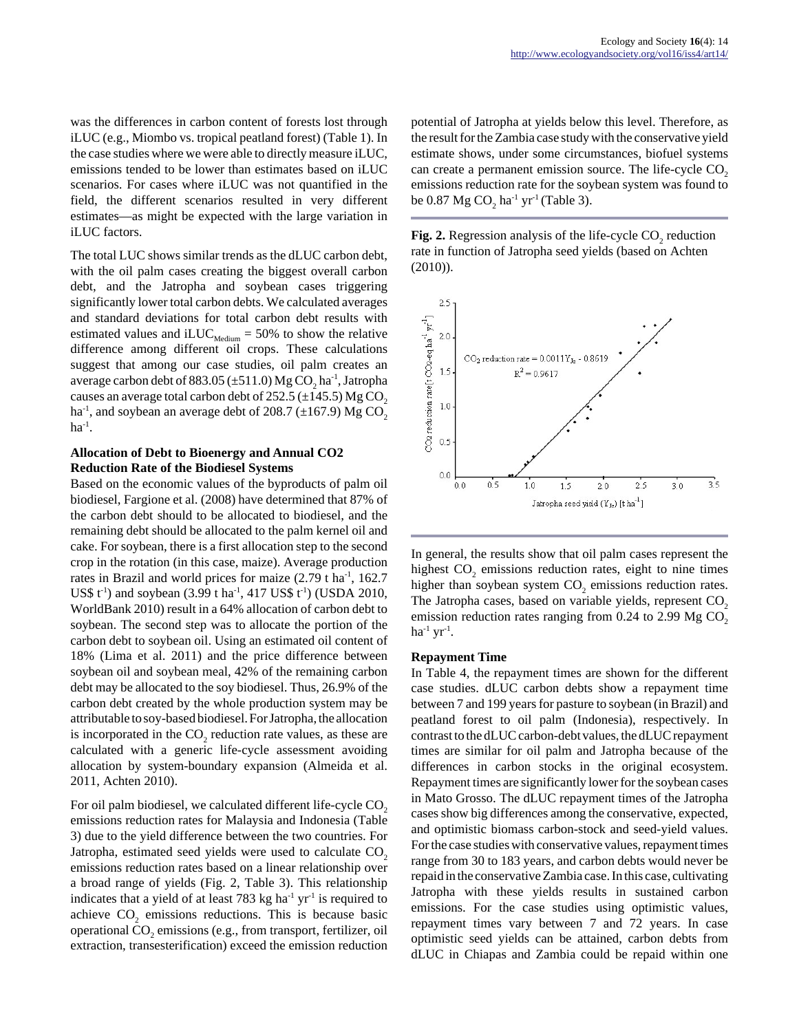was the differences in carbon content of forests lost through iLUC (e.g., Miombo vs. tropical peatland forest) (Table 1). In the case studies where we were able to directly measure iLUC, emissions tended to be lower than estimates based on iLUC scenarios. For cases where iLUC was not quantified in the field, the different scenarios resulted in very different estimates—as might be expected with the large variation in iLUC factors.

The total LUC shows similar trends as the dLUC carbon debt, with the oil palm cases creating the biggest overall carbon debt, and the Jatropha and soybean cases triggering significantly lower total carbon debts. We calculated averages and standard deviations for total carbon debt results with estimated values and iLUC $_{\text{Median}}$  = 50% to show the relative difference among different oil crops. These calculations suggest that among our case studies, oil palm creates an average carbon debt of 883.05 (±511.0)  $MgCO_{2}$  ha<sup>-1</sup>, Jatropha causes an average total carbon debt of  $252.5 \ (\pm 145.5) \text{ Mg CO}$ , ha<sup>-1</sup>, and soybean an average debt of 208.7 ( $\pm$ 167.9) Mg CO<sub>2</sub>  $ha^{-1}$ .

### **Allocation of Debt to Bioenergy and Annual CO2 Reduction Rate of the Biodiesel Systems**

Based on the economic values of the byproducts of palm oil biodiesel, Fargione et al. (2008) have determined that 87% of the carbon debt should to be allocated to biodiesel, and the remaining debt should be allocated to the palm kernel oil and cake. For soybean, there is a first allocation step to the second crop in the rotation (in this case, maize). Average production rates in Brazil and world prices for maize (2.79 t ha<sup>-1</sup>, 162.7) US\$  $t^{-1}$ ) and soybean (3.99 t ha<sup>-1</sup>, 417 US\$  $t^{-1}$ ) (USDA 2010, WorldBank 2010) result in a 64% allocation of carbon debt to soybean. The second step was to allocate the portion of the carbon debt to soybean oil. Using an estimated oil content of 18% (Lima et al. 2011) and the price difference between soybean oil and soybean meal, 42% of the remaining carbon debt may be allocated to the soy biodiesel. Thus, 26.9% of the carbon debt created by the whole production system may be attributable to soy-based biodiesel. For Jatropha, the allocation is incorporated in the  $CO_2$  reduction rate values, as these are calculated with a generic life-cycle assessment avoiding allocation by system-boundary expansion (Almeida et al. 2011, Achten 2010).

For oil palm biodiesel, we calculated different life-cycle CO<sub>2</sub> emissions reduction rates for Malaysia and Indonesia (Table 3) due to the yield difference between the two countries. For Jatropha, estimated seed yields were used to calculate  $CO<sub>2</sub>$ emissions reduction rates based on a linear relationship over a broad range of yields (Fig. 2, Table 3). This relationship indicates that a yield of at least 783 kg ha<sup>-1</sup> yr<sup>-1</sup> is required to achieve  $CO_2$  emissions reductions. This is because basic operational  $\mathrm{CO}_2$  emissions (e.g., from transport, fertilizer, oil extraction, transesterification) exceed the emission reduction potential of Jatropha at yields below this level. Therefore, as the result for the Zambia case study with the conservative yield estimate shows, under some circumstances, biofuel systems can create a permanent emission source. The life-cycle CO<sub>2</sub> emissions reduction rate for the soybean system was found to be 0.87 Mg  $CO_2$  ha<sup>-1</sup> yr<sup>-1</sup> (Table 3).





In general, the results show that oil palm cases represent the highest  $CO_2$  emissions reduction rates, eight to nine times higher than soybean system  $CO<sub>2</sub>$  emissions reduction rates. The Jatropha cases, based on variable yields, represent CO<sub>2</sub> emission reduction rates ranging from  $0.24$  to  $2.99$  Mg CO<sub>2</sub> ha $^{-1}$  yr  $^{-1}$ .

#### **Repayment Time**

In Table 4, the repayment times are shown for the different case studies. dLUC carbon debts show a repayment time between 7 and 199 years for pasture to soybean (in Brazil) and peatland forest to oil palm (Indonesia), respectively. In contrast to the dLUC carbon-debt values, the dLUC repayment times are similar for oil palm and Jatropha because of the differences in carbon stocks in the original ecosystem. Repayment times are significantly lower for the soybean cases in Mato Grosso. The dLUC repayment times of the Jatropha cases show big differences among the conservative, expected, and optimistic biomass carbon-stock and seed-yield values. For the case studies with conservative values, repayment times range from 30 to 183 years, and carbon debts would never be repaid in the conservative Zambia case. In this case, cultivating Jatropha with these yields results in sustained carbon emissions. For the case studies using optimistic values, repayment times vary between 7 and 72 years. In case optimistic seed yields can be attained, carbon debts from dLUC in Chiapas and Zambia could be repaid within one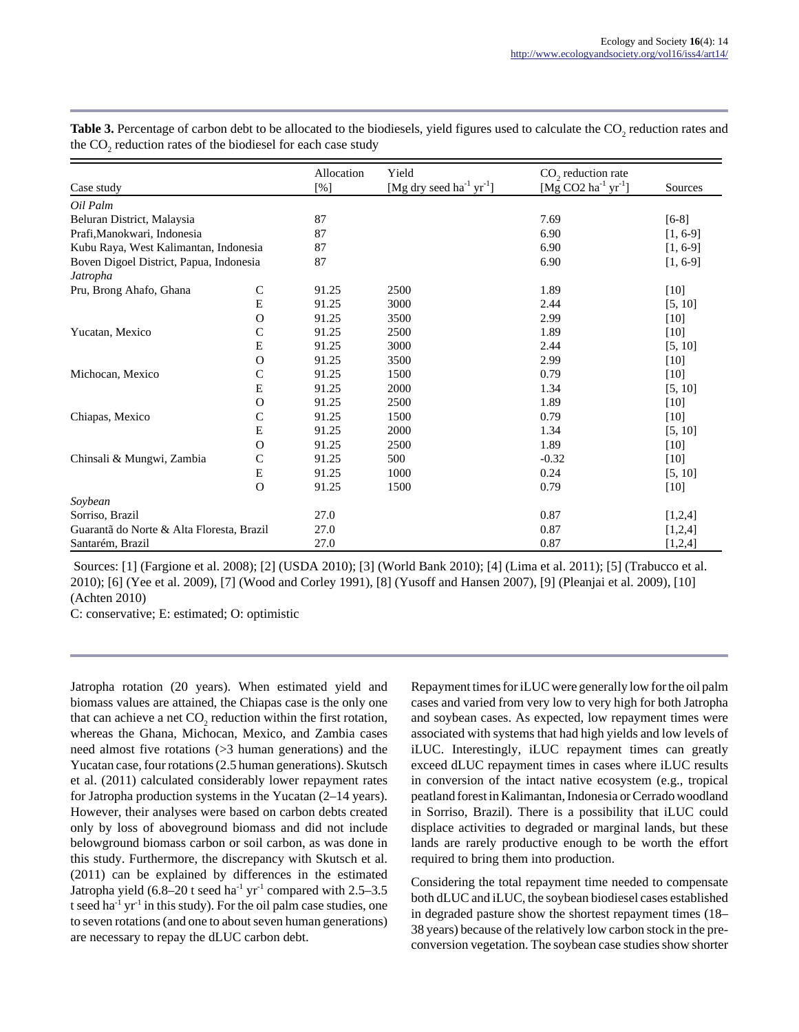|                                           |               | Allocation | Yield                                            | CO <sub>2</sub> reduction rate                 |            |
|-------------------------------------------|---------------|------------|--------------------------------------------------|------------------------------------------------|------------|
| Case study                                |               | [%]        | [Mg dry seed ha <sup>-1</sup> yr <sup>-1</sup> ] | [ $Mg$ CO2 ha <sup>-1</sup> yr <sup>-1</sup> ] | Sources    |
| Oil Palm                                  |               |            |                                                  |                                                |            |
| Beluran District, Malaysia                |               | 87         |                                                  | 7.69                                           | $[6-8]$    |
| Prafi, Manokwari, Indonesia               |               | 87         |                                                  | 6.90                                           | $[1, 6-9]$ |
| Kubu Raya, West Kalimantan, Indonesia     |               | 87         |                                                  | 6.90                                           | $[1, 6-9]$ |
| Boven Digoel District, Papua, Indonesia   |               | 87         |                                                  | 6.90                                           | $[1, 6-9]$ |
| Jatropha                                  |               |            |                                                  |                                                |            |
| Pru, Brong Ahafo, Ghana                   | $\mathsf{C}$  | 91.25      | 2500                                             | 1.89                                           | [10]       |
|                                           | E             | 91.25      | 3000                                             | 2.44                                           | [5, 10]    |
|                                           | $\Omega$      | 91.25      | 3500                                             | 2.99                                           | $[10]$     |
| Yucatan, Mexico                           | $\mathcal{C}$ | 91.25      | 2500                                             | 1.89                                           | [10]       |
|                                           | E             | 91.25      | 3000                                             | 2.44                                           | [5, 10]    |
|                                           | $\Omega$      | 91.25      | 3500                                             | 2.99                                           | $[10]$     |
| Michocan, Mexico                          | $\mathsf{C}$  | 91.25      | 1500                                             | 0.79                                           | $[10]$     |
|                                           | E             | 91.25      | 2000                                             | 1.34                                           | [5, 10]    |
|                                           | $\Omega$      | 91.25      | 2500                                             | 1.89                                           | $[10]$     |
| Chiapas, Mexico                           | $\mathsf{C}$  | 91.25      | 1500                                             | 0.79                                           | [10]       |
|                                           | E             | 91.25      | 2000                                             | 1.34                                           | [5, 10]    |
|                                           | $\mathbf{O}$  | 91.25      | 2500                                             | 1.89                                           | $[10]$     |
| Chinsali & Mungwi, Zambia                 | $\mathsf{C}$  | 91.25      | 500                                              | $-0.32$                                        | $[10]$     |
|                                           | E             | 91.25      | 1000                                             | 0.24                                           | [5, 10]    |
|                                           | $\Omega$      | 91.25      | 1500                                             | 0.79                                           | $[10]$     |
| Soybean                                   |               |            |                                                  |                                                |            |
| Sorriso, Brazil                           |               | 27.0       |                                                  | 0.87                                           | [1,2,4]    |
| Guarantã do Norte & Alta Floresta, Brazil |               | 27.0       |                                                  | 0.87                                           | [1,2,4]    |
| Santarém, Brazil                          |               | 27.0       |                                                  | 0.87                                           | [1,2,4]    |

**Table 3.** Percentage of carbon debt to be allocated to the biodiesels, yield figures used to calculate the  $CO_2$  reduction rates and the  $CO<sub>2</sub>$  reduction rates of the biodiesel for each case study

 Sources: [1] (Fargione et al. 2008); [2] (USDA 2010); [3] (World Bank 2010); [4] (Lima et al. 2011); [5] (Trabucco et al. 2010); [6] (Yee et al. 2009), [7] (Wood and Corley 1991), [8] (Yusoff and Hansen 2007), [9] (Pleanjai et al. 2009), [10] (Achten 2010)

C: conservative; E: estimated; O: optimistic

Jatropha rotation (20 years). When estimated yield and biomass values are attained, the Chiapas case is the only one that can achieve a net  $CO_2$  reduction within the first rotation, whereas the Ghana, Michocan, Mexico, and Zambia cases need almost five rotations (>3 human generations) and the Yucatan case, four rotations (2.5 human generations). Skutsch et al. (2011) calculated considerably lower repayment rates for Jatropha production systems in the Yucatan (2–14 years). However, their analyses were based on carbon debts created only by loss of aboveground biomass and did not include belowground biomass carbon or soil carbon, as was done in this study. Furthermore, the discrepancy with Skutsch et al. (2011) can be explained by differences in the estimated Jatropha yield  $(6.8-20$  t seed ha<sup>-1</sup> yr<sup>-1</sup> compared with 2.5–3.5 t seed ha<sup>-1</sup> yr<sup>-1</sup> in this study). For the oil palm case studies, one to seven rotations (and one to about seven human generations) are necessary to repay the dLUC carbon debt.

Repayment times for iLUC were generally low for the oil palm cases and varied from very low to very high for both Jatropha and soybean cases. As expected, low repayment times were associated with systems that had high yields and low levels of iLUC. Interestingly, iLUC repayment times can greatly exceed dLUC repayment times in cases where iLUC results in conversion of the intact native ecosystem (e.g., tropical peatland forest in Kalimantan, Indonesia or Cerrado woodland in Sorriso, Brazil). There is a possibility that iLUC could displace activities to degraded or marginal lands, but these lands are rarely productive enough to be worth the effort required to bring them into production.

Considering the total repayment time needed to compensate both dLUC and iLUC, the soybean biodiesel cases established in degraded pasture show the shortest repayment times (18– 38 years) because of the relatively low carbon stock in the preconversion vegetation. The soybean case studies show shorter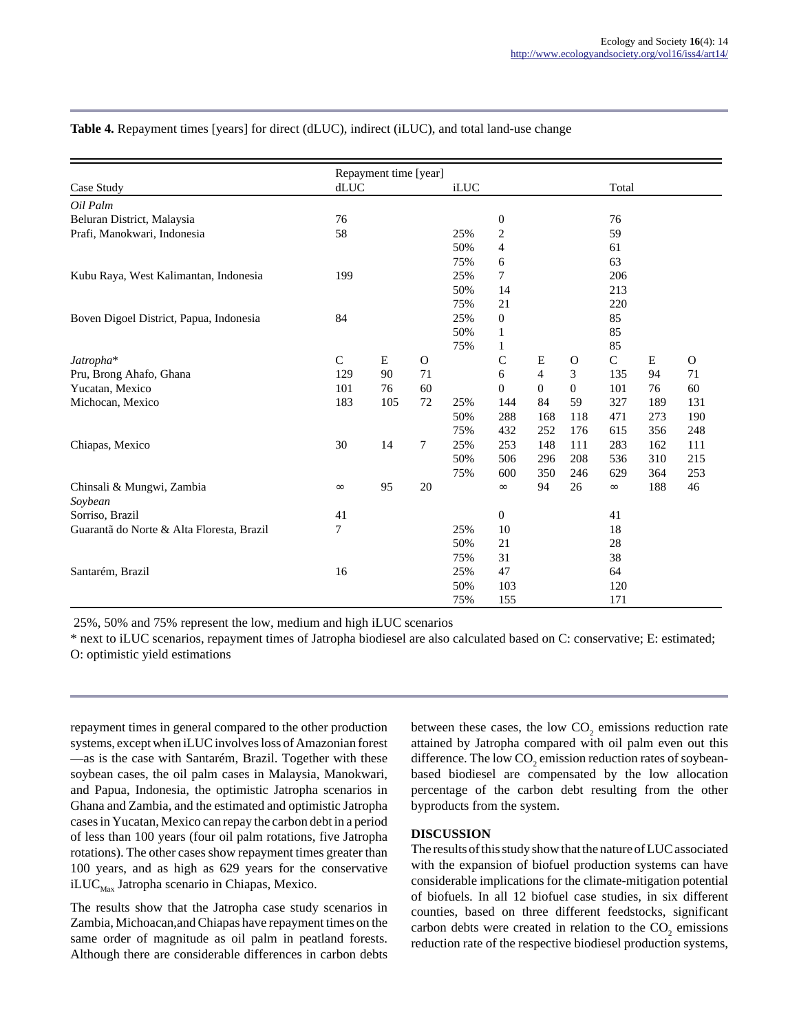### Repayment time [year] Case Study and Total in the Study of the Study of the Study of the Study of the Study of Total in the Study of Total in the Study of Total in the Study of Total in the Study of Total in the Study of Total in the Study of T *Oil Palm* Beluran District, Malaysia 76 0 76 Prafi, Manokwari, Indonesia 58 25% 2 59 50% 4 61 75% 6 63 Kubu Raya, West Kalimantan, Indonesia 199 25% 7 206 50% 14 213 75% 21 220 Boven Digoel District, Papua, Indonesia 84 25% 0 85 50% 1 85 75% 1 85 *Jatropha*\* C E O C E O C E O Pru, Brong Ahafo, Ghana 129 90 71 6 4 3 135 94 71 Yucatan, Mexico 200 101 200 101 200 101 101 200 101 200 101 200 101 200 101 200 101 200 101 200 101 200 101 20 Michocan, Mexico 183 105 72 25% 144 84 59 327 189 131 50% 288 168 118 471 273 190 75% 432 252 176 615 356 248 Chiapas, Mexico 30 14 7 25% 253 148 111 283 162 111 50% 506 296 208 536 310 215 75% 600 350 246 629 364 253 Chinsali & Mungwi, Zambia  $\approx$  95 20  $\approx$  94 26  $\approx$  188 46 *Soybean* Sorriso, Brazil 41 0 41 Guarantã do Norte & Alta Floresta, Brazil  $\qquad \qquad 7$  25% 10 18 50% 21 28 75% 31 38 Santarém, Brazil 16 16 25% 47 64 50% 103 120

#### **Table 4.** Repayment times [years] for direct (dLUC), indirect (iLUC), and total land-use change

25%, 50% and 75% represent the low, medium and high iLUC scenarios

\* next to iLUC scenarios, repayment times of Jatropha biodiesel are also calculated based on C: conservative; E: estimated; O: optimistic yield estimations

repayment times in general compared to the other production systems, except when iLUC involves loss of Amazonian forest —as is the case with Santarém, Brazil. Together with these soybean cases, the oil palm cases in Malaysia, Manokwari, and Papua, Indonesia, the optimistic Jatropha scenarios in Ghana and Zambia, and the estimated and optimistic Jatropha cases in Yucatan, Mexico can repay the carbon debt in a period of less than 100 years (four oil palm rotations, five Jatropha rotations). The other cases show repayment times greater than 100 years, and as high as 629 years for the conservative  $iLUC<sub>Max</sub>$  Jatropha scenario in Chiapas, Mexico.

The results show that the Jatropha case study scenarios in Zambia, Michoacan,and Chiapas have repayment times on the same order of magnitude as oil palm in peatland forests. Although there are considerable differences in carbon debts

between these cases, the low  $CO_2$  emissions reduction rate attained by Jatropha compared with oil palm even out this difference. The low  $\mathrm{CO}_2$  emission reduction rates of soybeanbased biodiesel are compensated by the low allocation percentage of the carbon debt resulting from the other byproducts from the system.

75% 155 171

#### **DISCUSSION**

The results of this study show that the nature of LUC associated with the expansion of biofuel production systems can have considerable implications for the climate-mitigation potential of biofuels. In all 12 biofuel case studies, in six different counties, based on three different feedstocks, significant carbon debts were created in relation to the  $CO_2$  emissions reduction rate of the respective biodiesel production systems,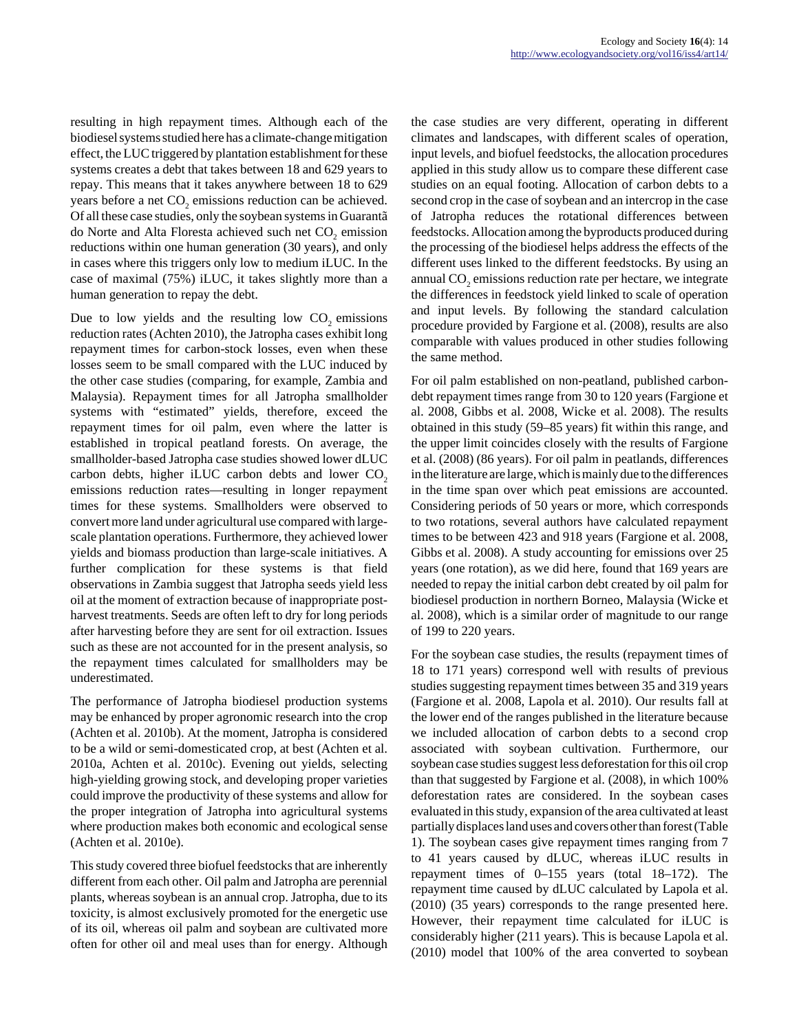resulting in high repayment times. Although each of the biodiesel systems studied here has a climate-change mitigation effect, the LUC triggered by plantation establishment for these systems creates a debt that takes between 18 and 629 years to repay. This means that it takes anywhere between 18 to 629 years before a net  $CO_2$  emissions reduction can be achieved. Of all these case studies, only the soybean systems in Guarantã do Norte and Alta Floresta achieved such net  $\mathrm{CO}_2$  emission reductions within one human generation (30 years), and only in cases where this triggers only low to medium iLUC. In the case of maximal (75%) iLUC, it takes slightly more than a human generation to repay the debt.

Due to low yields and the resulting low  $CO<sub>2</sub>$  emissions reduction rates (Achten 2010), the Jatropha cases exhibit long repayment times for carbon-stock losses, even when these losses seem to be small compared with the LUC induced by the other case studies (comparing, for example, Zambia and Malaysia). Repayment times for all Jatropha smallholder systems with "estimated" yields, therefore, exceed the repayment times for oil palm, even where the latter is established in tropical peatland forests. On average, the smallholder-based Jatropha case studies showed lower dLUC carbon debts, higher iLUC carbon debts and lower  $CO<sub>2</sub>$ emissions reduction rates—resulting in longer repayment times for these systems. Smallholders were observed to convert more land under agricultural use compared with largescale plantation operations. Furthermore, they achieved lower yields and biomass production than large-scale initiatives. A further complication for these systems is that field observations in Zambia suggest that Jatropha seeds yield less oil at the moment of extraction because of inappropriate postharvest treatments. Seeds are often left to dry for long periods after harvesting before they are sent for oil extraction. Issues such as these are not accounted for in the present analysis, so the repayment times calculated for smallholders may be underestimated.

The performance of Jatropha biodiesel production systems may be enhanced by proper agronomic research into the crop (Achten et al. 2010b). At the moment, Jatropha is considered to be a wild or semi-domesticated crop, at best (Achten et al. 2010a, Achten et al. 2010c). Evening out yields, selecting high-yielding growing stock, and developing proper varieties could improve the productivity of these systems and allow for the proper integration of Jatropha into agricultural systems where production makes both economic and ecological sense (Achten et al. 2010e).

This study covered three biofuel feedstocks that are inherently different from each other. Oil palm and Jatropha are perennial plants, whereas soybean is an annual crop. Jatropha, due to its toxicity, is almost exclusively promoted for the energetic use of its oil, whereas oil palm and soybean are cultivated more often for other oil and meal uses than for energy. Although the case studies are very different, operating in different climates and landscapes, with different scales of operation, input levels, and biofuel feedstocks, the allocation procedures applied in this study allow us to compare these different case studies on an equal footing. Allocation of carbon debts to a second crop in the case of soybean and an intercrop in the case of Jatropha reduces the rotational differences between feedstocks. Allocation among the byproducts produced during the processing of the biodiesel helps address the effects of the different uses linked to the different feedstocks. By using an annual  $\mathrm{CO}_2$  emissions reduction rate per hectare, we integrate the differences in feedstock yield linked to scale of operation and input levels. By following the standard calculation procedure provided by Fargione et al. (2008), results are also comparable with values produced in other studies following the same method.

For oil palm established on non-peatland, published carbondebt repayment times range from 30 to 120 years (Fargione et al. 2008, Gibbs et al. 2008, Wicke et al. 2008). The results obtained in this study (59–85 years) fit within this range, and the upper limit coincides closely with the results of Fargione et al. (2008) (86 years). For oil palm in peatlands, differences in the literature are large, which is mainly due to the differences in the time span over which peat emissions are accounted. Considering periods of 50 years or more, which corresponds to two rotations, several authors have calculated repayment times to be between 423 and 918 years (Fargione et al. 2008, Gibbs et al. 2008). A study accounting for emissions over 25 years (one rotation), as we did here, found that 169 years are needed to repay the initial carbon debt created by oil palm for biodiesel production in northern Borneo, Malaysia (Wicke et al. 2008), which is a similar order of magnitude to our range of 199 to 220 years.

For the soybean case studies, the results (repayment times of 18 to 171 years) correspond well with results of previous studies suggesting repayment times between 35 and 319 years (Fargione et al. 2008, Lapola et al. 2010). Our results fall at the lower end of the ranges published in the literature because we included allocation of carbon debts to a second crop associated with soybean cultivation. Furthermore, our soybean case studies suggest less deforestation for this oil crop than that suggested by Fargione et al. (2008), in which 100% deforestation rates are considered. In the soybean cases evaluated in this study, expansion of the area cultivated at least partially displaces land uses and covers other than forest (Table 1). The soybean cases give repayment times ranging from 7 to 41 years caused by dLUC, whereas iLUC results in repayment times of 0–155 years (total 18–172). The repayment time caused by dLUC calculated by Lapola et al. (2010) (35 years) corresponds to the range presented here. However, their repayment time calculated for iLUC is considerably higher (211 years). This is because Lapola et al. (2010) model that 100% of the area converted to soybean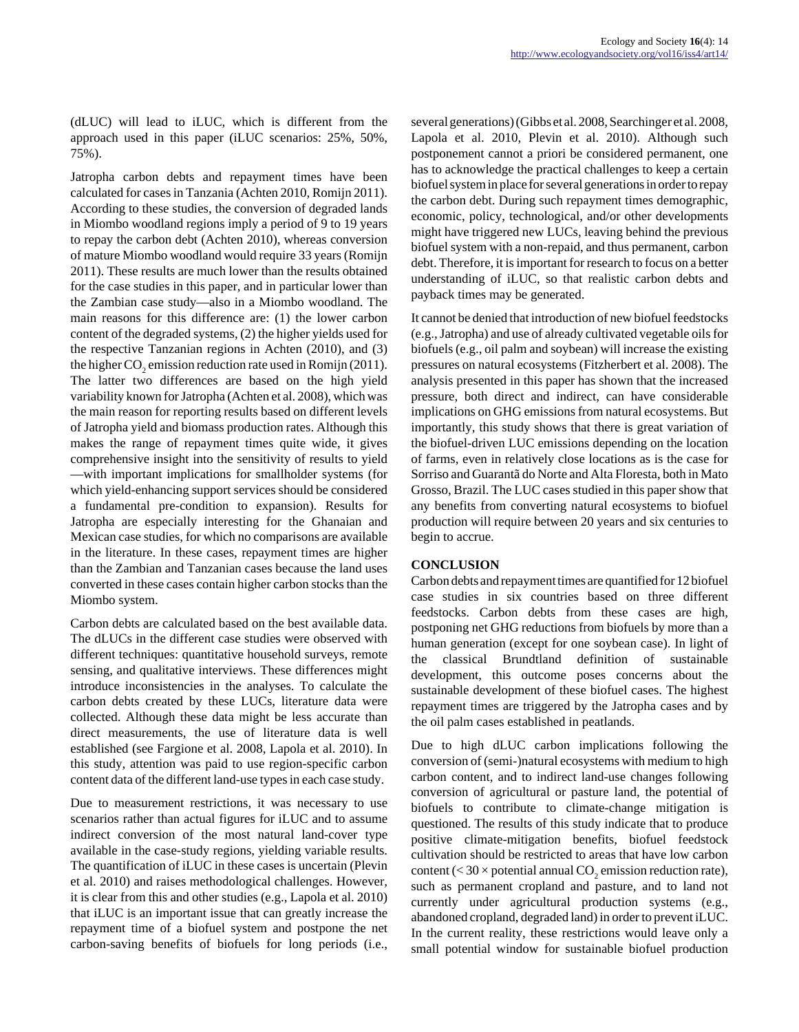(dLUC) will lead to iLUC, which is different from the approach used in this paper (iLUC scenarios: 25%, 50%, 75%).

Jatropha carbon debts and repayment times have been calculated for cases in Tanzania (Achten 2010, Romijn 2011). According to these studies, the conversion of degraded lands in Miombo woodland regions imply a period of 9 to 19 years to repay the carbon debt (Achten 2010), whereas conversion of mature Miombo woodland would require 33 years (Romijn 2011). These results are much lower than the results obtained for the case studies in this paper, and in particular lower than the Zambian case study—also in a Miombo woodland. The main reasons for this difference are: (1) the lower carbon content of the degraded systems, (2) the higher yields used for the respective Tanzanian regions in Achten (2010), and (3) the higher  $CO_2$  emission reduction rate used in Romijn (2011). The latter two differences are based on the high yield variability known for Jatropha (Achten et al. 2008), which was the main reason for reporting results based on different levels of Jatropha yield and biomass production rates. Although this makes the range of repayment times quite wide, it gives comprehensive insight into the sensitivity of results to yield —with important implications for smallholder systems (for which yield-enhancing support services should be considered a fundamental pre-condition to expansion). Results for Jatropha are especially interesting for the Ghanaian and Mexican case studies, for which no comparisons are available in the literature. In these cases, repayment times are higher than the Zambian and Tanzanian cases because the land uses converted in these cases contain higher carbon stocks than the Miombo system.

Carbon debts are calculated based on the best available data. The dLUCs in the different case studies were observed with different techniques: quantitative household surveys, remote sensing, and qualitative interviews. These differences might introduce inconsistencies in the analyses. To calculate the carbon debts created by these LUCs, literature data were collected. Although these data might be less accurate than direct measurements, the use of literature data is well established (see Fargione et al. 2008, Lapola et al. 2010). In this study, attention was paid to use region-specific carbon content data of the different land-use types in each case study.

Due to measurement restrictions, it was necessary to use scenarios rather than actual figures for iLUC and to assume indirect conversion of the most natural land-cover type available in the case-study regions, yielding variable results. The quantification of iLUC in these cases is uncertain (Plevin et al. 2010) and raises methodological challenges. However, it is clear from this and other studies (e.g., Lapola et al. 2010) that iLUC is an important issue that can greatly increase the repayment time of a biofuel system and postpone the net carbon-saving benefits of biofuels for long periods (i.e., several generations) (Gibbs et al. 2008, Searchinger et al. 2008, Lapola et al. 2010, Plevin et al. 2010). Although such postponement cannot a priori be considered permanent, one has to acknowledge the practical challenges to keep a certain biofuel system in place for several generations in order to repay the carbon debt. During such repayment times demographic, economic, policy, technological, and/or other developments might have triggered new LUCs, leaving behind the previous biofuel system with a non-repaid, and thus permanent, carbon debt. Therefore, it is important for research to focus on a better understanding of iLUC, so that realistic carbon debts and payback times may be generated.

It cannot be denied that introduction of new biofuel feedstocks (e.g., Jatropha) and use of already cultivated vegetable oils for biofuels (e.g., oil palm and soybean) will increase the existing pressures on natural ecosystems (Fitzherbert et al. 2008). The analysis presented in this paper has shown that the increased pressure, both direct and indirect, can have considerable implications on GHG emissions from natural ecosystems. But importantly, this study shows that there is great variation of the biofuel-driven LUC emissions depending on the location of farms, even in relatively close locations as is the case for Sorriso and Guarantã do Norte and Alta Floresta, both in Mato Grosso, Brazil. The LUC cases studied in this paper show that any benefits from converting natural ecosystems to biofuel production will require between 20 years and six centuries to begin to accrue.

#### **CONCLUSION**

Carbon debts and repayment times are quantified for 12 biofuel case studies in six countries based on three different feedstocks. Carbon debts from these cases are high, postponing net GHG reductions from biofuels by more than a human generation (except for one soybean case). In light of the classical Brundtland definition of sustainable development, this outcome poses concerns about the sustainable development of these biofuel cases. The highest repayment times are triggered by the Jatropha cases and by the oil palm cases established in peatlands.

Due to high dLUC carbon implications following the conversion of (semi-)natural ecosystems with medium to high carbon content, and to indirect land-use changes following conversion of agricultural or pasture land, the potential of biofuels to contribute to climate-change mitigation is questioned. The results of this study indicate that to produce positive climate-mitigation benefits, biofuel feedstock cultivation should be restricted to areas that have low carbon content ( $<$  30  $\times$  potential annual CO<sub>2</sub> emission reduction rate), such as permanent cropland and pasture, and to land not currently under agricultural production systems (e.g., abandoned cropland, degraded land) in order to prevent iLUC. In the current reality, these restrictions would leave only a small potential window for sustainable biofuel production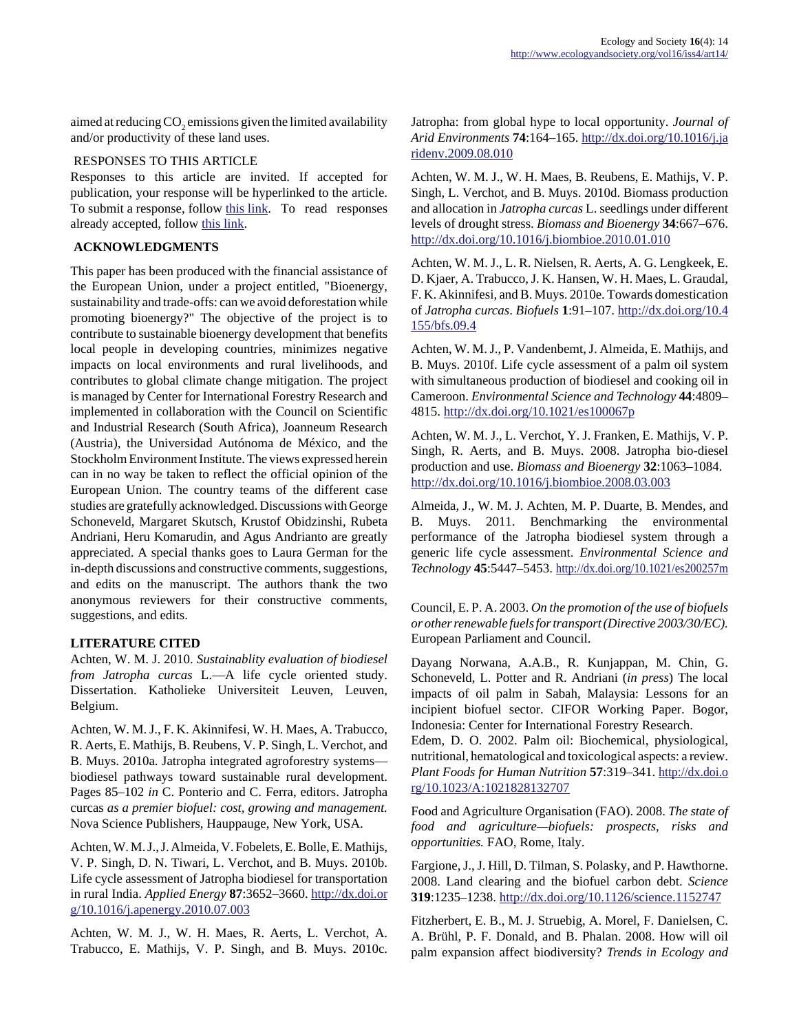aimed at reducing  $\mathrm{CO}_2$  emissions given the limited availability and/or productivity of these land uses.

### RESPONSES TO THIS ARTICLE

Responses to this article are invited. If accepted for publication, your response will be hyperlinked to the article. To submit a response, follow [this link](http://www.ecologyandsociety.org/responses.php?articleid=4403&mode=add). To read responses already accepted, follow [this link](http://www.ecologyandsociety.org/responses.php?articleid=4403).

### **ACKNOWLEDGMENTS**

This paper has been produced with the financial assistance of the European Union, under a project entitled, "Bioenergy, sustainability and trade-offs: can we avoid deforestation while promoting bioenergy?" The objective of the project is to contribute to sustainable bioenergy development that benefits local people in developing countries, minimizes negative impacts on local environments and rural livelihoods, and contributes to global climate change mitigation. The project is managed by Center for International Forestry Research and implemented in collaboration with the Council on Scientific and Industrial Research (South Africa), Joanneum Research (Austria), the Universidad Autónoma de México, and the Stockholm Environment Institute. The views expressed herein can in no way be taken to reflect the official opinion of the European Union. The country teams of the different case studies are gratefully acknowledged. Discussions with George Schoneveld, Margaret Skutsch, Krustof Obidzinshi, Rubeta Andriani, Heru Komarudin, and Agus Andrianto are greatly appreciated. A special thanks goes to Laura German for the in-depth discussions and constructive comments, suggestions, and edits on the manuscript. The authors thank the two anonymous reviewers for their constructive comments, suggestions, and edits.

### **LITERATURE CITED**

Achten, W. M. J. 2010. *Sustainablity evaluation of biodiesel from Jatropha curcas* L.—A life cycle oriented study. Dissertation. Katholieke Universiteit Leuven, Leuven, Belgium.

Achten, W. M. J., F. K. Akinnifesi, W. H. Maes, A. Trabucco, R. Aerts, E. Mathijs, B. Reubens, V. P. Singh, L. Verchot, and B. Muys. 2010a. Jatropha integrated agroforestry systems biodiesel pathways toward sustainable rural development. Pages 85–102 *in* C. Ponterio and C. Ferra, editors. Jatropha curcas *as a premier biofuel: cost, growing and management.* Nova Science Publishers, Hauppauge, New York, USA.

Achten, W. M. J., J. Almeida, V. Fobelets, E. Bolle, E. Mathijs, V. P. Singh, D. N. Tiwari, L. Verchot, and B. Muys. 2010b. Life cycle assessment of Jatropha biodiesel for transportation in rural India. *Applied Energy* **87**:3652–3660. [http://dx.doi.or](http://dx.doi.org/10.1016/j.apenergy.2010.07.003) [g/10.1016/j.apenergy.2010.07.003](http://dx.doi.org/10.1016/j.apenergy.2010.07.003)

Achten, W. M. J., W. H. Maes, R. Aerts, L. Verchot, A. Trabucco, E. Mathijs, V. P. Singh, and B. Muys. 2010c. Jatropha: from global hype to local opportunity. *Journal of Arid Environments* **74**:164–165. [http://dx.doi.org/10.1016/j.ja](http://dx.doi.org/10.1016/j.jaridenv.2009.08.010) [ridenv.2009.08.010](http://dx.doi.org/10.1016/j.jaridenv.2009.08.010)

Achten, W. M. J., W. H. Maes, B. Reubens, E. Mathijs, V. P. Singh, L. Verchot, and B. Muys. 2010d. Biomass production and allocation in *Jatropha curcas* L. seedlings under different levels of drought stress. *Biomass and Bioenergy* **34**:667–676. <http://dx.doi.org/10.1016/j.biombioe.2010.01.010>

Achten, W. M. J., L. R. Nielsen, R. Aerts, A. G. Lengkeek, E. D. Kjaer, A. Trabucco, J. K. Hansen, W. H. Maes, L. Graudal, F. K. Akinnifesi, and B. Muys. 2010e. Towards domestication of *Jatropha curcas*. *Biofuels* **1**:91–107. [http://dx.doi.org/10.4](http://dx.doi.org/10.4155/bfs.09.4) [155/bfs.09.4](http://dx.doi.org/10.4155/bfs.09.4)

Achten, W. M. J., P. Vandenbemt, J. Almeida, E. Mathijs, and B. Muys. 2010f. Life cycle assessment of a palm oil system with simultaneous production of biodiesel and cooking oil in Cameroon. *Environmental Science and Technology* **44**:4809– 4815.<http://dx.doi.org/10.1021/es100067p>

Achten, W. M. J., L. Verchot, Y. J. Franken, E. Mathijs, V. P. Singh, R. Aerts, and B. Muys. 2008. Jatropha bio-diesel production and use. *Biomass and Bioenergy* **32**:1063–1084. <http://dx.doi.org/10.1016/j.biombioe.2008.03.003>

Almeida, J., W. M. J. Achten, M. P. Duarte, B. Mendes, and B. Muys. 2011. Benchmarking the environmental performance of the Jatropha biodiesel system through a generic life cycle assessment. *Environmental Science and Technology* **45**:5447–5453.<http://dx.doi.org/10.1021/es200257m>

Council, E. P. A. 2003. *On the promotion of the use of biofuels or other renewable fuels for transport (Directive 2003/30/EC).* European Parliament and Council.

Dayang Norwana, A.A.B., R. Kunjappan, M. Chin, G. Schoneveld, L. Potter and R. Andriani (*in press*) The local impacts of oil palm in Sabah, Malaysia: Lessons for an incipient biofuel sector. CIFOR Working Paper. Bogor, Indonesia: Center for International Forestry Research.

Edem, D. O. 2002. Palm oil: Biochemical, physiological, nutritional, hematological and toxicological aspects: a review. *Plant Foods for Human Nutrition* **57**:319–341. [http://dx.doi.o](http://dx.doi.org/10.1023/A:1021828132707) [rg/10.1023/A:1021828132707](http://dx.doi.org/10.1023/A:1021828132707)

Food and Agriculture Organisation (FAO). 2008. *The state of food and agriculture—biofuels: prospects, risks and opportunities.* FAO, Rome, Italy.

Fargione, J., J. Hill, D. Tilman, S. Polasky, and P. Hawthorne. 2008. Land clearing and the biofuel carbon debt. *Science* **319**:1235–1238. <http://dx.doi.org/10.1126/science.1152747>

Fitzherbert, E. B., M. J. Struebig, A. Morel, F. Danielsen, C. A. Brühl, P. F. Donald, and B. Phalan. 2008. How will oil palm expansion affect biodiversity? *Trends in Ecology and*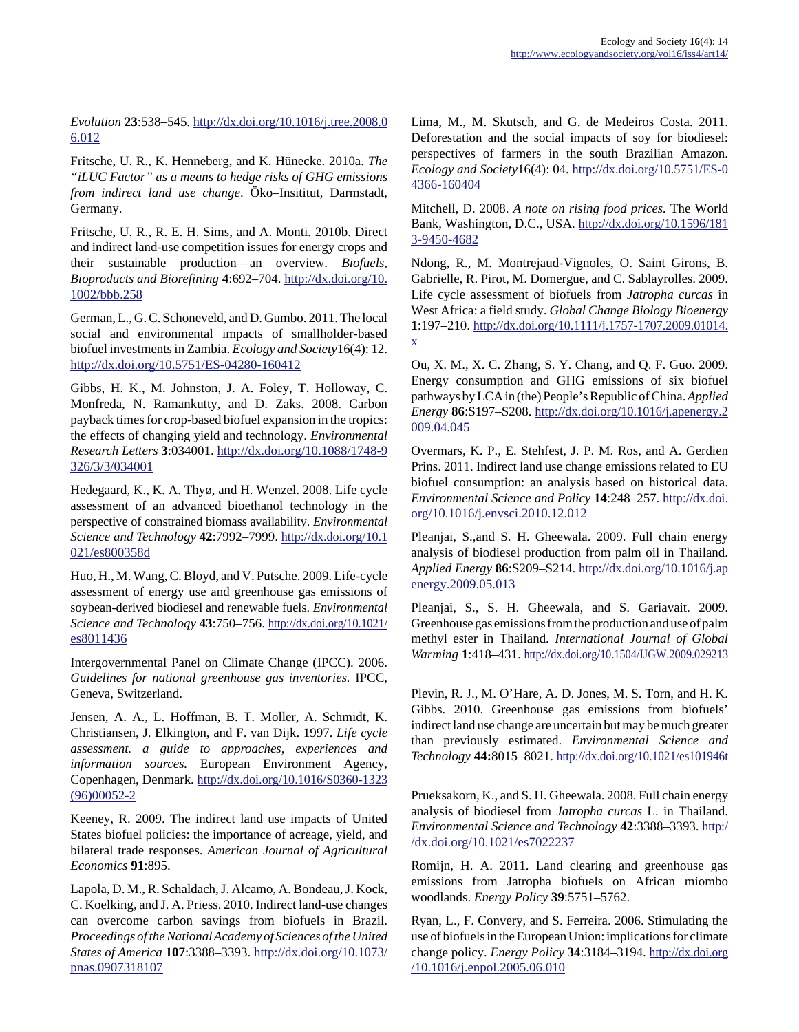*Evolution* **23**:538–545. [http://dx.doi.org/10.1016/j.tree.2008.0](http://dx.doi.org/10.1016/j.tree.2008.06.012) [6.012](http://dx.doi.org/10.1016/j.tree.2008.06.012)

Fritsche, U. R., K. Henneberg, and K. Hünecke. 2010a. *The "iLUC Factor" as a means to hedge risks of GHG emissions from indirect land use change*. Öko–Insititut, Darmstadt, Germany.

Fritsche, U. R., R. E. H. Sims, and A. Monti. 2010b. Direct and indirect land-use competition issues for energy crops and their sustainable production—an overview. *Biofuels, Bioproducts and Biorefining* **4**:692–704. [http://dx.doi.org/10.](http://dx.doi.org/10.1002/bbb.258) [1002/bbb.258](http://dx.doi.org/10.1002/bbb.258)

German, L., G. C. Schoneveld, and D. Gumbo. 2011. The local social and environmental impacts of smallholder-based biofuel investments in Zambia. *Ecology and Society*16(4): 12. <http://dx.doi.org/10.5751/ES-04280-160412>

Gibbs, H. K., M. Johnston, J. A. Foley, T. Holloway, C. Monfreda, N. Ramankutty, and D. Zaks. 2008. Carbon payback times for crop-based biofuel expansion in the tropics: the effects of changing yield and technology. *Environmental Research Letters* **3**:034001. [http://dx.doi.org/10.1088/1748-9](http://dx.doi.org/10.1088/1748-9326/3/3/034001) [326/3/3/034001](http://dx.doi.org/10.1088/1748-9326/3/3/034001)

Hedegaard, K., K. A. Thyø, and H. Wenzel. 2008. Life cycle assessment of an advanced bioethanol technology in the perspective of constrained biomass availability. *Environmental Science and Technology* **42**:7992–7999. [http://dx.doi.org/10.1](http://dx.doi.org/10.1021/es800358d) [021/es800358d](http://dx.doi.org/10.1021/es800358d)

Huo, H., M. Wang, C. Bloyd, and V. Putsche. 2009. Life-cycle assessment of energy use and greenhouse gas emissions of soybean-derived biodiesel and renewable fuels. *Environmental Science and Technology* **43**:750–756. [http://dx.doi.org/10.1021/](http://dx.doi.org/10.1021/es8011436) [es8011436](http://dx.doi.org/10.1021/es8011436)

Intergovernmental Panel on Climate Change (IPCC). 2006. *Guidelines for national greenhouse gas inventories.* IPCC, Geneva, Switzerland.

Jensen, A. A., L. Hoffman, B. T. Moller, A. Schmidt, K. Christiansen, J. Elkington, and F. van Dijk. 1997. *Life cycle assessment. a guide to approaches, experiences and information sources.* European Environment Agency, Copenhagen, Denmark. [http://dx.doi.org/10.1016/S0360-1323](http://dx.doi.org/10.1016/S0360-1323(96)00052-2) [\(96\)00052-2](http://dx.doi.org/10.1016/S0360-1323(96)00052-2)

Keeney, R. 2009. The indirect land use impacts of United States biofuel policies: the importance of acreage, yield, and bilateral trade responses. *American Journal of Agricultural Economics* **91**:895.

Lapola, D. M., R. Schaldach, J. Alcamo, A. Bondeau, J. Kock, C. Koelking, and J. A. Priess. 2010. Indirect land-use changes can overcome carbon savings from biofuels in Brazil. *Proceedings of the National Academy of Sciences of the United States of America* **107**:3388–3393. [http://dx.doi.org/10.1073/](http://dx.doi.org/10.1073/pnas.0907318107) [pnas.0907318107](http://dx.doi.org/10.1073/pnas.0907318107)

Lima, M., M. Skutsch, and G. de Medeiros Costa. 2011. Deforestation and the social impacts of soy for biodiesel: perspectives of farmers in the south Brazilian Amazon. *Ecology and Society*16(4): 04. [http://dx.doi.org/10.5751/ES-0](http://dx.doi.org/10.5751/ES-04366-160404) [4366-160404](http://dx.doi.org/10.5751/ES-04366-160404)

Mitchell, D. 2008. *A note on rising food prices.* The World Bank, Washington, D.C., USA. [http://dx.doi.org/10.1596/181](http://dx.doi.org/10.1596/1813-9450-4682) [3-9450-4682](http://dx.doi.org/10.1596/1813-9450-4682)

Ndong, R., M. Montrejaud-Vignoles, O. Saint Girons, B. Gabrielle, R. Pirot, M. Domergue, and C. Sablayrolles. 2009. Life cycle assessment of biofuels from *Jatropha curcas* in West Africa: a field study. *Global Change Biology Bioenergy* **1**:197–210. [http://dx.doi.org/10.1111/j.1757-1707.2009.01014.](http://dx.doi.org/10.1111/j.1757-1707.2009.01014.x) [x](http://dx.doi.org/10.1111/j.1757-1707.2009.01014.x)

Ou, X. M., X. C. Zhang, S. Y. Chang, and Q. F. Guo. 2009. Energy consumption and GHG emissions of six biofuel pathways by LCA in (the) People's Republic of China. *Applied Energy* **86**:S197–S208. [http://dx.doi.org/10.1016/j.apenergy.2](http://dx.doi.org/10.1016/j.apenergy.2009.04.045) [009.04.045](http://dx.doi.org/10.1016/j.apenergy.2009.04.045)

Overmars, K. P., E. Stehfest, J. P. M. Ros, and A. Gerdien Prins. 2011. Indirect land use change emissions related to EU biofuel consumption: an analysis based on historical data. *Environmental Science and Policy* **14**:248–257. [http://dx.doi.](http://dx.doi.org/10.1016/j.envsci.2010.12.012) [org/10.1016/j.envsci.2010.12.012](http://dx.doi.org/10.1016/j.envsci.2010.12.012)

Pleanjai, S.,and S. H. Gheewala. 2009. Full chain energy analysis of biodiesel production from palm oil in Thailand. *Applied Energy* **86**:S209–S214. [http://dx.doi.org/10.1016/j.ap](http://dx.doi.org/10.1016/j.apenergy.2009.05.013) [energy.2009.05.013](http://dx.doi.org/10.1016/j.apenergy.2009.05.013)

Pleanjai, S., S. H. Gheewala, and S. Gariavait. 2009. Greenhouse gas emissions from the production and use of palm methyl ester in Thailand. *International Journal of Global Warming* **1**:418–431. <http://dx.doi.org/10.1504/IJGW.2009.029213>

Plevin, R. J., M. O'Hare, A. D. Jones, M. S. Torn, and H. K. Gibbs. 2010. Greenhouse gas emissions from biofuels' indirect land use change are uncertain but may be much greater than previously estimated. *Environmental Science and Technology* **44:**8015–8021. <http://dx.doi.org/10.1021/es101946t>

Prueksakorn, K., and S. H. Gheewala. 2008. Full chain energy analysis of biodiesel from *Jatropha curcas* L. in Thailand. *Environmental Science and Technology* **42**:3388–3393. [http:/](http://dx.doi.org/10.1021/es7022237) [/dx.doi.org/10.1021/es7022237](http://dx.doi.org/10.1021/es7022237)

Romijn, H. A. 2011. Land clearing and greenhouse gas emissions from Jatropha biofuels on African miombo woodlands. *Energy Policy* **39**:5751–5762.

Ryan, L., F. Convery, and S. Ferreira. 2006. Stimulating the use of biofuels in the European Union: implications for climate change policy. *Energy Policy* **34**:3184–3194. [http://dx.doi.org](http://dx.doi.org/10.1016/j.enpol.2005.06.010) [/10.1016/j.enpol.2005.06.010](http://dx.doi.org/10.1016/j.enpol.2005.06.010)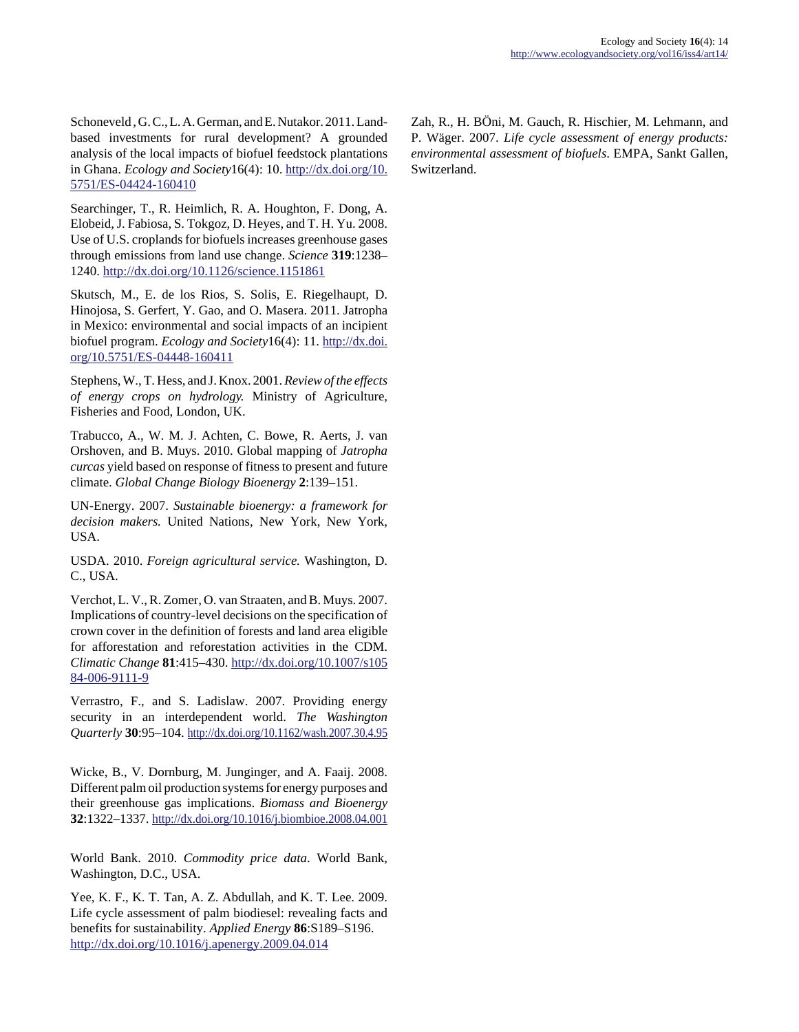Schoneveld , G. C., L. A. German, and E. Nutakor. 2011. Landbased investments for rural development? A grounded analysis of the local impacts of biofuel feedstock plantations in Ghana. *Ecology and Society*16(4): 10. [http://dx.doi.org/10.](http://dx.doi.org/10.5751/ES-04424-160410) [5751/ES-04424-160410](http://dx.doi.org/10.5751/ES-04424-160410)

Searchinger, T., R. Heimlich, R. A. Houghton, F. Dong, A. Elobeid, J. Fabiosa, S. Tokgoz, D. Heyes, and T. H. Yu. 2008. Use of U.S. croplands for biofuels increases greenhouse gases through emissions from land use change. *Science* **319**:1238– 1240.<http://dx.doi.org/10.1126/science.1151861>

Skutsch, M., E. de los Rios, S. Solis, E. Riegelhaupt, D. Hinojosa, S. Gerfert, Y. Gao, and O. Masera. 2011. Jatropha in Mexico: environmental and social impacts of an incipient biofuel program. *Ecology and Society*16(4): 11. [http://dx.doi.](http://dx.doi.org/10.5751/ES-04448-160411) [org/10.5751/ES-04448-160411](http://dx.doi.org/10.5751/ES-04448-160411)

Stephens, W., T. Hess, and J. Knox. 2001. *Review of the effects of energy crops on hydrology.* Ministry of Agriculture, Fisheries and Food, London, UK.

Trabucco, A., W. M. J. Achten, C. Bowe, R. Aerts, J. van Orshoven, and B. Muys. 2010. Global mapping of *Jatropha curcas* yield based on response of fitness to present and future climate. *Global Change Biology Bioenergy* **2**:139–151.

UN-Energy. 2007. *Sustainable bioenergy: a framework for decision makers.* United Nations, New York, New York, USA.

USDA. 2010. *Foreign agricultural service.* Washington, D. C., USA.

Verchot, L. V., R. Zomer, O. van Straaten, and B. Muys. 2007. Implications of country-level decisions on the specification of crown cover in the definition of forests and land area eligible for afforestation and reforestation activities in the CDM. *Climatic Change* **81**:415–430. [http://dx.doi.org/10.1007/s105](http://dx.doi.org/10.1007/s10584-006-9111-9) [84-006-9111-9](http://dx.doi.org/10.1007/s10584-006-9111-9)

Verrastro, F., and S. Ladislaw. 2007. Providing energy security in an interdependent world. *The Washington Quarterly* **30**:95–104. <http://dx.doi.org/10.1162/wash.2007.30.4.95>

Wicke, B., V. Dornburg, M. Junginger, and A. Faaij. 2008. Different palm oil production systems for energy purposes and their greenhouse gas implications. *Biomass and Bioenergy* **32**:1322–1337. <http://dx.doi.org/10.1016/j.biombioe.2008.04.001>

World Bank. 2010. *Commodity price data*. World Bank, Washington, D.C., USA.

Yee, K. F., K. T. Tan, A. Z. Abdullah, and K. T. Lee. 2009. Life cycle assessment of palm biodiesel: revealing facts and benefits for sustainability. *Applied Energy* **86**:S189–S196. <http://dx.doi.org/10.1016/j.apenergy.2009.04.014>

Zah, R., H. BÖni, M. Gauch, R. Hischier, M. Lehmann, and P. Wäger. 2007. *Life cycle assessment of energy products: environmental assessment of biofuels*. EMPA, Sankt Gallen, Switzerland.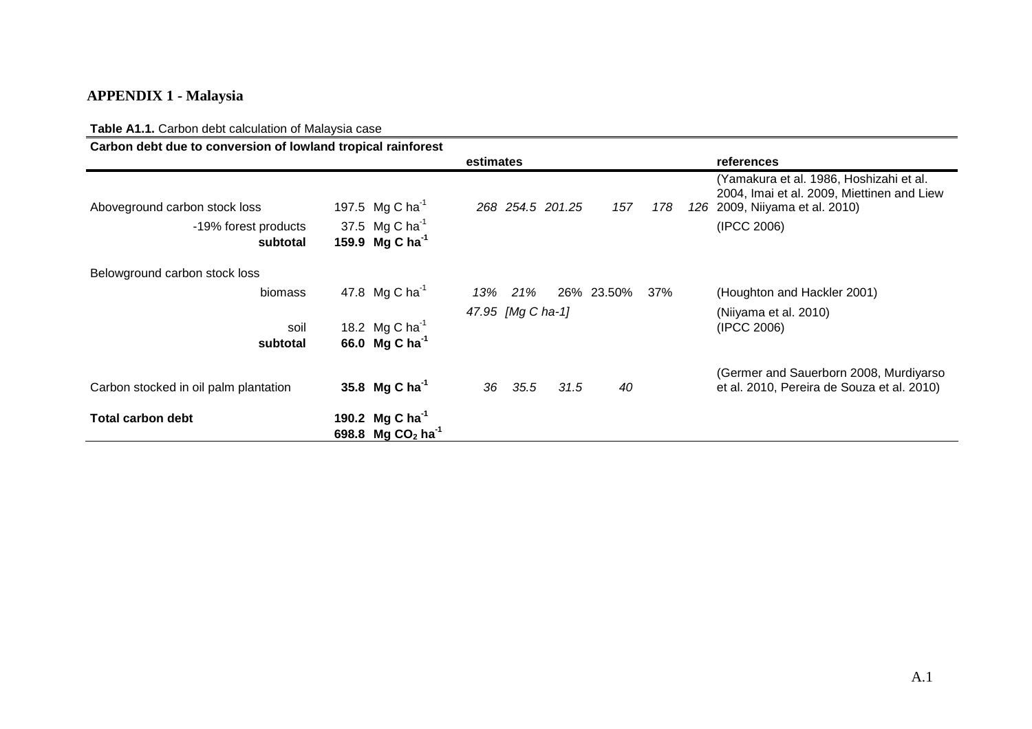# **APPENDIX 1 - Malaysia**

### **Table A1.1.** Carbon debt calculation of Malaysia case

| Carbon debt due to conversion of lowland tropical rainforest |  |                                                                          |           |                   |                  |            |     |     |                                                                                                                     |
|--------------------------------------------------------------|--|--------------------------------------------------------------------------|-----------|-------------------|------------------|------------|-----|-----|---------------------------------------------------------------------------------------------------------------------|
|                                                              |  |                                                                          | estimates |                   |                  |            |     |     | references                                                                                                          |
| Aboveground carbon stock loss                                |  | 197.5 Mg C ha <sup>-1</sup>                                              |           |                   | 268 254.5 201.25 | 157        | 178 | 126 | (Yamakura et al. 1986, Hoshizahi et al.<br>2004, Imai et al. 2009, Miettinen and Liew<br>2009, Niiyama et al. 2010) |
| -19% forest products<br>subtotal                             |  | 37.5 Mg C ha <sup>-1</sup><br>159.9 Mg C ha <sup>-1</sup>                |           |                   |                  |            |     |     | (IPCC 2006)                                                                                                         |
| Belowground carbon stock loss                                |  |                                                                          |           |                   |                  |            |     |     |                                                                                                                     |
| biomass                                                      |  | 47.8 Mg C ha <sup>-1</sup>                                               | 13%       | 21%               |                  | 26% 23.50% | 37% |     | (Houghton and Hackler 2001)                                                                                         |
|                                                              |  |                                                                          |           | 47.95 [Mg C ha-1] |                  |            |     |     | (Niiyama et al. 2010)                                                                                               |
| soil                                                         |  | 18.2 Mg C ha <sup>-1</sup>                                               |           |                   |                  |            |     |     | (IPCC 2006)                                                                                                         |
| subtotal                                                     |  | 66.0 Mg C ha <sup>-1</sup>                                               |           |                   |                  |            |     |     |                                                                                                                     |
| Carbon stocked in oil palm plantation                        |  | 35.8 Mg C ha <sup>-1</sup>                                               | 36        | 35.5              | 31.5             | 40         |     |     | (Germer and Sauerborn 2008, Murdiyarso<br>et al. 2010, Pereira de Souza et al. 2010)                                |
| <b>Total carbon debt</b>                                     |  | 190.2 Mg C ha <sup>-1</sup><br>698.8 Mg CO <sub>2</sub> ha <sup>-1</sup> |           |                   |                  |            |     |     |                                                                                                                     |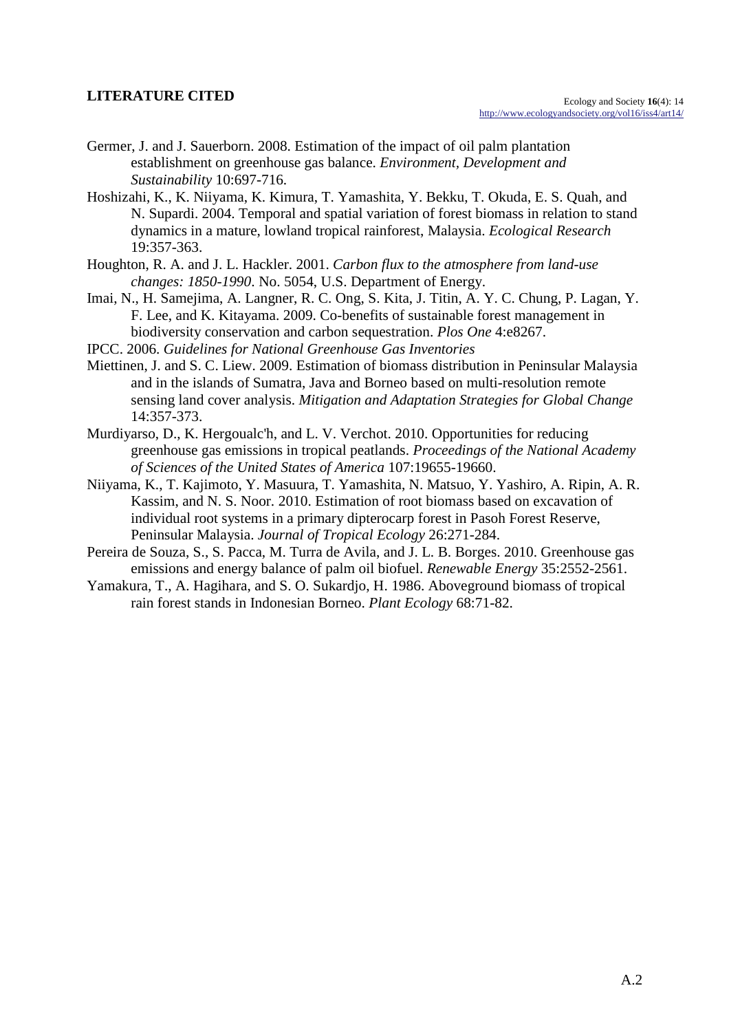## **LITERATURE CITED**

- Germer, J. and J. Sauerborn. 2008. Estimation of the impact of oil palm plantation establishment on greenhouse gas balance. *Environment, Development and Sustainability* 10:697-716.
- Hoshizahi, K., K. Niiyama, K. Kimura, T. Yamashita, Y. Bekku, T. Okuda, E. S. Quah, and N. Supardi. 2004. Temporal and spatial variation of forest biomass in relation to stand dynamics in a mature, lowland tropical rainforest, Malaysia. *Ecological Research* 19:357-363.
- Houghton, R. A. and J. L. Hackler. 2001. *Carbon flux to the atmosphere from land-use changes: 1850-1990*. No. 5054, U.S. Department of Energy.
- Imai, N., H. Samejima, A. Langner, R. C. Ong, S. Kita, J. Titin, A. Y. C. Chung, P. Lagan, Y. F. Lee, and K. Kitayama. 2009. Co-benefits of sustainable forest management in biodiversity conservation and carbon sequestration. *Plos One* 4:e8267.
- IPCC. 2006. *Guidelines for National Greenhouse Gas Inventories*
- Miettinen, J. and S. C. Liew. 2009. Estimation of biomass distribution in Peninsular Malaysia and in the islands of Sumatra, Java and Borneo based on multi-resolution remote sensing land cover analysis. *Mitigation and Adaptation Strategies for Global Change* 14:357-373.
- Murdiyarso, D., K. Hergoualc'h, and L. V. Verchot. 2010. Opportunities for reducing greenhouse gas emissions in tropical peatlands. *Proceedings of the National Academy of Sciences of the United States of America* 107:19655-19660.
- Niiyama, K., T. Kajimoto, Y. Masuura, T. Yamashita, N. Matsuo, Y. Yashiro, A. Ripin, A. R. Kassim, and N. S. Noor. 2010. Estimation of root biomass based on excavation of individual root systems in a primary dipterocarp forest in Pasoh Forest Reserve, Peninsular Malaysia. *Journal of Tropical Ecology* 26:271-284.
- Pereira de Souza, S., S. Pacca, M. Turra de Avila, and J. L. B. Borges. 2010. Greenhouse gas emissions and energy balance of palm oil biofuel. *Renewable Energy* 35:2552-2561.
- Yamakura, T., A. Hagihara, and S. O. Sukardjo, H. 1986. Aboveground biomass of tropical rain forest stands in Indonesian Borneo. *Plant Ecology* 68:71-82.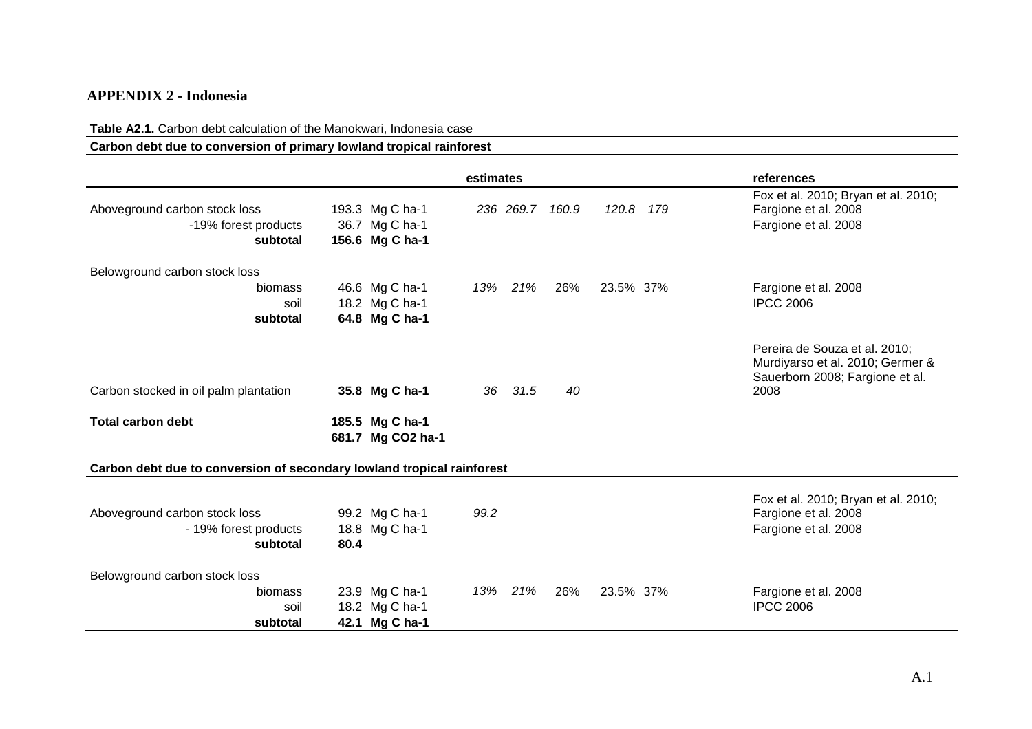## **APPENDIX 2 - Indonesia**

**Table A2.1.** Carbon debt calculation of the Manokwari, Indonesia case

**Carbon debt due to conversion of primary lowland tropical rainforest**

| estimates                                                              |      |                                                      |      |           |       |           | references |                                                                                                      |
|------------------------------------------------------------------------|------|------------------------------------------------------|------|-----------|-------|-----------|------------|------------------------------------------------------------------------------------------------------|
| Aboveground carbon stock loss<br>-19% forest products<br>subtotal      |      | 193.3 Mg C ha-1<br>36.7 Mg C ha-1<br>156.6 Mg C ha-1 |      | 236 269.7 | 160.9 | 120.8     | 179        | Fox et al. 2010; Bryan et al. 2010;<br>Fargione et al. 2008<br>Fargione et al. 2008                  |
| Belowground carbon stock loss                                          |      |                                                      |      |           |       |           |            |                                                                                                      |
| biomass<br>soil<br>subtotal                                            |      | 46.6 Mg C ha-1<br>18.2 Mg C ha-1<br>64.8 Mg C ha-1   |      | 13% 21%   | 26%   | 23.5% 37% |            | Fargione et al. 2008<br><b>IPCC 2006</b>                                                             |
|                                                                        |      |                                                      |      |           |       |           |            | Pereira de Souza et al. 2010;<br>Murdiyarso et al. 2010; Germer &<br>Sauerborn 2008; Fargione et al. |
| Carbon stocked in oil palm plantation                                  |      | 35.8 Mg C ha-1                                       | 36   | 31.5      | 40    |           |            | 2008                                                                                                 |
| <b>Total carbon debt</b>                                               |      | 185.5 Mg C ha-1<br>681.7 Mg CO2 ha-1                 |      |           |       |           |            |                                                                                                      |
| Carbon debt due to conversion of secondary lowland tropical rainforest |      |                                                      |      |           |       |           |            |                                                                                                      |
| Aboveground carbon stock loss<br>- 19% forest products<br>subtotal     | 80.4 | 99.2 Mg C ha-1<br>18.8 Mg C ha-1                     | 99.2 |           |       |           |            | Fox et al. 2010; Bryan et al. 2010;<br>Fargione et al. 2008<br>Fargione et al. 2008                  |
| Belowground carbon stock loss                                          |      |                                                      |      |           |       |           |            |                                                                                                      |
| biomass<br>soil<br>subtotal                                            |      | 23.9 Mg C ha-1<br>18.2 Mg C ha-1<br>42.1 Mg C ha-1   | 13%  | 21%       | 26%   | 23.5% 37% |            | Fargione et al. 2008<br><b>IPCC 2006</b>                                                             |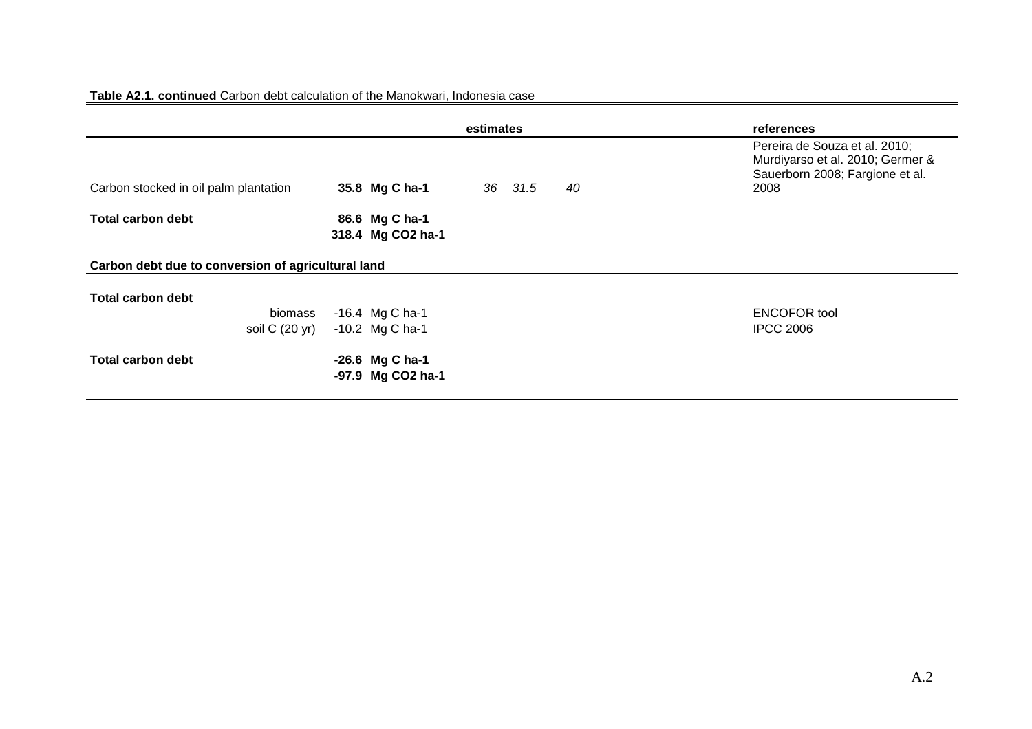| <b>Table AZ.T. Continued</b> Carbon debt calculation of the Manokwan, indonesia case |                                     |               |                                                                                                              |
|--------------------------------------------------------------------------------------|-------------------------------------|---------------|--------------------------------------------------------------------------------------------------------------|
|                                                                                      | references                          |               |                                                                                                              |
| Carbon stocked in oil palm plantation                                                | 35.8 Mg C ha-1                      | 36 31.5<br>40 | Pereira de Souza et al. 2010;<br>Murdiyarso et al. 2010; Germer &<br>Sauerborn 2008; Fargione et al.<br>2008 |
| <b>Total carbon debt</b>                                                             | 86.6 Mg C ha-1<br>318.4 Mg CO2 ha-1 |               |                                                                                                              |
| Carbon debt due to conversion of agricultural land                                   |                                     |               |                                                                                                              |
| <b>Total carbon debt</b>                                                             |                                     |               |                                                                                                              |
| biomass                                                                              | -16.4 Mg C ha-1                     |               | <b>ENCOFOR tool</b>                                                                                          |
| soil C (20 yr)                                                                       | $-10.2$ Mg C ha-1                   |               | <b>IPCC 2006</b>                                                                                             |
| <b>Total carbon debt</b>                                                             | -26.6 Mg C ha-1                     |               |                                                                                                              |
|                                                                                      | -97.9 Mg CO2 ha-1                   |               |                                                                                                              |
|                                                                                      |                                     |               |                                                                                                              |

### **Table A2.1. continued** Carbon debt calculation of the Manokwari, Indonesia case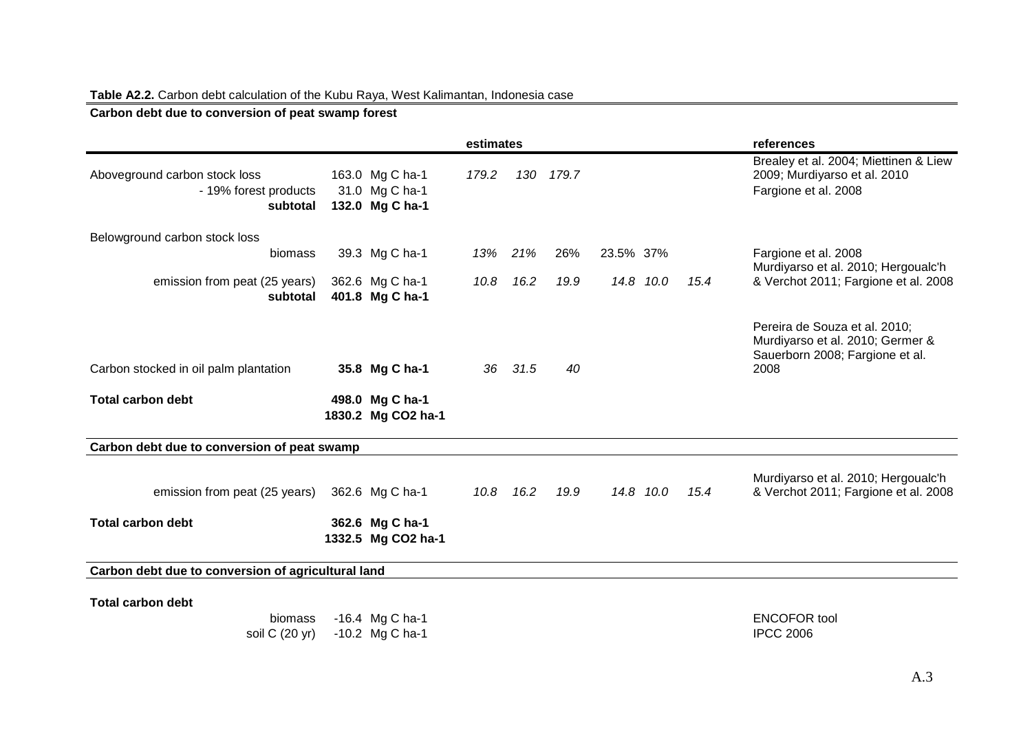### **Table A2.2.** Carbon debt calculation of the Kubu Raya, West Kalimantan, Indonesia case

**Carbon debt due to conversion of peat swamp forest** 

|                                                                    |                                                      | estimates |      |       |           |           |      | references                                                                                                   |
|--------------------------------------------------------------------|------------------------------------------------------|-----------|------|-------|-----------|-----------|------|--------------------------------------------------------------------------------------------------------------|
| Aboveground carbon stock loss<br>- 19% forest products<br>subtotal | 163.0 Mg C ha-1<br>31.0 Mg C ha-1<br>132.0 Mg C ha-1 | 179.2     | 130  | 179.7 |           |           |      | Brealey et al. 2004; Miettinen & Liew<br>2009; Murdiyarso et al. 2010<br>Fargione et al. 2008                |
| Belowground carbon stock loss                                      |                                                      |           |      |       |           |           |      |                                                                                                              |
| biomass                                                            | 39.3 Mg C ha-1                                       | 13%       | 21%  | 26%   | 23.5% 37% |           |      | Fargione et al. 2008                                                                                         |
| emission from peat (25 years)<br>subtotal                          | 362.6 Mg C ha-1<br>401.8 Mg C ha-1                   | 10.8      | 16.2 | 19.9  |           | 14.8 10.0 | 15.4 | Murdiyarso et al. 2010; Hergoualc'h<br>& Verchot 2011; Fargione et al. 2008                                  |
| Carbon stocked in oil palm plantation                              | 35.8 Mg C ha-1                                       | 36        | 31.5 | 40    |           |           |      | Pereira de Souza et al. 2010;<br>Murdiyarso et al. 2010; Germer &<br>Sauerborn 2008; Fargione et al.<br>2008 |
|                                                                    |                                                      |           |      |       |           |           |      |                                                                                                              |
| <b>Total carbon debt</b>                                           | 498.0 Mg C ha-1<br>1830.2 Mg CO2 ha-1                |           |      |       |           |           |      |                                                                                                              |
| Carbon debt due to conversion of peat swamp                        |                                                      |           |      |       |           |           |      |                                                                                                              |
| emission from peat (25 years)                                      | 362.6 Mg C ha-1                                      | 10.8      | 16.2 | 19.9  |           | 14.8 10.0 | 15.4 | Murdiyarso et al. 2010; Hergoualc'h<br>& Verchot 2011; Fargione et al. 2008                                  |
| <b>Total carbon debt</b>                                           | 362.6 Mg C ha-1<br>1332.5 Mg CO2 ha-1                |           |      |       |           |           |      |                                                                                                              |
| Carbon debt due to conversion of agricultural land                 |                                                      |           |      |       |           |           |      |                                                                                                              |
| <b>Total carbon debt</b>                                           |                                                      |           |      |       |           |           |      |                                                                                                              |
| biomass                                                            | -16.4 Mg C ha-1                                      |           |      |       |           |           |      | <b>ENCOFOR tool</b>                                                                                          |

soil C (20 yr) -10.2 Mg C ha-1 IPCC 2006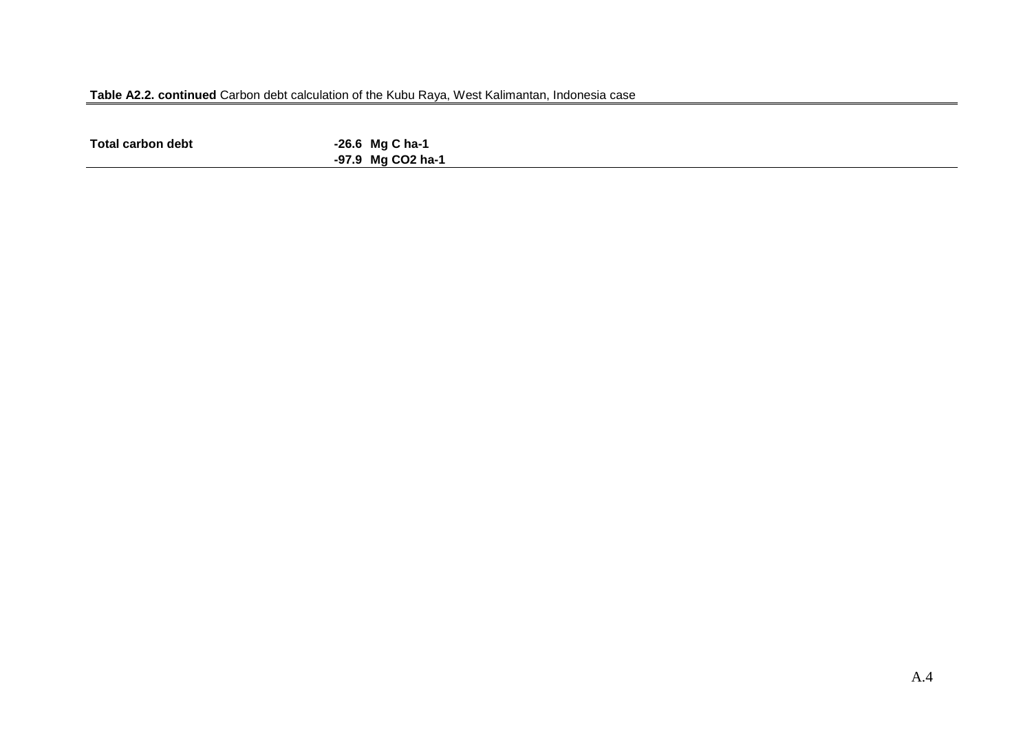| Total carbon debt | -26.6 Mg C ha-1   |
|-------------------|-------------------|
|                   | -97.9 Mg CO2 ha-1 |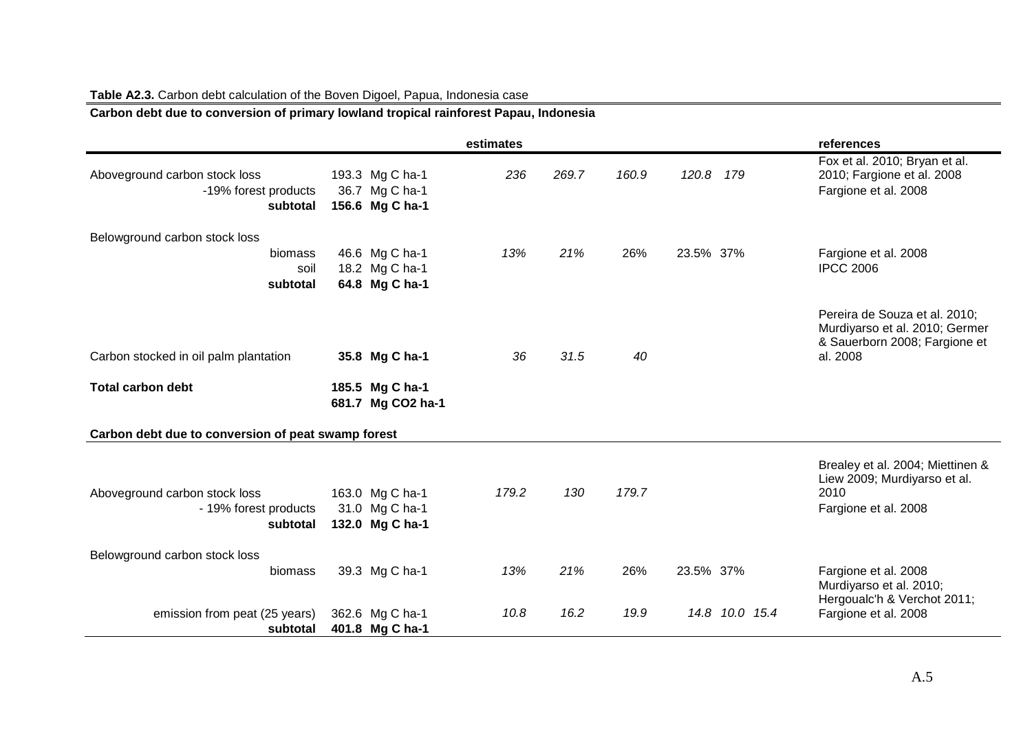|                                                                    |                                                      | estimates |       |       |                | references                                                                                                   |
|--------------------------------------------------------------------|------------------------------------------------------|-----------|-------|-------|----------------|--------------------------------------------------------------------------------------------------------------|
| Aboveground carbon stock loss<br>-19% forest products<br>subtotal  | 193.3 Mg C ha-1<br>36.7 Mg C ha-1<br>156.6 Mg C ha-1 | 236       | 269.7 | 160.9 | 120.8<br>179   | Fox et al. 2010; Bryan et al.<br>2010; Fargione et al. 2008<br>Fargione et al. 2008                          |
| Belowground carbon stock loss                                      |                                                      |           |       |       |                |                                                                                                              |
| biomass<br>soil<br>subtotal                                        | 46.6 Mg C ha-1<br>18.2 Mg C ha-1<br>64.8 Mg C ha-1   | 13%       | 21%   | 26%   | 23.5% 37%      | Fargione et al. 2008<br><b>IPCC 2006</b>                                                                     |
|                                                                    |                                                      | 36        | 31.5  | 40    |                | Pereira de Souza et al. 2010;<br>Murdiyarso et al. 2010; Germer<br>& Sauerborn 2008; Fargione et<br>al. 2008 |
| Carbon stocked in oil palm plantation                              | 35.8 Mg C ha-1                                       |           |       |       |                |                                                                                                              |
| <b>Total carbon debt</b>                                           | 185.5 Mg C ha-1<br>681.7 Mg CO2 ha-1                 |           |       |       |                |                                                                                                              |
| Carbon debt due to conversion of peat swamp forest                 |                                                      |           |       |       |                |                                                                                                              |
| Aboveground carbon stock loss<br>- 19% forest products<br>subtotal | 163.0 Mg C ha-1<br>31.0 Mg C ha-1<br>132.0 Mg C ha-1 | 179.2     | 130   | 179.7 |                | Brealey et al. 2004; Miettinen &<br>Liew 2009; Murdiyarso et al.<br>2010<br>Fargione et al. 2008             |
| Belowground carbon stock loss                                      |                                                      |           |       |       |                |                                                                                                              |
| biomass                                                            | 39.3 Mg C ha-1                                       | 13%       | 21%   | 26%   | 23.5% 37%      | Fargione et al. 2008<br>Murdiyarso et al. 2010;<br>Hergoualc'h & Verchot 2011;                               |
| emission from peat (25 years)<br>subtotal                          | 362.6 Mg C ha-1<br>401.8 Mg C ha-1                   | 10.8      | 16.2  | 19.9  | 14.8 10.0 15.4 | Fargione et al. 2008                                                                                         |

#### **Table A2.3.** Carbon debt calculation of the Boven Digoel, Papua, Indonesia case

**Carbon debt due to conversion of primary lowland tropical rainforest Papau, Indonesia**

A.5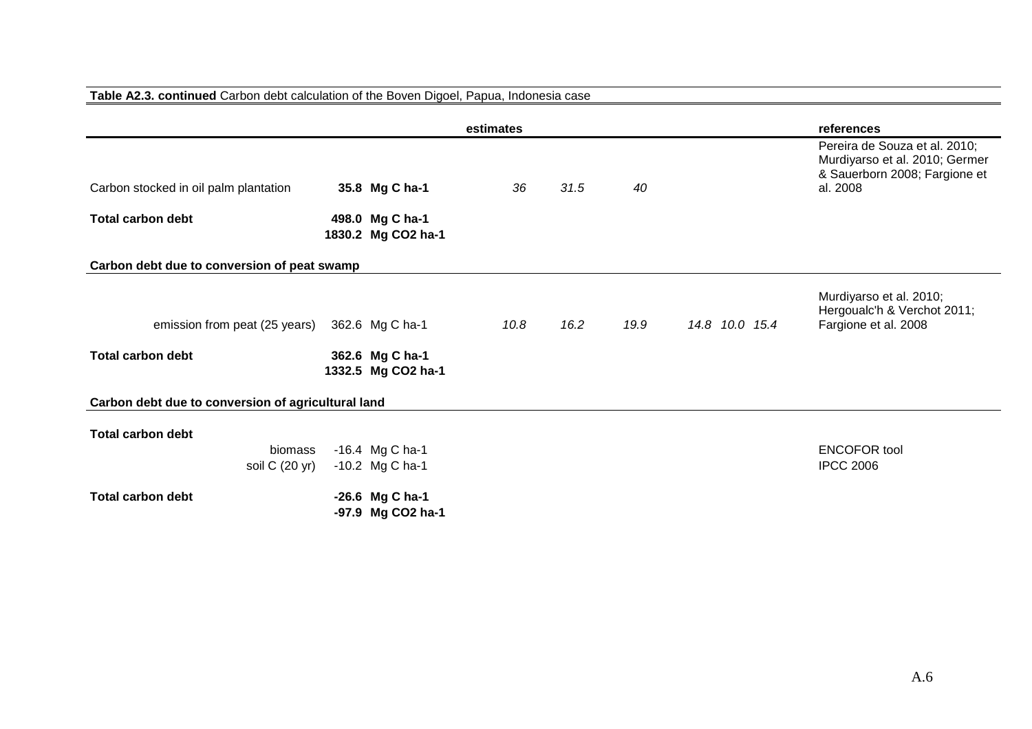| Table A2.3. continued Carbon debt calculation of the Boven Digoel, Papua, Indonesia case |                                       |           |      |      |                |                                                                                                              |
|------------------------------------------------------------------------------------------|---------------------------------------|-----------|------|------|----------------|--------------------------------------------------------------------------------------------------------------|
|                                                                                          |                                       | estimates |      |      |                | references                                                                                                   |
| Carbon stocked in oil palm plantation                                                    | 35.8 Mg C ha-1                        | 36        | 31.5 | 40   |                | Pereira de Souza et al. 2010;<br>Murdiyarso et al. 2010; Germer<br>& Sauerborn 2008; Fargione et<br>al. 2008 |
| Total carbon debt                                                                        | 498.0 Mg C ha-1<br>1830.2 Mg CO2 ha-1 |           |      |      |                |                                                                                                              |
| Carbon debt due to conversion of peat swamp                                              |                                       |           |      |      |                |                                                                                                              |
| emission from peat (25 years)                                                            | 362.6 Mg C ha-1                       | 10.8      | 16.2 | 19.9 | 14.8 10.0 15.4 | Murdiyarso et al. 2010;<br>Hergoualc'h & Verchot 2011;<br>Fargione et al. 2008                               |
| Total carbon debt                                                                        | 362.6 Mg C ha-1<br>1332.5 Mg CO2 ha-1 |           |      |      |                |                                                                                                              |
| Carbon debt due to conversion of agricultural land                                       |                                       |           |      |      |                |                                                                                                              |
| <b>Total carbon debt</b>                                                                 |                                       |           |      |      |                |                                                                                                              |
| biomass<br>soil C (20 yr)                                                                | -16.4 Mg C ha-1<br>$-10.2$ Mg C ha-1  |           |      |      |                | <b>ENCOFOR tool</b><br><b>IPCC 2006</b>                                                                      |
| <b>Total carbon debt</b>                                                                 | -26.6 Mg C ha-1<br>-97.9 Mg CO2 ha-1  |           |      |      |                |                                                                                                              |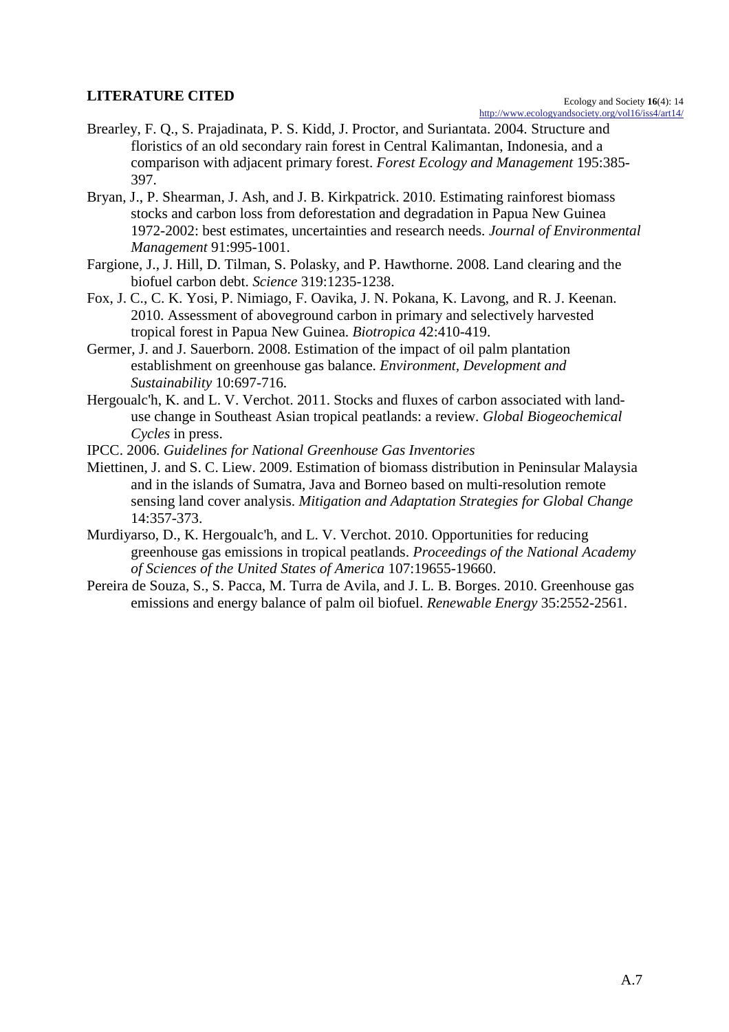## **LITERATURE CITED**

- Brearley, F. Q., S. Prajadinata, P. S. Kidd, J. Proctor, and Suriantata. 2004. Structure and floristics of an old secondary rain forest in Central Kalimantan, Indonesia, and a comparison with adjacent primary forest. *Forest Ecology and Management* 195:385- 397.
- Bryan, J., P. Shearman, J. Ash, and J. B. Kirkpatrick. 2010. Estimating rainforest biomass stocks and carbon loss from deforestation and degradation in Papua New Guinea 1972-2002: best estimates, uncertainties and research needs. *Journal of Environmental Management* 91:995-1001.
- Fargione, J., J. Hill, D. Tilman, S. Polasky, and P. Hawthorne. 2008. Land clearing and the biofuel carbon debt. *Science* 319:1235-1238.
- Fox, J. C., C. K. Yosi, P. Nimiago, F. Oavika, J. N. Pokana, K. Lavong, and R. J. Keenan. 2010. Assessment of aboveground carbon in primary and selectively harvested tropical forest in Papua New Guinea. *Biotropica* 42:410-419.
- Germer, J. and J. Sauerborn. 2008. Estimation of the impact of oil palm plantation establishment on greenhouse gas balance. *Environment, Development and Sustainability* 10:697-716.
- Hergoualc'h, K. and L. V. Verchot. 2011. Stocks and fluxes of carbon associated with landuse change in Southeast Asian tropical peatlands: a review. *Global Biogeochemical Cycles* in press.
- IPCC. 2006. *Guidelines for National Greenhouse Gas Inventories*
- Miettinen, J. and S. C. Liew. 2009. Estimation of biomass distribution in Peninsular Malaysia and in the islands of Sumatra, Java and Borneo based on multi-resolution remote sensing land cover analysis. *Mitigation and Adaptation Strategies for Global Change* 14:357-373.
- Murdiyarso, D., K. Hergoualc'h, and L. V. Verchot. 2010. Opportunities for reducing greenhouse gas emissions in tropical peatlands. *Proceedings of the National Academy of Sciences of the United States of America* 107:19655-19660.
- Pereira de Souza, S., S. Pacca, M. Turra de Avila, and J. L. B. Borges. 2010. Greenhouse gas emissions and energy balance of palm oil biofuel. *Renewable Energy* 35:2552-2561.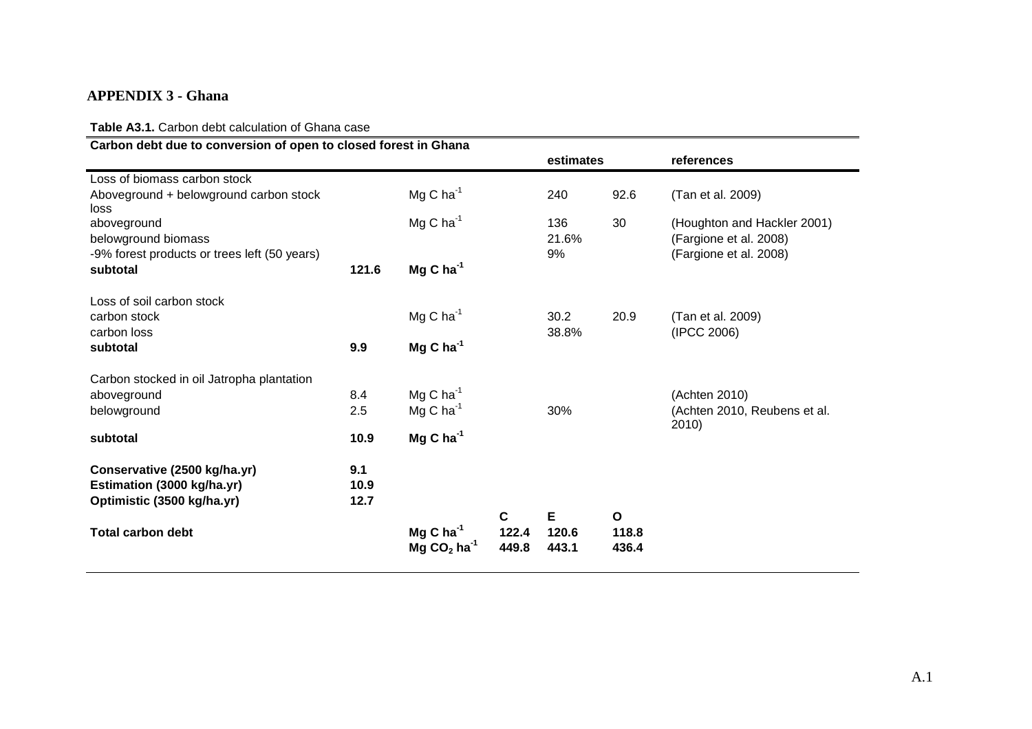# **APPENDIX 3 - Ghana**

### **Table A3.1.** Carbon debt calculation of Ghana case

| Carbon debt due to conversion of open to closed forest in Ghana |       |                                                       |                               |                     |                                |                                                       |
|-----------------------------------------------------------------|-------|-------------------------------------------------------|-------------------------------|---------------------|--------------------------------|-------------------------------------------------------|
|                                                                 |       |                                                       |                               | estimates           |                                | references                                            |
| Loss of biomass carbon stock                                    |       |                                                       |                               |                     |                                |                                                       |
| Aboveground + belowground carbon stock<br>loss                  |       | $Mg C ha^{-1}$                                        |                               | 240                 | 92.6                           | (Tan et al. 2009)                                     |
| aboveground<br>belowground biomass                              |       | $Mg C ha^{-1}$                                        |                               | 136<br>21.6%        | 30                             | (Houghton and Hackler 2001)<br>(Fargione et al. 2008) |
| -9% forest products or trees left (50 years)<br>subtotal        | 121.6 | Mg C $ha^{-1}$                                        |                               | 9%                  |                                | (Fargione et al. 2008)                                |
| Loss of soil carbon stock                                       |       |                                                       |                               |                     |                                |                                                       |
| carbon stock<br>carbon loss                                     |       | $Mg C ha^{-1}$                                        |                               | 30.2<br>38.8%       | 20.9                           | (Tan et al. 2009)<br>(IPCC 2006)                      |
| subtotal                                                        | 9.9   | Mg C $ha^{-1}$                                        |                               |                     |                                |                                                       |
| Carbon stocked in oil Jatropha plantation                       |       |                                                       |                               |                     |                                |                                                       |
| aboveground                                                     | 8.4   | $Mg C ha^{-1}$                                        |                               |                     |                                | (Achten 2010)                                         |
| belowground                                                     | 2.5   | $Mg C ha^{-1}$                                        |                               | 30%                 |                                | (Achten 2010, Reubens et al.                          |
| subtotal                                                        | 10.9  | Mg C $ha^{-1}$                                        |                               |                     |                                | 2010)                                                 |
| Conservative (2500 kg/ha.yr)                                    | 9.1   |                                                       |                               |                     |                                |                                                       |
| Estimation (3000 kg/ha.yr)                                      | 10.9  |                                                       |                               |                     |                                |                                                       |
| Optimistic (3500 kg/ha.yr)                                      | 12.7  |                                                       |                               |                     |                                |                                                       |
| <b>Total carbon debt</b>                                        |       | Mg C ha $-1$<br>$Mg$ CO <sub>2</sub> ha <sup>-1</sup> | $\mathbf c$<br>122.4<br>449.8 | Е<br>120.6<br>443.1 | $\mathbf{o}$<br>118.8<br>436.4 |                                                       |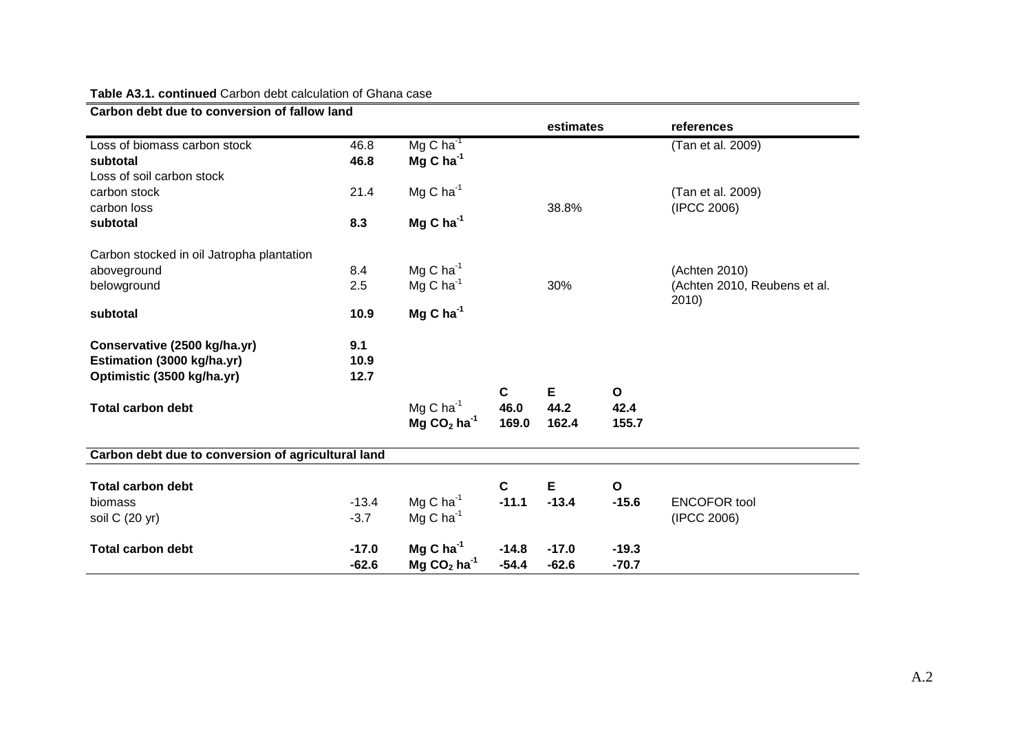### **Table A3.1. continued** Carbon debt calculation of Ghana case

| Carbon debt due to conversion of fallow land       |         |                                       |             |           |              |                              |
|----------------------------------------------------|---------|---------------------------------------|-------------|-----------|--------------|------------------------------|
|                                                    |         |                                       |             | estimates |              | references                   |
| Loss of biomass carbon stock                       | 46.8    | $Mg C ha^{-1}$                        |             |           |              | (Tan et al. 2009)            |
| subtotal                                           | 46.8    | Mg C $ha^{-1}$                        |             |           |              |                              |
| Loss of soil carbon stock                          |         |                                       |             |           |              |                              |
| carbon stock                                       | 21.4    | $Mg C ha^{-1}$                        |             |           |              | (Tan et al. 2009)            |
| carbon loss                                        |         |                                       |             | 38.8%     |              | (IPCC 2006)                  |
| subtotal                                           | 8.3     | Mg C $ha^{-1}$                        |             |           |              |                              |
| Carbon stocked in oil Jatropha plantation          |         |                                       |             |           |              |                              |
| aboveground                                        | 8.4     | $Mg C ha^{-1}$                        |             |           |              | (Achten 2010)                |
| belowground                                        | 2.5     | $Mg C ha^{-1}$                        |             | 30%       |              | (Achten 2010, Reubens et al. |
| subtotal                                           | 10.9    | Mg C $ha^{-1}$                        |             |           |              | 2010)                        |
| Conservative (2500 kg/ha.yr)                       | 9.1     |                                       |             |           |              |                              |
| Estimation (3000 kg/ha.yr)                         | 10.9    |                                       |             |           |              |                              |
| Optimistic (3500 kg/ha.yr)                         | 12.7    |                                       |             |           |              |                              |
|                                                    |         |                                       | $\mathbf c$ | E         | $\mathbf{o}$ |                              |
| <b>Total carbon debt</b>                           |         | $Mg C ha^{-1}$                        | 46.0        | 44.2      | 42.4         |                              |
|                                                    |         | $Mg$ CO <sub>2</sub> ha <sup>-1</sup> | 169.0       | 162.4     | 155.7        |                              |
| Carbon debt due to conversion of agricultural land |         |                                       |             |           |              |                              |
| <b>Total carbon debt</b>                           |         |                                       | $\mathbf c$ | E         | $\mathbf{o}$ |                              |
| biomass                                            | $-13.4$ | $Mg$ C ha <sup>-1</sup>               | $-11.1$     | $-13.4$   | $-15.6$      | <b>ENCOFOR tool</b>          |
| soil C (20 yr)                                     | $-3.7$  | $Mg$ C ha <sup>-1</sup>               |             |           |              | (IPCC 2006)                  |
|                                                    |         |                                       |             |           |              |                              |
| <b>Total carbon debt</b>                           | $-17.0$ | Mg C ha $^{-1}$                       | $-14.8$     | $-17.0$   | $-19.3$      |                              |
|                                                    | $-62.6$ | Mg $CO2$ ha <sup>-1</sup>             | $-54.4$     | $-62.6$   | $-70.7$      |                              |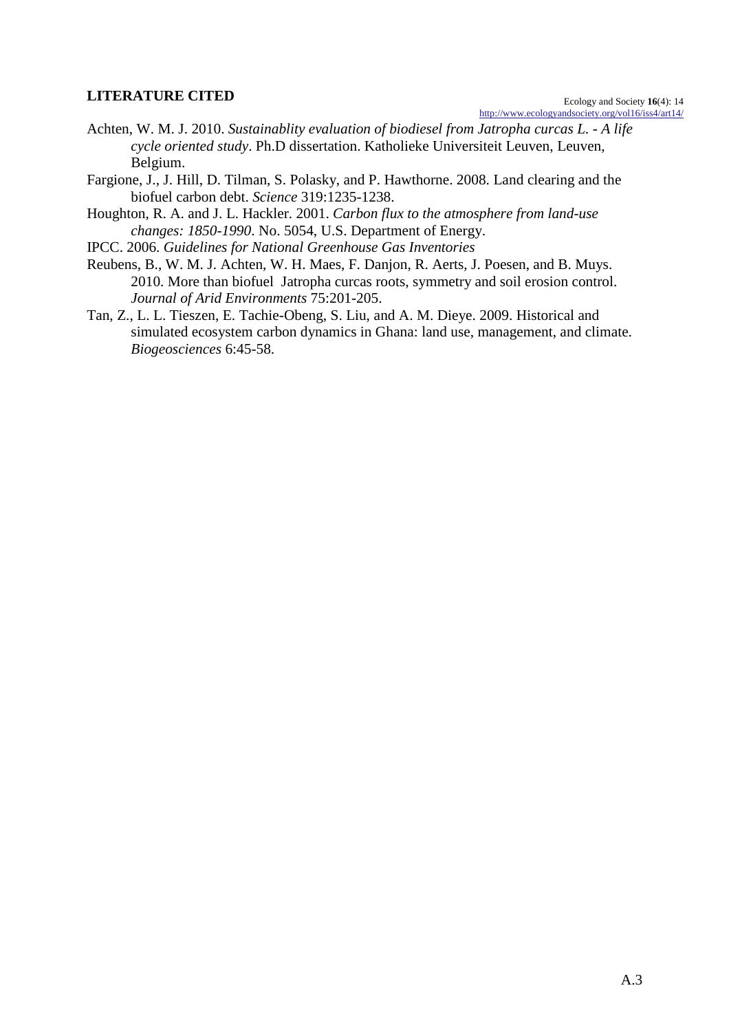## **LITERATURE CITED**

Ecology and Society **16**(4): 14 <http://www.ecologyandsociety.org/vol16/iss4/art14/>

- Achten, W. M. J. 2010. *Sustainablity evaluation of biodiesel from Jatropha curcas L. A life cycle oriented study*. Ph.D dissertation. Katholieke Universiteit Leuven, Leuven, Belgium.
- Fargione, J., J. Hill, D. Tilman, S. Polasky, and P. Hawthorne. 2008. Land clearing and the biofuel carbon debt. *Science* 319:1235-1238.
- Houghton, R. A. and J. L. Hackler. 2001. *Carbon flux to the atmosphere from land-use changes: 1850-1990*. No. 5054, U.S. Department of Energy.
- IPCC. 2006. *Guidelines for National Greenhouse Gas Inventories*
- Reubens, B., W. M. J. Achten, W. H. Maes, F. Danjon, R. Aerts, J. Poesen, and B. Muys. 2010. More than biofuel Jatropha curcas roots, symmetry and soil erosion control. *Journal of Arid Environments* 75:201-205.
- Tan, Z., L. L. Tieszen, E. Tachie-Obeng, S. Liu, and A. M. Dieye. 2009. Historical and simulated ecosystem carbon dynamics in Ghana: land use, management, and climate. *Biogeosciences* 6:45-58.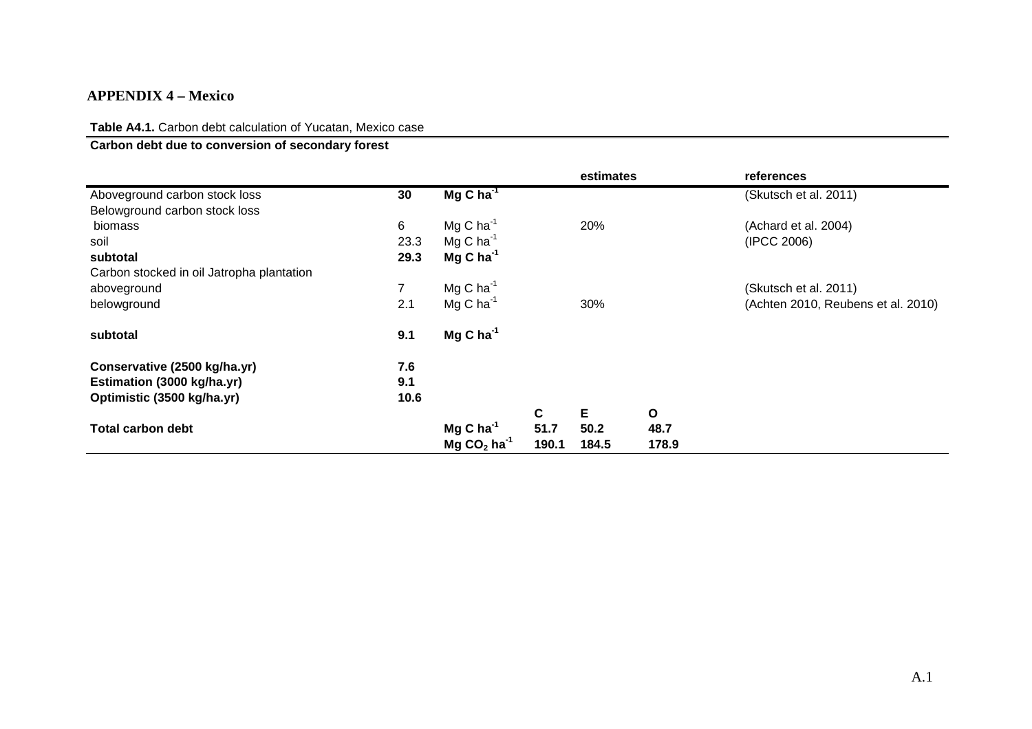## **APPENDIX 4 – Mexico**

### **Table A4.1.** Carbon debt calculation of Yucatan, Mexico case

# **Carbon debt due to conversion of secondary forest**

|                                           |      |                                       |       | estimates |              | references                         |
|-------------------------------------------|------|---------------------------------------|-------|-----------|--------------|------------------------------------|
| Aboveground carbon stock loss             | 30   | $Mg$ C ha <sup>-1</sup>               |       |           |              | (Skutsch et al. 2011)              |
| Belowground carbon stock loss             |      |                                       |       |           |              |                                    |
| <b>biomass</b>                            | 6    | $Mg C ha^{-1}$                        |       | 20%       |              | (Achard et al. 2004)               |
| soil                                      | 23.3 | $Mg C ha^{-1}$                        |       |           |              | (IPCC 2006)                        |
| subtotal                                  | 29.3 | Mg C ha $^{-1}$                       |       |           |              |                                    |
| Carbon stocked in oil Jatropha plantation |      |                                       |       |           |              |                                    |
| aboveground                               | 7    | $Mg C ha-1$                           |       |           |              | (Skutsch et al. 2011)              |
| belowground                               | 2.1  | $Mg C ha^{-1}$                        |       | 30%       |              | (Achten 2010, Reubens et al. 2010) |
| subtotal                                  | 9.1  | Mg C ha $^{-1}$                       |       |           |              |                                    |
| Conservative (2500 kg/ha.yr)              | 7.6  |                                       |       |           |              |                                    |
| Estimation (3000 kg/ha.yr)                | 9.1  |                                       |       |           |              |                                    |
| Optimistic (3500 kg/ha.yr)                | 10.6 |                                       |       |           |              |                                    |
|                                           |      |                                       | C     | Е         | $\mathbf{o}$ |                                    |
| <b>Total carbon debt</b>                  |      | Mg C $ha^{-1}$                        | 51.7  | 50.2      | 48.7         |                                    |
|                                           |      | $Mg$ CO <sub>2</sub> ha <sup>-1</sup> | 190.1 | 184.5     | 178.9        |                                    |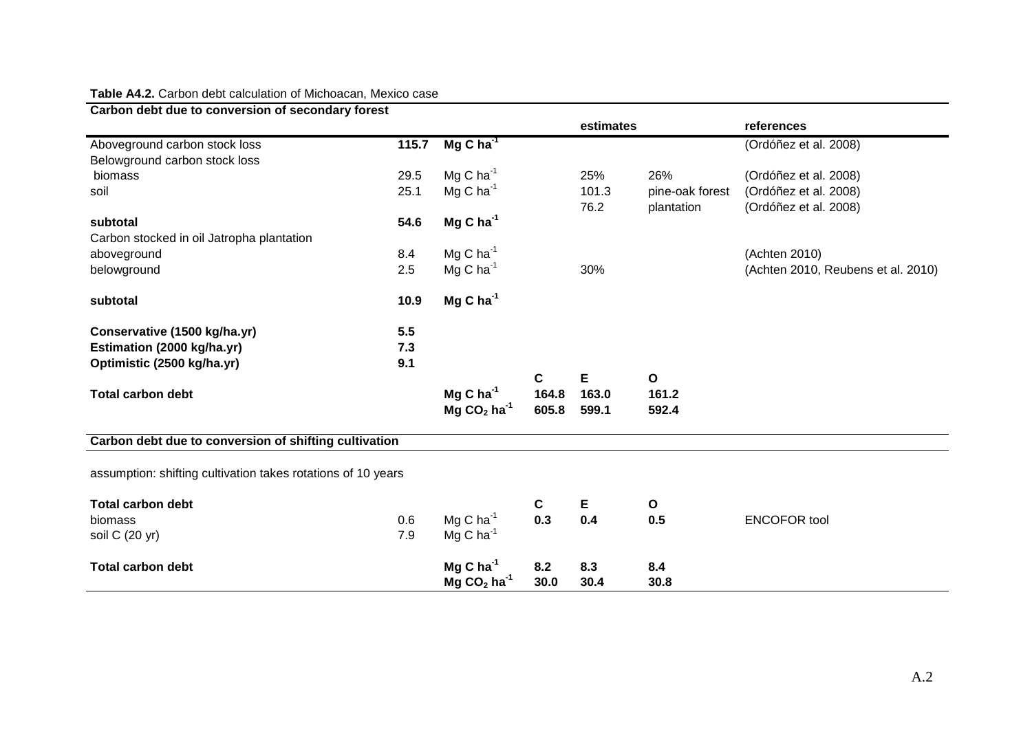|  |  |  | Table A4.2. Carbon debt calculation of Michoacan, Mexico case |  |
|--|--|--|---------------------------------------------------------------|--|
|--|--|--|---------------------------------------------------------------|--|

| Carbon debt due to conversion of secondary forest            |       |                                             |                |                |                 |                                    |
|--------------------------------------------------------------|-------|---------------------------------------------|----------------|----------------|-----------------|------------------------------------|
|                                                              |       |                                             |                | estimates      |                 | references                         |
| Aboveground carbon stock loss                                | 115.7 | $Mg$ C ha <sup>-1</sup>                     |                |                |                 | (Ordóñez et al. 2008)              |
| Belowground carbon stock loss                                |       |                                             |                |                |                 |                                    |
| biomass                                                      | 29.5  | Mg C $ha^{-1}$                              |                | 25%            | 26%             | (Ordóñez et al. 2008)              |
| soil                                                         | 25.1  | $Mg C ha^{-1}$                              |                | 101.3          | pine-oak forest | (Ordóñez et al. 2008)              |
|                                                              |       |                                             |                | 76.2           | plantation      | (Ordóñez et al. 2008)              |
| subtotal                                                     | 54.6  | Mg C $ha^{-1}$                              |                |                |                 |                                    |
| Carbon stocked in oil Jatropha plantation                    |       |                                             |                |                |                 |                                    |
| aboveground                                                  | 8.4   | $Mg$ C ha <sup>-1</sup>                     |                |                |                 | (Achten 2010)                      |
| belowground                                                  | 2.5   | $Mg C ha^{-1}$                              |                | 30%            |                 | (Achten 2010, Reubens et al. 2010) |
| subtotal                                                     | 10.9  | Mg C $ha^{-1}$                              |                |                |                 |                                    |
| Conservative (1500 kg/ha.yr)                                 | 5.5   |                                             |                |                |                 |                                    |
| Estimation (2000 kg/ha.yr)                                   | 7.3   |                                             |                |                |                 |                                    |
| Optimistic (2500 kg/ha.yr)                                   | 9.1   |                                             |                |                |                 |                                    |
|                                                              |       |                                             | $\mathbf c$    | E              | $\mathbf{o}$    |                                    |
| <b>Total carbon debt</b>                                     |       | Mg C $ha^{-1}$<br>Mg $CO2$ ha <sup>-1</sup> | 164.8<br>605.8 | 163.0<br>599.1 | 161.2<br>592.4  |                                    |
| Carbon debt due to conversion of shifting cultivation        |       |                                             |                |                |                 |                                    |
|                                                              |       |                                             |                |                |                 |                                    |
| assumption: shifting cultivation takes rotations of 10 years |       |                                             |                |                |                 |                                    |
| <b>Total carbon debt</b>                                     |       |                                             | C              | E              | O               |                                    |
| biomass                                                      | 0.6   | $Mg C ha^{-1}$                              | 0.3            | 0.4            | 0.5             | <b>ENCOFOR tool</b>                |
| soil C (20 yr)                                               | 7.9   | $Mg C ha^{-1}$                              |                |                |                 |                                    |
| <b>Total carbon debt</b>                                     |       | Mg C $ha^{-1}$                              | 8.2            | 8.3            | 8.4             |                                    |
|                                                              |       | $Mg CO2 ha-1$                               | 30.0           | 30.4           | 30.8            |                                    |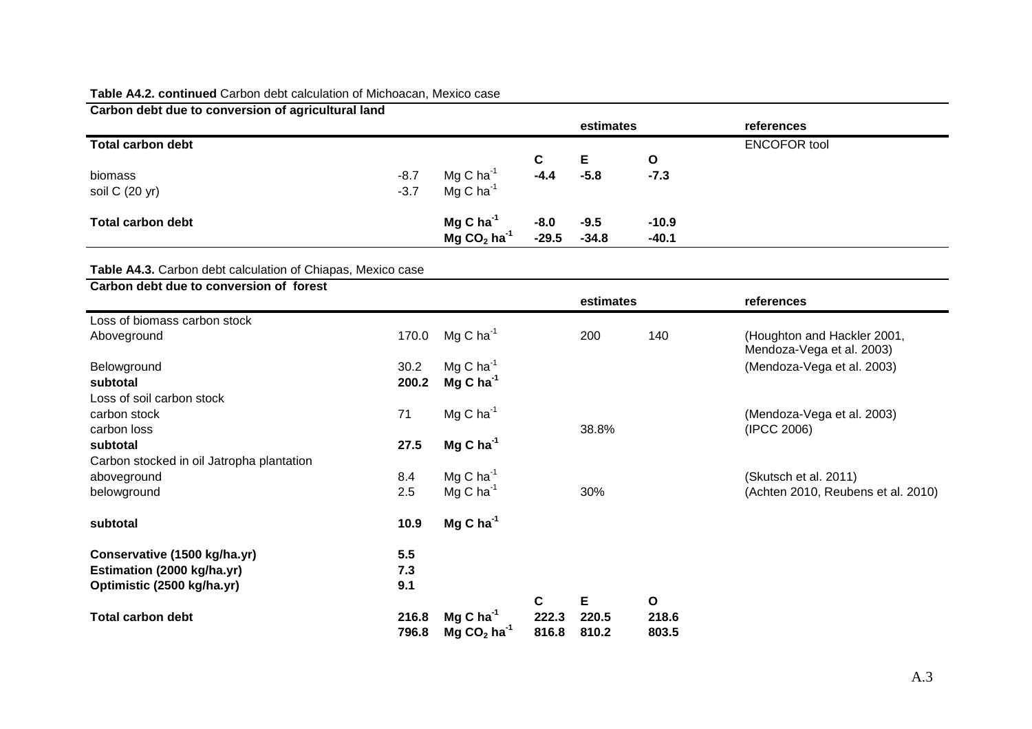### **Table A4.2. continued** Carbon debt calculation of Michoacan, Mexico case

| Carbon debt due to conversion of agricultural land |        |                           |         |           |              |                     |
|----------------------------------------------------|--------|---------------------------|---------|-----------|--------------|---------------------|
|                                                    |        |                           |         | estimates |              | references          |
| <b>Total carbon debt</b>                           |        |                           |         |           |              | <b>ENCOFOR tool</b> |
|                                                    |        |                           | C.      |           | $\mathbf{o}$ |                     |
| biomass                                            | $-8.7$ | $Mg C ha^{-1}$            | $-4.4$  | $-5.8$    | $-7.3$       |                     |
| soil C (20 yr)                                     | $-3.7$ | $MqC$ ha <sup>-1</sup>    |         |           |              |                     |
| <b>Total carbon debt</b>                           |        | $Mg$ C ha <sup>-1</sup>   | $-8.0$  | $-9.5$    | $-10.9$      |                     |
|                                                    |        | Mg $CO2$ ha <sup>-1</sup> | $-29.5$ | $-34.8$   | $-40.1$      |                     |

#### **Table A4.3.** Carbon debt calculation of Chiapas, Mexico case

| Carbon debt due to conversion of forest   |       |                   |             |           |              |                                                          |
|-------------------------------------------|-------|-------------------|-------------|-----------|--------------|----------------------------------------------------------|
|                                           |       |                   |             | estimates |              | references                                               |
| Loss of biomass carbon stock              |       |                   |             |           |              |                                                          |
| Aboveground                               | 170.0 | $Mg C ha^{-1}$    |             | 200       | 140          | (Houghton and Hackler 2001,<br>Mendoza-Vega et al. 2003) |
| Belowground                               | 30.2  | $Mg C ha^{-1}$    |             |           |              | (Mendoza-Vega et al. 2003)                               |
| subtotal                                  | 200.2 | Mg C $ha^{-1}$    |             |           |              |                                                          |
| Loss of soil carbon stock                 |       |                   |             |           |              |                                                          |
| carbon stock                              | 71    | $Mg C ha^{-1}$    |             |           |              | (Mendoza-Vega et al. 2003)                               |
| carbon loss                               |       |                   |             | 38.8%     |              | (IPCC 2006)                                              |
| subtotal                                  | 27.5  | Mg C $ha^{-1}$    |             |           |              |                                                          |
| Carbon stocked in oil Jatropha plantation |       |                   |             |           |              |                                                          |
| aboveground                               | 8.4   | $Mg C ha^{-1}$    |             |           |              | (Skutsch et al. 2011)                                    |
| belowground                               | 2.5   | $Mg C ha^{-1}$    |             | 30%       |              | (Achten 2010, Reubens et al. 2010)                       |
| subtotal                                  | 10.9  | $Mg$ C ha $^{-1}$ |             |           |              |                                                          |
| Conservative (1500 kg/ha.yr)              | 5.5   |                   |             |           |              |                                                          |
| Estimation (2000 kg/ha.yr)                | 7.3   |                   |             |           |              |                                                          |
| Optimistic (2500 kg/ha.yr)                | 9.1   |                   |             |           |              |                                                          |
|                                           |       |                   | $\mathbf c$ | Е         | $\mathbf{o}$ |                                                          |
| <b>Total carbon debt</b>                  | 216.8 | Mg C $ha^{-1}$    | 222.3       | 220.5     | 218.6        |                                                          |
|                                           | 796.8 | $Mg CO2 ha-1$     | 816.8       | 810.2     | 803.5        |                                                          |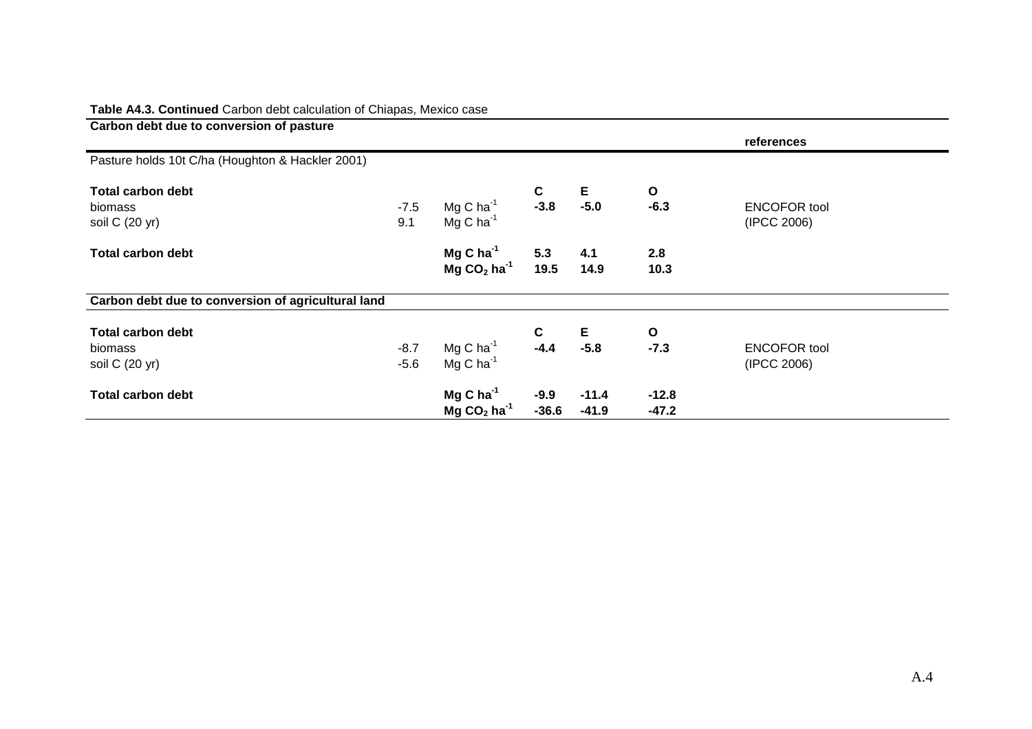| Carbon debt due to conversion of pasture           |        |                                     |         |         |              |                     |
|----------------------------------------------------|--------|-------------------------------------|---------|---------|--------------|---------------------|
|                                                    |        |                                     |         |         |              | references          |
| Pasture holds 10t C/ha (Houghton & Hackler 2001)   |        |                                     |         |         |              |                     |
| <b>Total carbon debt</b>                           |        |                                     | C       | Е       | $\mathbf{o}$ |                     |
| biomass                                            | $-7.5$ | Mg C ha $^{\text{-1}}$              | $-3.8$  | $-5.0$  | $-6.3$       | <b>ENCOFOR tool</b> |
| soil C (20 yr)                                     | 9.1    | $MgC$ ha <sup>-1</sup>              |         |         |              | (IPCC 2006)         |
| <b>Total carbon debt</b>                           |        | Mg C ha $^{-1}$                     | 5.3     | 4.1     | 2.8          |                     |
|                                                    |        | Mg CO <sub>2</sub> ha <sup>-1</sup> | 19.5    | 14.9    | 10.3         |                     |
| Carbon debt due to conversion of agricultural land |        |                                     |         |         |              |                     |
| <b>Total carbon debt</b>                           |        |                                     | C       | Е       | $\mathbf{o}$ |                     |
| biomass                                            | $-8.7$ | $Mg C$ ha <sup>-1</sup>             | $-4.4$  | $-5.8$  | $-7.3$       | <b>ENCOFOR tool</b> |
| soil C (20 yr)                                     | $-5.6$ | $Mg C$ ha <sup>-1</sup>             |         |         |              | (IPCC 2006)         |
| <b>Total carbon debt</b>                           |        | Mg C $ha^{-1}$                      | $-9.9$  | $-11.4$ | $-12.8$      |                     |
|                                                    |        | Mg CO <sub>2</sub> ha <sup>-1</sup> | $-36.6$ | $-41.9$ | $-47.2$      |                     |

### **Table A4.3. Continued** Carbon debt calculation of Chiapas, Mexico case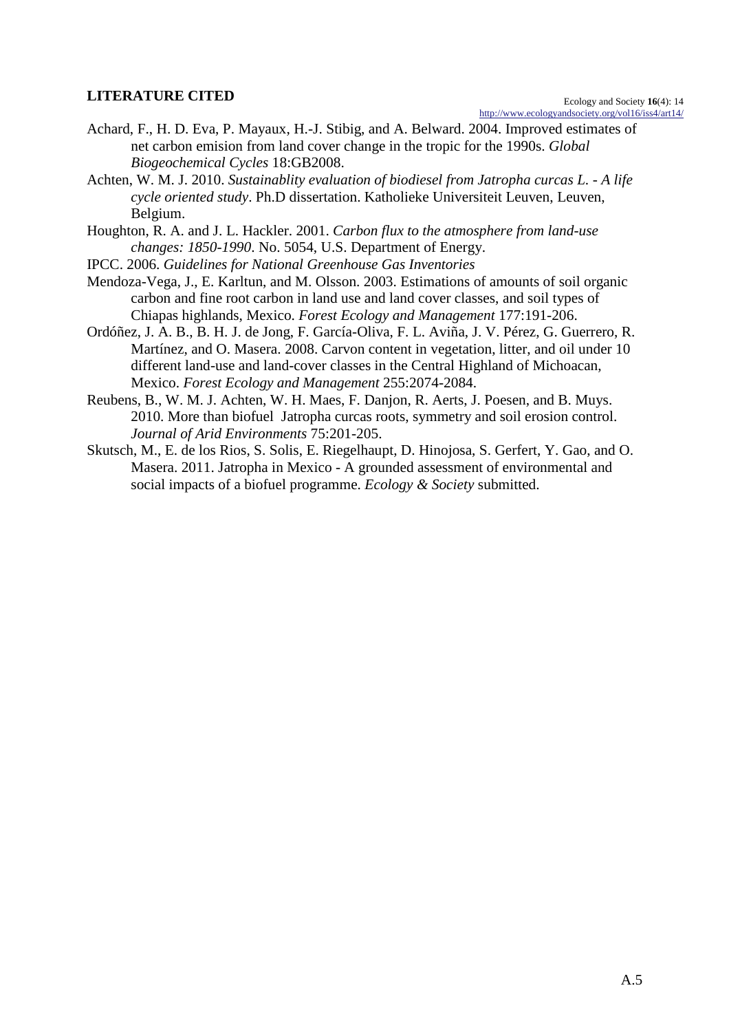## **LITERATURE CITED**

- Achard, F., H. D. Eva, P. Mayaux, H.-J. Stibig, and A. Belward. 2004. Improved estimates of net carbon emision from land cover change in the tropic for the 1990s. *Global Biogeochemical Cycles* 18:GB2008.
- Achten, W. M. J. 2010. *Sustainablity evaluation of biodiesel from Jatropha curcas L. A life cycle oriented study*. Ph.D dissertation. Katholieke Universiteit Leuven, Leuven, Belgium.
- Houghton, R. A. and J. L. Hackler. 2001. *Carbon flux to the atmosphere from land-use changes: 1850-1990*. No. 5054, U.S. Department of Energy.
- IPCC. 2006. *Guidelines for National Greenhouse Gas Inventories*
- Mendoza-Vega, J., E. Karltun, and M. Olsson. 2003. Estimations of amounts of soil organic carbon and fine root carbon in land use and land cover classes, and soil types of Chiapas highlands, Mexico. *Forest Ecology and Management* 177:191-206.
- Ordóñez, J. A. B., B. H. J. de Jong, F. García-Oliva, F. L. Aviña, J. V. Pérez, G. Guerrero, R. Martínez, and O. Masera. 2008. Carvon content in vegetation, litter, and oil under 10 different land-use and land-cover classes in the Central Highland of Michoacan, Mexico. *Forest Ecology and Management* 255:2074-2084.
- Reubens, B., W. M. J. Achten, W. H. Maes, F. Danjon, R. Aerts, J. Poesen, and B. Muys. 2010. More than biofuel Jatropha curcas roots, symmetry and soil erosion control. *Journal of Arid Environments* 75:201-205.
- Skutsch, M., E. de los Rios, S. Solis, E. Riegelhaupt, D. Hinojosa, S. Gerfert, Y. Gao, and O. Masera. 2011. Jatropha in Mexico - A grounded assessment of environmental and social impacts of a biofuel programme. *Ecology & Society* submitted.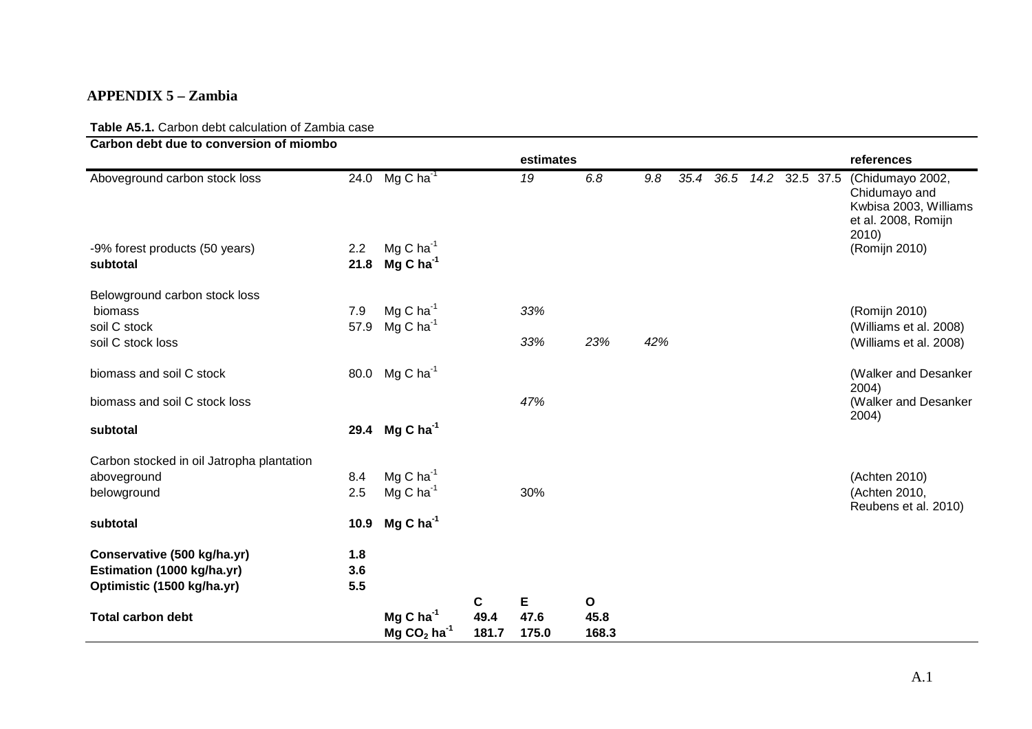## **APPENDIX 5 – Zambia**

### **Table A5.1.** Carbon debt calculation of Zambia case

| Carbon debt due to conversion of miombo   |      |                                                                  |               |               |               |     |      |      |                |                                                                                            |
|-------------------------------------------|------|------------------------------------------------------------------|---------------|---------------|---------------|-----|------|------|----------------|--------------------------------------------------------------------------------------------|
|                                           |      |                                                                  |               | estimates     |               |     |      |      |                | references                                                                                 |
| Aboveground carbon stock loss             | 24.0 | $Mg C ha^{-1}$                                                   |               | 19            | 6.8           | 9.8 | 35.4 | 36.5 | 14.2 32.5 37.5 | (Chidumayo 2002,<br>Chidumayo and<br>Kwbisa 2003, Williams<br>et al. 2008, Romijn<br>2010) |
| -9% forest products (50 years)            | 2.2  | $Mg C ha^{-1}$                                                   |               |               |               |     |      |      |                | (Romijn 2010)                                                                              |
| subtotal                                  | 21.8 | Mg C $ha^{-1}$                                                   |               |               |               |     |      |      |                |                                                                                            |
| Belowground carbon stock loss             |      |                                                                  |               |               |               |     |      |      |                |                                                                                            |
| biomass                                   | 7.9  | $Mg C ha^{-1}$                                                   |               | 33%           |               |     |      |      |                | (Romijn 2010)                                                                              |
| soil C stock<br>soil C stock loss         | 57.9 | $Mg C ha^{-1}$                                                   |               | 33%           | 23%           | 42% |      |      |                | (Williams et al. 2008)<br>(Williams et al. 2008)                                           |
|                                           |      |                                                                  |               |               |               |     |      |      |                |                                                                                            |
| biomass and soil C stock                  |      | 80.0 Mg C ha <sup>-1</sup>                                       |               |               |               |     |      |      |                | (Walker and Desanker                                                                       |
| biomass and soil C stock loss             |      |                                                                  |               | 47%           |               |     |      |      |                | 2004)<br>(Walker and Desanker                                                              |
| subtotal                                  |      | 29.4 Mg C ha <sup>-1</sup>                                       |               |               |               |     |      |      |                | 2004)                                                                                      |
| Carbon stocked in oil Jatropha plantation |      |                                                                  |               |               |               |     |      |      |                |                                                                                            |
| aboveground                               | 8.4  | $Mg C ha^{-1}$                                                   |               |               |               |     |      |      |                | (Achten 2010)                                                                              |
| belowground                               | 2.5  | Mg C $ha^{-1}$                                                   |               | 30%           |               |     |      |      |                | (Achten 2010,<br>Reubens et al. 2010)                                                      |
| subtotal                                  | 10.9 | Mg C $ha^{-1}$                                                   |               |               |               |     |      |      |                |                                                                                            |
| Conservative (500 kg/ha.yr)               | 1.8  |                                                                  |               |               |               |     |      |      |                |                                                                                            |
| Estimation (1000 kg/ha.yr)                | 3.6  |                                                                  |               |               |               |     |      |      |                |                                                                                            |
| Optimistic (1500 kg/ha.yr)                | 5.5  |                                                                  |               |               |               |     |      |      |                |                                                                                            |
|                                           |      |                                                                  | C             | Е             | O             |     |      |      |                |                                                                                            |
| <b>Total carbon debt</b>                  |      | $Mg$ C ha <sup>-1</sup><br>$Mg$ CO <sub>2</sub> ha <sup>-1</sup> | 49.4<br>181.7 | 47.6<br>175.0 | 45.8<br>168.3 |     |      |      |                |                                                                                            |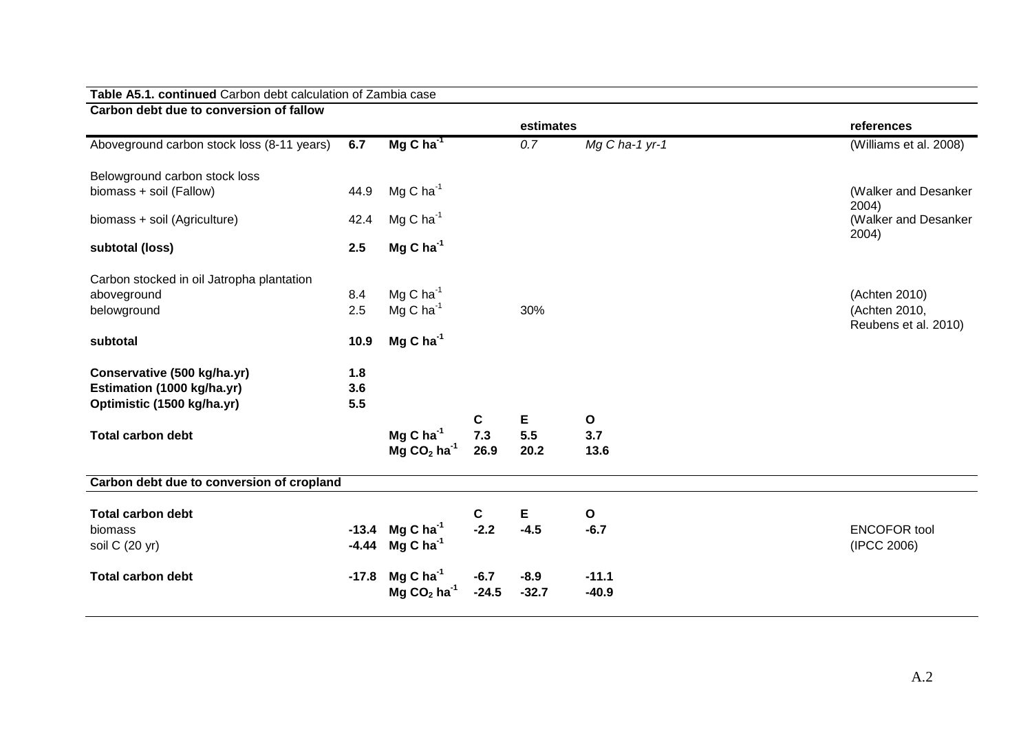| Carbon debt due to conversion of fallow    |      |                               |              |           |                |                               |
|--------------------------------------------|------|-------------------------------|--------------|-----------|----------------|-------------------------------|
|                                            |      |                               |              | estimates |                | references                    |
|                                            |      |                               |              | 0.7       |                |                               |
| Aboveground carbon stock loss (8-11 years) | 6.7  | $Mg$ C ha <sup>-1</sup>       |              |           | Mg C ha-1 yr-1 | (Williams et al. 2008)        |
| Belowground carbon stock loss              |      |                               |              |           |                |                               |
| biomass + soil (Fallow)                    | 44.9 | $Mg C$ ha <sup>-1</sup>       |              |           |                | (Walker and Desanker          |
| biomass + soil (Agriculture)               | 42.4 | $Mg C ha^{-1}$                |              |           |                | 2004)<br>(Walker and Desanker |
|                                            |      | Mg C ha <sup>-1</sup>         |              |           |                | 2004)                         |
| subtotal (loss)                            | 2.5  |                               |              |           |                |                               |
| Carbon stocked in oil Jatropha plantation  |      |                               |              |           |                |                               |
| aboveground                                | 8.4  | $Mg C ha^{-1}$                |              |           |                | (Achten 2010)                 |
| belowground                                | 2.5  | $Mg C ha^{-1}$                |              | 30%       |                | (Achten 2010,                 |
|                                            |      |                               |              |           |                | Reubens et al. 2010)          |
| subtotal                                   | 10.9 | Mg C $ha^{-1}$                |              |           |                |                               |
| Conservative (500 kg/ha.yr)                | 1.8  |                               |              |           |                |                               |
| Estimation (1000 kg/ha.yr)                 | 3.6  |                               |              |           |                |                               |
| Optimistic (1500 kg/ha.yr)                 | 5.5  |                               |              |           |                |                               |
|                                            |      |                               | $\mathbf c$  |           |                |                               |
|                                            |      |                               |              | E         | О              |                               |
| <b>Total carbon debt</b>                   |      | $MgC$ ha <sup>-1</sup>        | 7.3          | 5.5       | 3.7            |                               |
|                                            |      | $Mg CO2 ha-1$                 | 26.9         | 20.2      | 13.6           |                               |
| Carbon debt due to conversion of cropland  |      |                               |              |           |                |                               |
| <b>Total carbon debt</b>                   |      |                               | $\mathbf{C}$ | Е         | $\mathbf{o}$   |                               |
|                                            |      | $-13.4$ Mg C ha <sup>-1</sup> | $-2.2$       | $-4.5$    | $-6.7$         | <b>ENCOFOR tool</b>           |
| biomass                                    |      |                               |              |           |                |                               |
| soil C (20 yr)                             |      | $-4.44$ Mg C ha <sup>-1</sup> |              |           |                | (IPCC 2006)                   |
| <b>Total carbon debt</b>                   |      | $-17.8$ Mg C ha <sup>-1</sup> | $-6.7$       | $-8.9$    | $-11.1$        |                               |
|                                            |      | $MgCO2$ ha <sup>-1</sup>      | $-24.5$      | $-32.7$   | $-40.9$        |                               |
|                                            |      |                               |              |           |                |                               |

## **Table A5.1. continued** Carbon debt calculation of Zambia case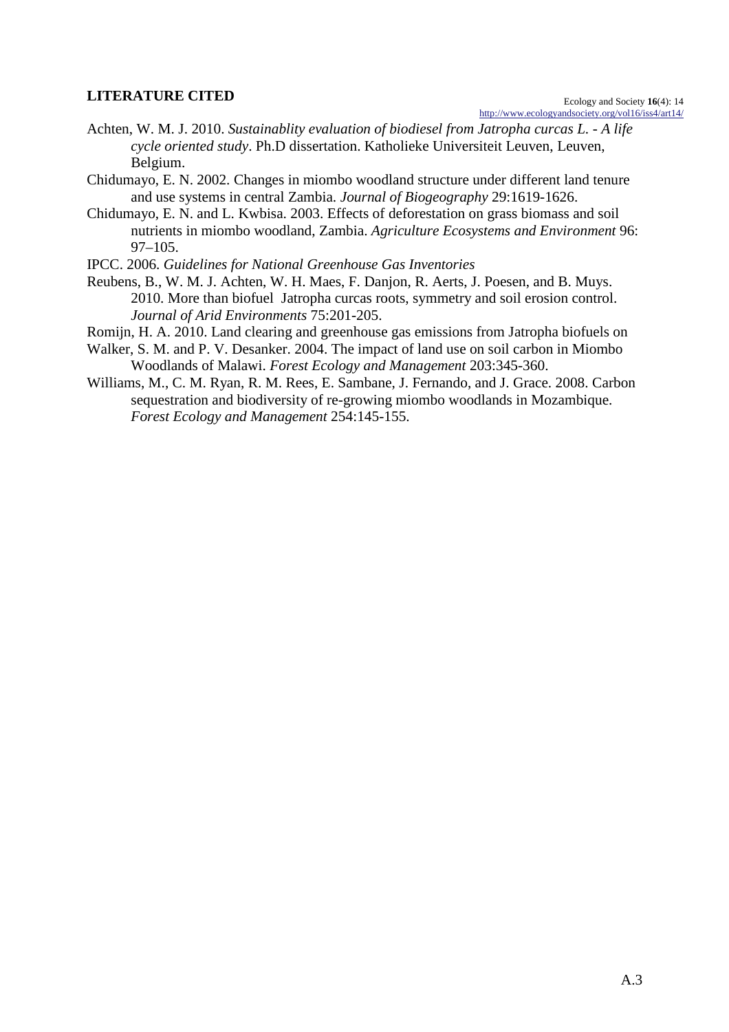## **LITERATURE CITED**

- Achten, W. M. J. 2010. *Sustainablity evaluation of biodiesel from Jatropha curcas L. A life cycle oriented study*. Ph.D dissertation. Katholieke Universiteit Leuven, Leuven, Belgium.
- Chidumayo, E. N. 2002. Changes in miombo woodland structure under different land tenure and use systems in central Zambia. *Journal of Biogeography* 29:1619-1626.
- Chidumayo, E. N. and L. Kwbisa. 2003. Effects of deforestation on grass biomass and soil nutrients in miombo woodland, Zambia. *Agriculture Ecosystems and Environment* 96: 97–105.
- IPCC. 2006. *Guidelines for National Greenhouse Gas Inventories*
- Reubens, B., W. M. J. Achten, W. H. Maes, F. Danjon, R. Aerts, J. Poesen, and B. Muys. 2010. More than biofuel Jatropha curcas roots, symmetry and soil erosion control. *Journal of Arid Environments* 75:201-205.
- Romijn, H. A. 2010. Land clearing and greenhouse gas emissions from Jatropha biofuels on
- Walker, S. M. and P. V. Desanker. 2004. The impact of land use on soil carbon in Miombo Woodlands of Malawi. *Forest Ecology and Management* 203:345-360.
- Williams, M., C. M. Ryan, R. M. Rees, E. Sambane, J. Fernando, and J. Grace. 2008. Carbon sequestration and biodiversity of re-growing miombo woodlands in Mozambique. *Forest Ecology and Management* 254:145-155.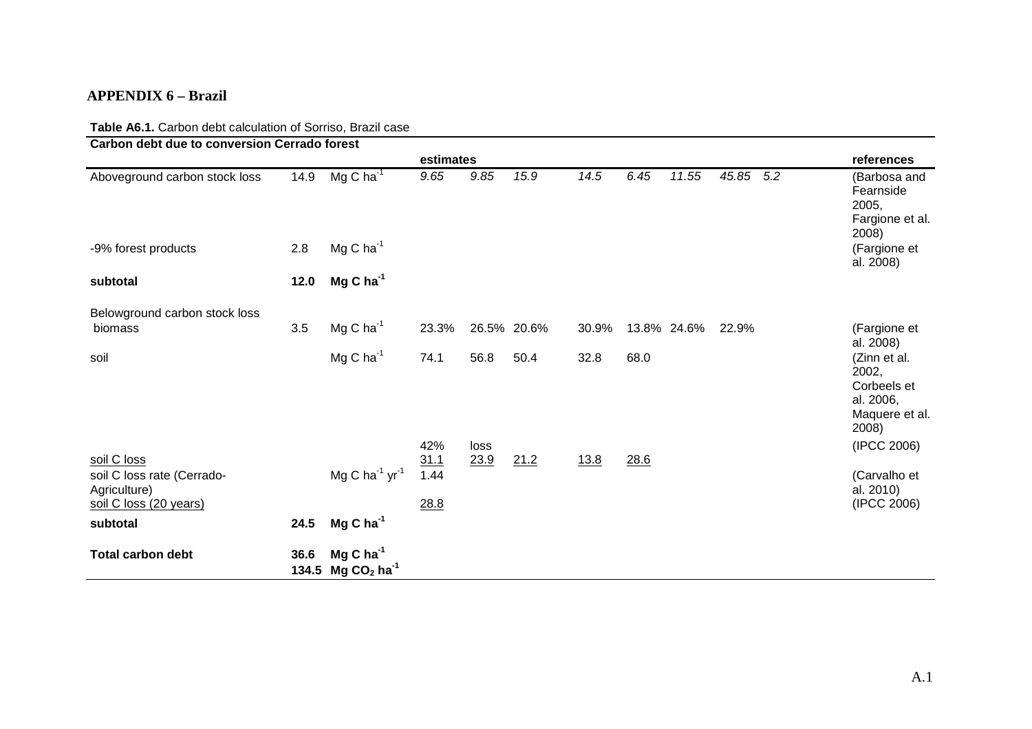## **APPENDIX 6 – Brazil**

**Table A6.1.** Carbon debt calculation of Sorriso, Brazil case

| Carbon debt due to conversion Cerrado forest                                        |      |                                                   |                             |              |             |       |      |             |       |     |                                                                                           |
|-------------------------------------------------------------------------------------|------|---------------------------------------------------|-----------------------------|--------------|-------------|-------|------|-------------|-------|-----|-------------------------------------------------------------------------------------------|
|                                                                                     |      |                                                   | estimates                   |              |             |       |      |             |       |     | references                                                                                |
| Aboveground carbon stock loss                                                       | 14.9 | $Mg C ha^{-1}$                                    | 9.65                        | 9.85         | 15.9        | 14.5  | 6.45 | 11.55       | 45.85 | 5.2 | (Barbosa and<br>Fearnside<br>2005,<br>Fargione et al.<br>2008)                            |
| -9% forest products                                                                 | 2.8  | $Mg$ C ha <sup>-1</sup>                           |                             |              |             |       |      |             |       |     | (Fargione et<br>al. 2008)                                                                 |
| subtotal                                                                            | 12.0 | Mg C $ha^{-1}$                                    |                             |              |             |       |      |             |       |     |                                                                                           |
| Belowground carbon stock loss<br>biomass                                            | 3.5  | $Mg C ha^{-1}$                                    | 23.3%                       |              | 26.5% 20.6% | 30.9% |      | 13.8% 24.6% | 22.9% |     | (Fargione et                                                                              |
| soil                                                                                |      | $Mg C ha^{-1}$                                    | 74.1                        | 56.8         | 50.4        | 32.8  | 68.0 |             |       |     | al. 2008)<br>(Zinn et al.<br>2002,<br>Corbeels et<br>al. 2006,<br>Maquere et al.<br>2008) |
| soil C loss<br>soil C loss rate (Cerrado-<br>Agriculture)<br>soil C loss (20 years) |      | Mg C ha <sup>-1</sup> yr <sup>-1</sup>            | 42%<br>31.1<br>1.44<br>28.8 | loss<br>23.9 | 21.2        | 13.8  | 28.6 |             |       |     | (IPCC 2006)<br>(Carvalho et<br>al. 2010)<br>(IPCC 2006)                                   |
| subtotal                                                                            | 24.5 | Mg C ha <sup>-1</sup>                             |                             |              |             |       |      |             |       |     |                                                                                           |
| <b>Total carbon debt</b>                                                            | 36.6 | Mg C $ha^{-1}$<br>134.5 Mg $CO2$ ha <sup>-1</sup> |                             |              |             |       |      |             |       |     |                                                                                           |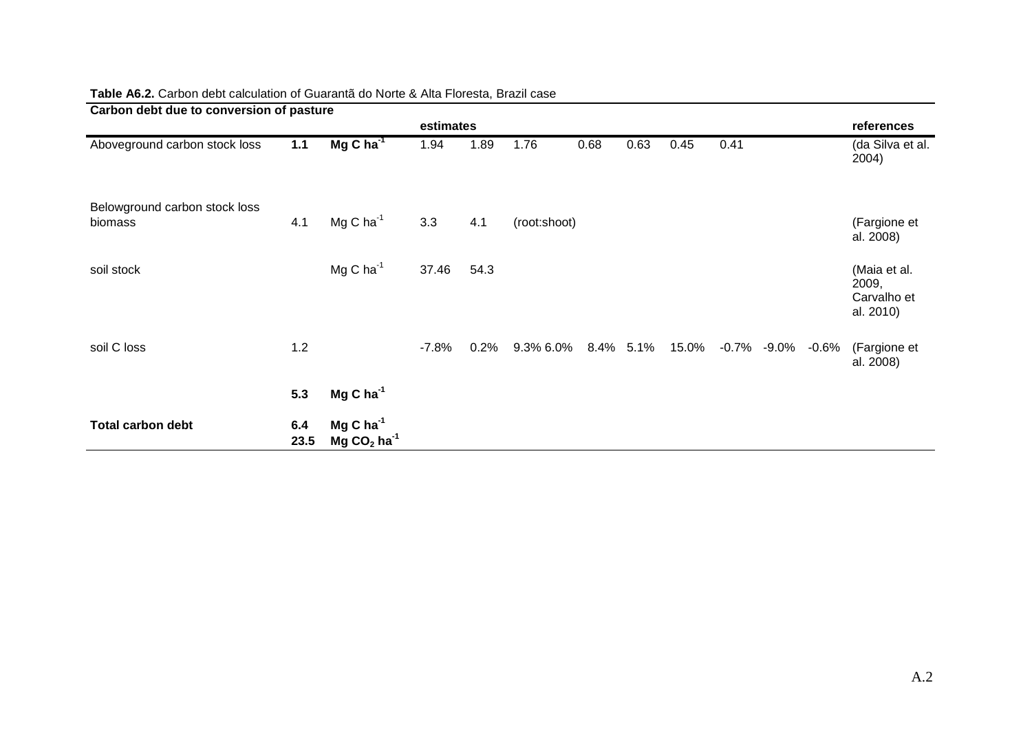| Carbon debt due to conversion of pasture |             |                                             |           |      |              |      |           |       |          |       |          |                                                   |
|------------------------------------------|-------------|---------------------------------------------|-----------|------|--------------|------|-----------|-------|----------|-------|----------|---------------------------------------------------|
|                                          |             |                                             | estimates |      |              |      |           |       |          |       |          | references                                        |
| Aboveground carbon stock loss            | 1.1         | $Mg$ C ha <sup>-1</sup>                     | 1.94      | 1.89 | 1.76         | 0.68 | 0.63      | 0.45  | 0.41     |       |          | (da Silva et al.<br>2004)                         |
| Belowground carbon stock loss<br>biomass | 4.1         | $Mg$ C ha $^{-1}$                           | 3.3       | 4.1  | (root:shoot) |      |           |       |          |       |          | (Fargione et<br>al. 2008)                         |
| soil stock                               |             | $Mg C ha^{-1}$                              | 37.46     | 54.3 |              |      |           |       |          |       |          | (Maia et al.<br>2009,<br>Carvalho et<br>al. 2010) |
| soil C loss                              | 1.2         |                                             | $-7.8%$   | 0.2% | 9.3% 6.0%    |      | 8.4% 5.1% | 15.0% | $-0.7\%$ | -9.0% | $-0.6\%$ | (Fargione et<br>al. 2008)                         |
|                                          | 5.3         | $Mg$ C ha <sup>-1</sup>                     |           |      |              |      |           |       |          |       |          |                                                   |
| <b>Total carbon debt</b>                 | 6.4<br>23.5 | Mg C $ha^{-1}$<br>Mg $CO2$ ha <sup>-1</sup> |           |      |              |      |           |       |          |       |          |                                                   |

#### **Table A6.2.** Carbon debt calculation of Guarantã do Norte & Alta Floresta, Brazil case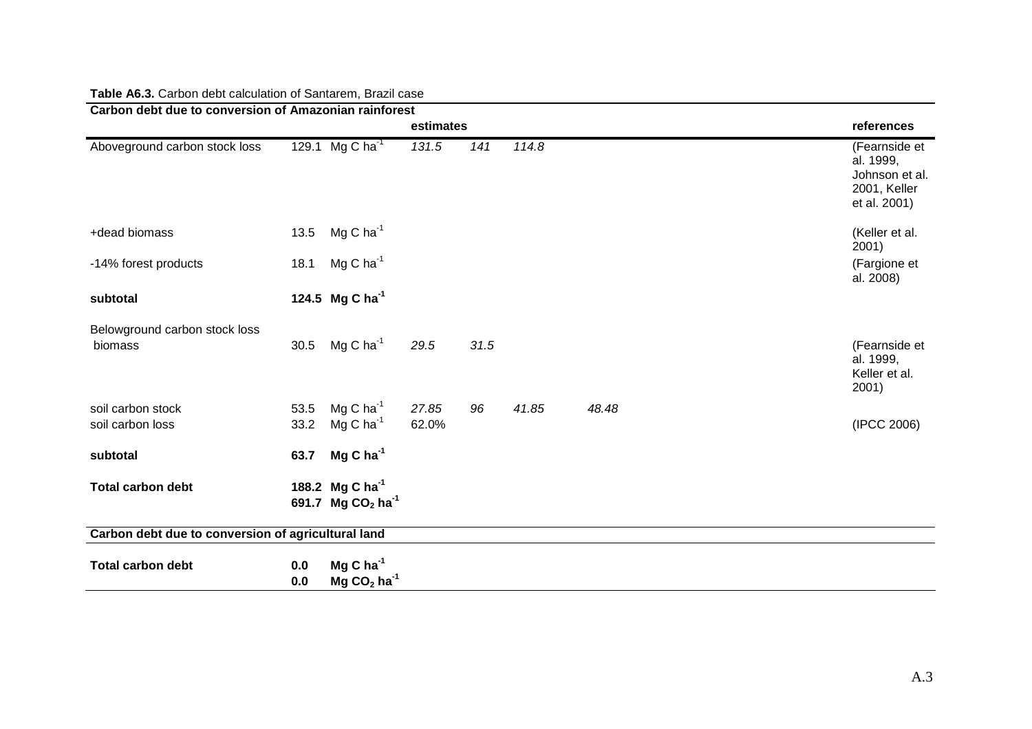| Carbon debt due to conversion of Amazonian rainforest |              |                                                                |                |      |       |       |                                                                              |
|-------------------------------------------------------|--------------|----------------------------------------------------------------|----------------|------|-------|-------|------------------------------------------------------------------------------|
|                                                       |              |                                                                | estimates      |      |       |       | references                                                                   |
| Aboveground carbon stock loss                         |              | 129.1 $\overline{Mg} C ha^{-1}$                                | 131.5          | 141  | 114.8 |       | (Fearnside et<br>al. 1999,<br>Johnson et al.<br>2001, Keller<br>et al. 2001) |
| +dead biomass                                         | 13.5         | $Mg C ha^{-1}$                                                 |                |      |       |       | (Keller et al.<br>2001)                                                      |
| -14% forest products                                  | 18.1         | $Mg C ha^{-1}$                                                 |                |      |       |       | (Fargione et<br>al. 2008)                                                    |
| subtotal                                              |              | 124.5 Mg C ha <sup>-1</sup>                                    |                |      |       |       |                                                                              |
| Belowground carbon stock loss<br>biomass              | 30.5         | $Mg C ha^{-1}$                                                 | 29.5           | 31.5 |       |       | (Fearnside et<br>al. 1999,<br>Keller et al.<br>2001)                         |
| soil carbon stock<br>soil carbon loss                 | 53.5<br>33.2 | $Mg C ha^{-1}$<br>$Mg C ha^{-1}$                               | 27.85<br>62.0% | 96   | 41.85 | 48.48 | (IPCC 2006)                                                                  |
| subtotal                                              | 63.7         | Mg C $ha^{-1}$                                                 |                |      |       |       |                                                                              |
| <b>Total carbon debt</b>                              |              | 188.2 Mg C ha <sup>-1</sup><br>691.7 Mg $CO2$ ha <sup>-1</sup> |                |      |       |       |                                                                              |
| Carbon debt due to conversion of agricultural land    |              |                                                                |                |      |       |       |                                                                              |
| <b>Total carbon debt</b>                              | 0.0<br>0.0   | Mg C ha $^{-1}$<br>Mg $CO2$ ha <sup>-1</sup>                   |                |      |       |       |                                                                              |

#### **Table A6.3.** Carbon debt calculation of Santarem, Brazil case